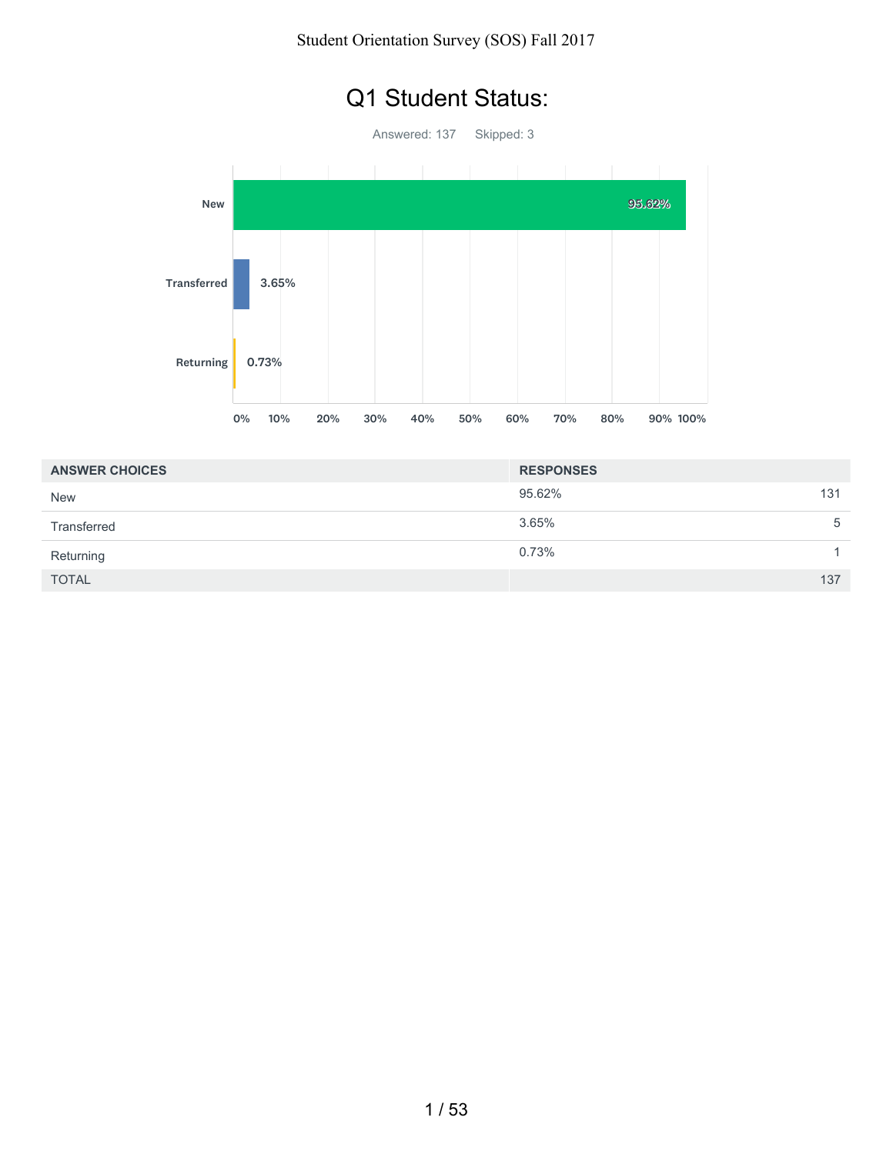# Q1 Student Status:

Answered: 137 Skipped: 3



| <b>ANSWER CHOICES</b> | <b>RESPONSES</b> |   |
|-----------------------|------------------|---|
| <b>New</b>            | 95.62%<br>131    |   |
| Transferred           | 3.65%            | 5 |
| Returning             | 0.73%            |   |
| <b>TOTAL</b>          | 137              |   |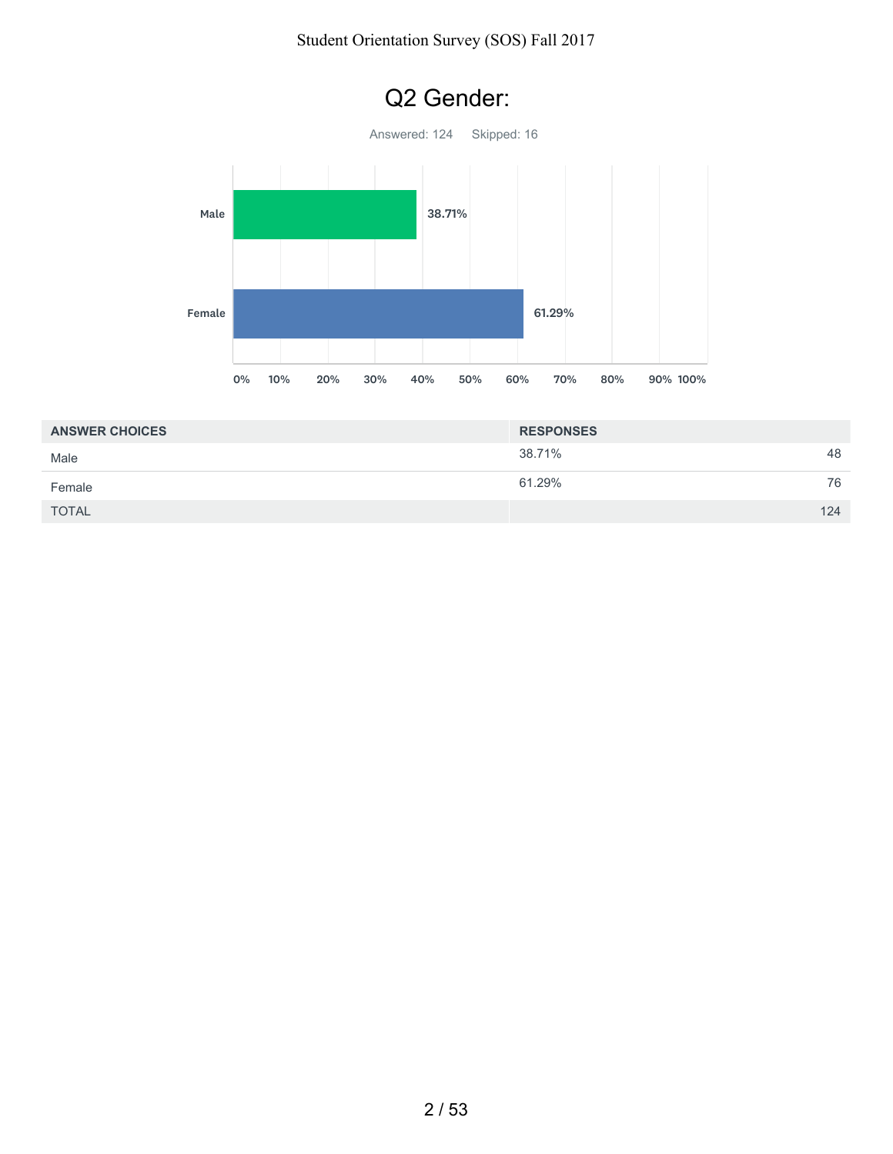#### Student Orientation Survey (SOS) Fall 2017



| <b>ANSWER CHOICES</b> | <b>RESPONSES</b> |    |
|-----------------------|------------------|----|
| Male                  | 38.71%           | 48 |
| Female                | 61.29%           | 76 |
| <b>TOTAL</b>          | 124              |    |

# Q2 Gender: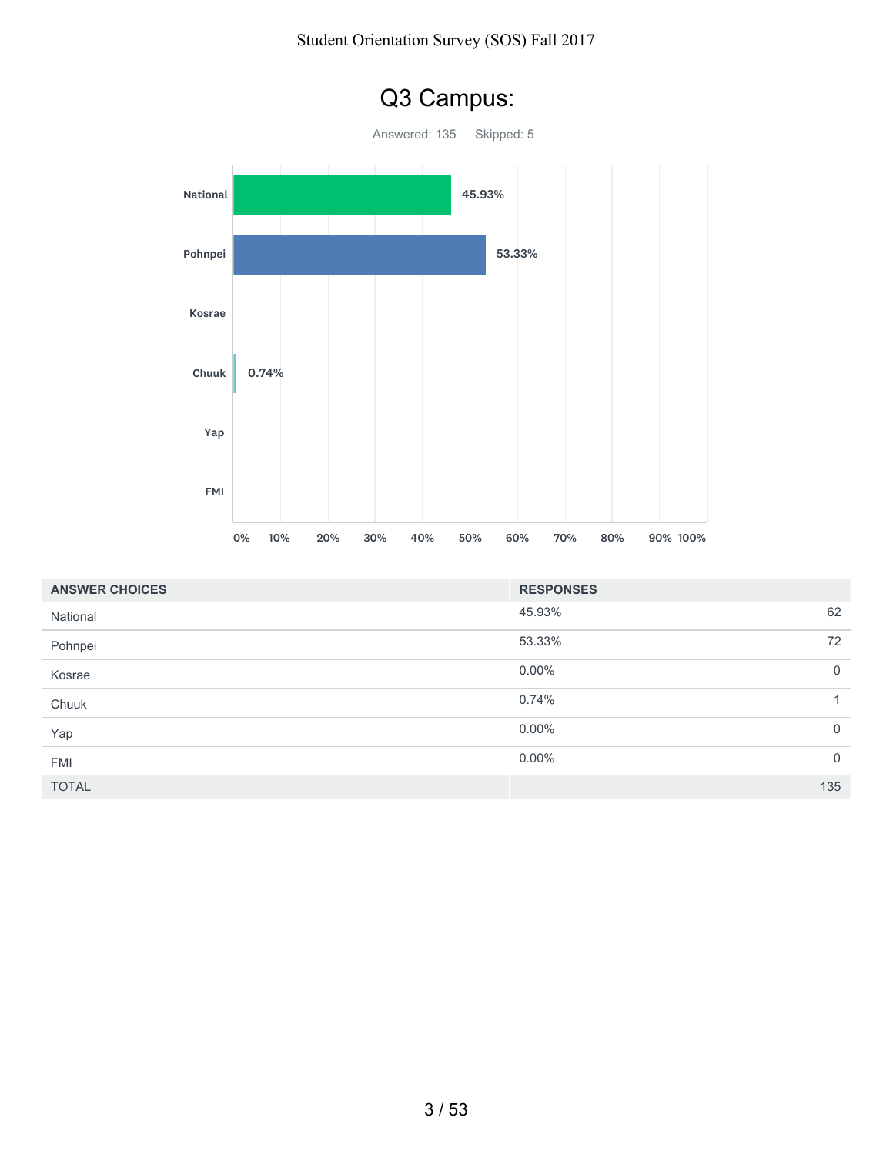#### Student Orientation Survey (SOS) Fall 2017



| <b>ANSWER CHOICES</b> | <b>RESPONSES</b> |              |
|-----------------------|------------------|--------------|
| National              | 45.93%           | 62           |
| Pohnpei               | 53.33%           | 72           |
| Kosrae                | $0.00\%$         | $\mathbf 0$  |
| Chuuk                 | 0.74%            | $\mathbf{1}$ |
| Yap                   | $0.00\%$         | $\mathbf 0$  |
| <b>FMI</b>            | $0.00\%$         | $\mathbf 0$  |
| <b>TOTAL</b>          |                  | 135          |

# Q3 Campus: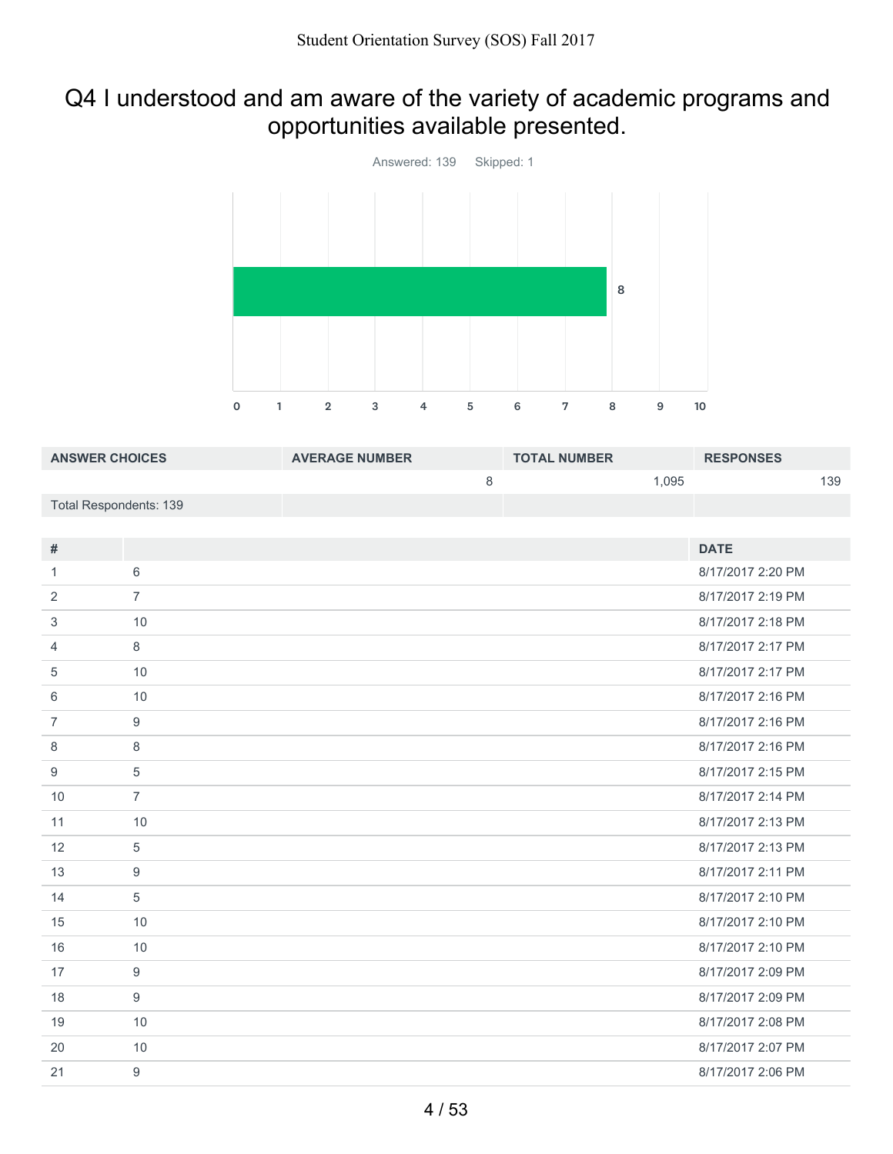# Q4 I understood and am aware of the variety of academic programs and opportunities available presented.



| <b>ANSWER CHOICES</b>         |                  | <b>AVERAGE NUMBER</b> |         | <b>TOTAL NUMBER</b> |       | <b>RESPONSES</b>  |     |
|-------------------------------|------------------|-----------------------|---------|---------------------|-------|-------------------|-----|
|                               |                  |                       | $\,8\,$ |                     | 1,095 |                   | 139 |
| <b>Total Respondents: 139</b> |                  |                       |         |                     |       |                   |     |
|                               |                  |                       |         |                     |       |                   |     |
| #                             |                  |                       |         |                     |       | <b>DATE</b>       |     |
| $\mathbf{1}$                  | 6                |                       |         |                     |       | 8/17/2017 2:20 PM |     |
| 2                             | $\overline{7}$   |                       |         |                     |       | 8/17/2017 2:19 PM |     |
| 3                             | 10               |                       |         |                     |       | 8/17/2017 2:18 PM |     |
| 4                             | 8                |                       |         |                     |       | 8/17/2017 2:17 PM |     |
| 5                             | 10               |                       |         |                     |       | 8/17/2017 2:17 PM |     |
| 6                             | 10               |                       |         |                     |       | 8/17/2017 2:16 PM |     |
| $\overline{7}$                | $\boldsymbol{9}$ |                       |         |                     |       | 8/17/2017 2:16 PM |     |
| 8                             | 8                |                       |         |                     |       | 8/17/2017 2:16 PM |     |
| 9                             | 5                |                       |         |                     |       | 8/17/2017 2:15 PM |     |
| 10                            | $\overline{7}$   |                       |         |                     |       | 8/17/2017 2:14 PM |     |
| 11                            | 10               |                       |         |                     |       | 8/17/2017 2:13 PM |     |
| 12                            | 5                |                       |         |                     |       | 8/17/2017 2:13 PM |     |
| 13                            | 9                |                       |         |                     |       | 8/17/2017 2:11 PM |     |
| 14                            | 5                |                       |         |                     |       | 8/17/2017 2:10 PM |     |
| 15                            | 10               |                       |         |                     |       | 8/17/2017 2:10 PM |     |
| 16                            | 10               |                       |         |                     |       | 8/17/2017 2:10 PM |     |
| 17                            | 9                |                       |         |                     |       | 8/17/2017 2:09 PM |     |
| 18                            | 9                |                       |         |                     |       | 8/17/2017 2:09 PM |     |
| 19                            | 10               |                       |         |                     |       | 8/17/2017 2:08 PM |     |
| 20                            | 10               |                       |         |                     |       | 8/17/2017 2:07 PM |     |

9 8/17/2017 2:06 PM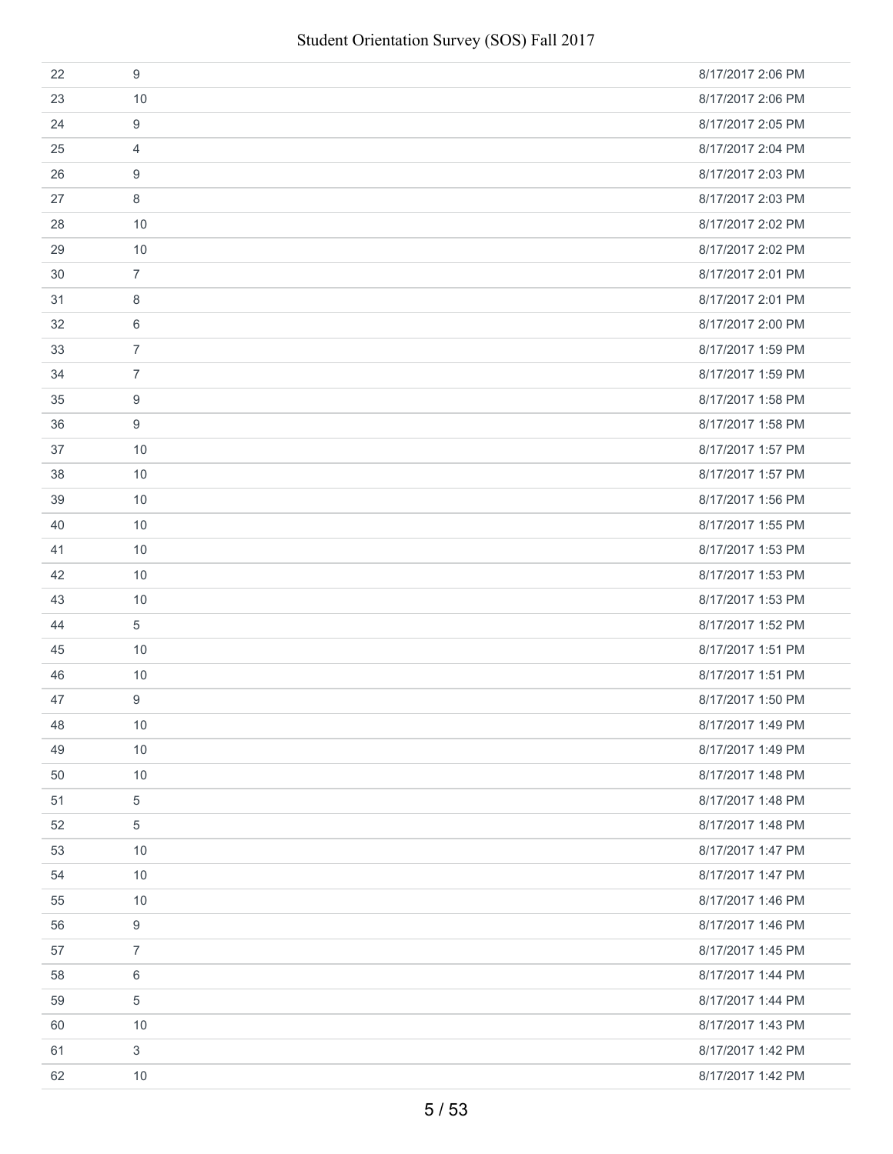| 22 | 9              | 8/17/2017 2:06 PM |
|----|----------------|-------------------|
| 23 | 10             | 8/17/2017 2:06 PM |
| 24 | 9              | 8/17/2017 2:05 PM |
| 25 | 4              | 8/17/2017 2:04 PM |
| 26 | 9              | 8/17/2017 2:03 PM |
| 27 | 8              | 8/17/2017 2:03 PM |
| 28 | 10             | 8/17/2017 2:02 PM |
| 29 | 10             | 8/17/2017 2:02 PM |
| 30 | $\overline{7}$ | 8/17/2017 2:01 PM |
| 31 | 8              | 8/17/2017 2:01 PM |
| 32 | 6              | 8/17/2017 2:00 PM |
| 33 | $\overline{7}$ | 8/17/2017 1:59 PM |
| 34 | $\overline{7}$ | 8/17/2017 1:59 PM |
| 35 | 9              | 8/17/2017 1:58 PM |
| 36 | 9              | 8/17/2017 1:58 PM |
| 37 | 10             | 8/17/2017 1:57 PM |
| 38 | 10             | 8/17/2017 1:57 PM |
| 39 | 10             | 8/17/2017 1:56 PM |
| 40 | 10             | 8/17/2017 1:55 PM |
| 41 | 10             | 8/17/2017 1:53 PM |
| 42 | 10             | 8/17/2017 1:53 PM |
| 43 | 10             | 8/17/2017 1:53 PM |
| 44 | 5              | 8/17/2017 1:52 PM |
| 45 | 10             | 8/17/2017 1:51 PM |
| 46 | 10             | 8/17/2017 1:51 PM |
| 47 | 9              | 8/17/2017 1:50 PM |
| 48 | 10             | 8/17/2017 1:49 PM |
| 49 | 10             | 8/17/2017 1:49 PM |
| 50 | 10             | 8/17/2017 1:48 PM |
| 51 | $\,$ 5 $\,$    | 8/17/2017 1:48 PM |
| 52 | 5              | 8/17/2017 1:48 PM |
| 53 | 10             | 8/17/2017 1:47 PM |
| 54 | 10             | 8/17/2017 1:47 PM |
| 55 | 10             | 8/17/2017 1:46 PM |
| 56 | 9              | 8/17/2017 1:46 PM |
| 57 | $\overline{7}$ | 8/17/2017 1:45 PM |
| 58 | 6              | 8/17/2017 1:44 PM |
| 59 | 5              | 8/17/2017 1:44 PM |
| 60 | 10             | 8/17/2017 1:43 PM |
| 61 | $\mathbf{3}$   | 8/17/2017 1:42 PM |
| 62 | 10             | 8/17/2017 1:42 PM |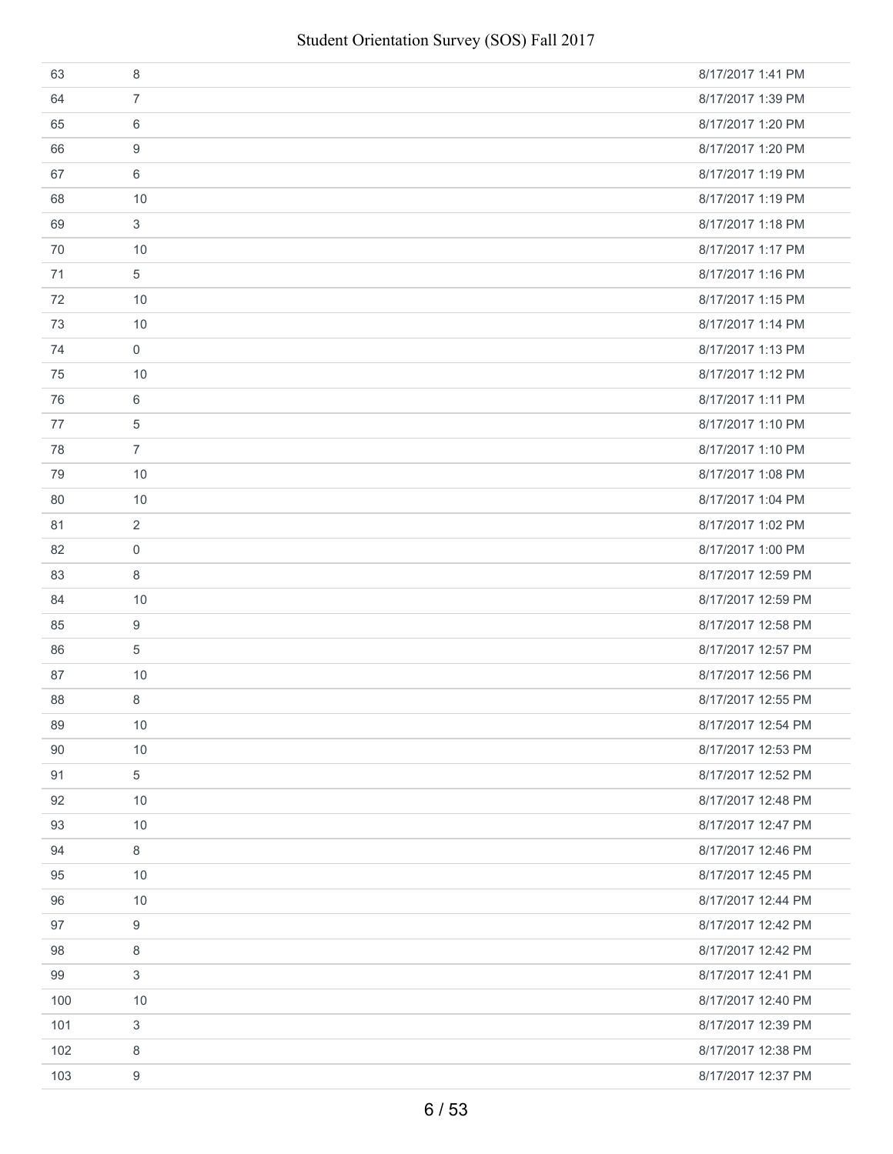| 63  | 8              | 8/17/2017 1:41 PM  |
|-----|----------------|--------------------|
| 64  | $\overline{7}$ | 8/17/2017 1:39 PM  |
| 65  | 6              | 8/17/2017 1:20 PM  |
| 66  | 9              | 8/17/2017 1:20 PM  |
| 67  | 6              | 8/17/2017 1:19 PM  |
| 68  | 10             | 8/17/2017 1:19 PM  |
| 69  | 3              | 8/17/2017 1:18 PM  |
| 70  | 10             | 8/17/2017 1:17 PM  |
| 71  | 5              | 8/17/2017 1:16 PM  |
| 72  | 10             | 8/17/2017 1:15 PM  |
| 73  | 10             | 8/17/2017 1:14 PM  |
| 74  | $\mathbf 0$    | 8/17/2017 1:13 PM  |
| 75  | 10             | 8/17/2017 1:12 PM  |
| 76  | 6              | 8/17/2017 1:11 PM  |
| 77  | 5              | 8/17/2017 1:10 PM  |
| 78  | $\overline{7}$ | 8/17/2017 1:10 PM  |
| 79  | 10             | 8/17/2017 1:08 PM  |
| 80  | 10             | 8/17/2017 1:04 PM  |
| 81  | $\overline{2}$ | 8/17/2017 1:02 PM  |
| 82  | $\mathbf 0$    | 8/17/2017 1:00 PM  |
| 83  | 8              | 8/17/2017 12:59 PM |
| 84  | 10             | 8/17/2017 12:59 PM |
| 85  | 9              | 8/17/2017 12:58 PM |
| 86  | 5              | 8/17/2017 12:57 PM |
| 87  | 10             | 8/17/2017 12:56 PM |
| 88  | 8              | 8/17/2017 12:55 PM |
| 89  | 10             | 8/17/2017 12:54 PM |
| 90  | 10             | 8/17/2017 12:53 PM |
| 91  | 5              | 8/17/2017 12:52 PM |
| 92  | 10             | 8/17/2017 12:48 PM |
| 93  | 10             | 8/17/2017 12:47 PM |
| 94  | 8              | 8/17/2017 12:46 PM |
| 95  | 10             | 8/17/2017 12:45 PM |
| 96  | 10             | 8/17/2017 12:44 PM |
| 97  | 9              | 8/17/2017 12:42 PM |
| 98  | 8              | 8/17/2017 12:42 PM |
| 99  | 3              | 8/17/2017 12:41 PM |
| 100 | 10             | 8/17/2017 12:40 PM |
| 101 | 3              | 8/17/2017 12:39 PM |
| 102 | 8              | 8/17/2017 12:38 PM |
| 103 | 9              | 8/17/2017 12:37 PM |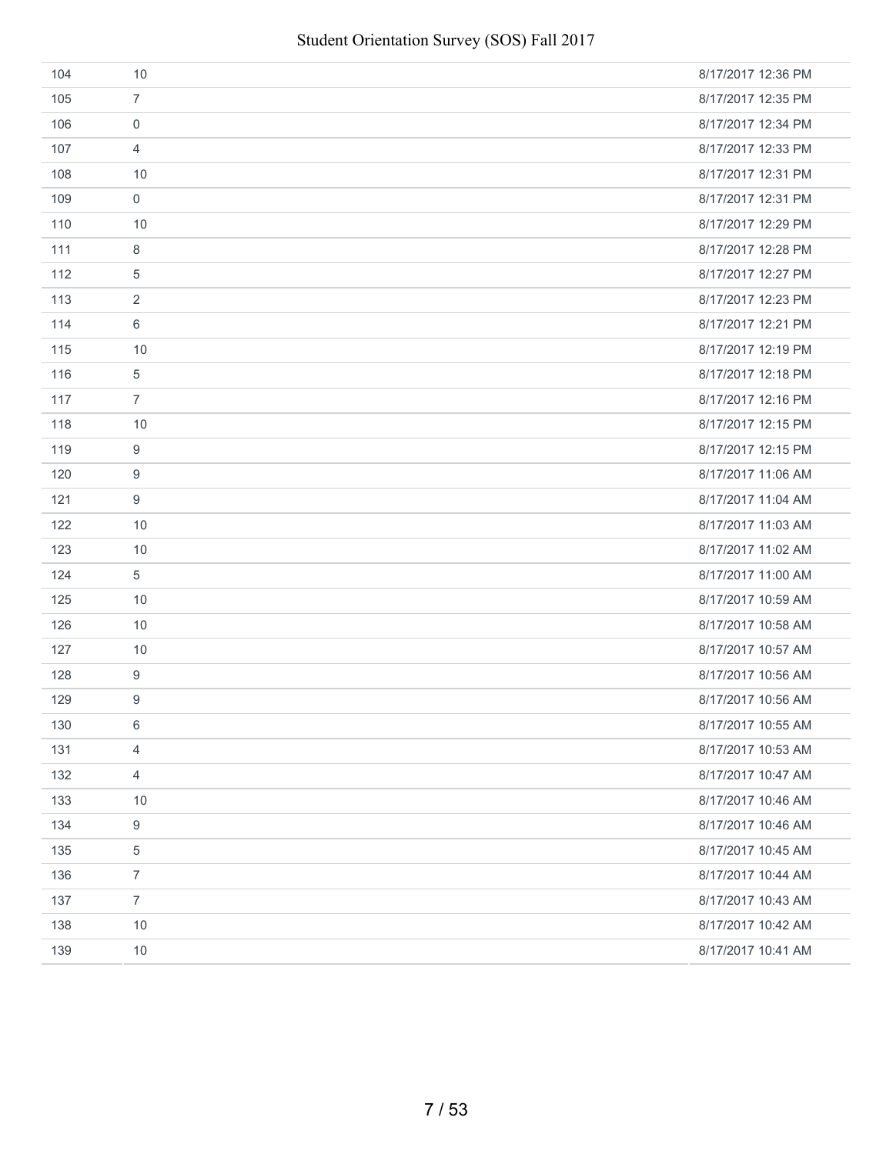| 104 | 10               | 8/17/2017 12:36 PM |
|-----|------------------|--------------------|
| 105 | $\overline{7}$   | 8/17/2017 12:35 PM |
| 106 | 0                | 8/17/2017 12:34 PM |
| 107 | $\overline{4}$   | 8/17/2017 12:33 PM |
| 108 | 10               | 8/17/2017 12:31 PM |
| 109 | $\mathbf 0$      | 8/17/2017 12:31 PM |
| 110 | 10               | 8/17/2017 12:29 PM |
| 111 | 8                | 8/17/2017 12:28 PM |
| 112 | 5                | 8/17/2017 12:27 PM |
| 113 | $\sqrt{2}$       | 8/17/2017 12:23 PM |
| 114 | 6                | 8/17/2017 12:21 PM |
| 115 | 10               | 8/17/2017 12:19 PM |
| 116 | $\sqrt{5}$       | 8/17/2017 12:18 PM |
| 117 | $\overline{7}$   | 8/17/2017 12:16 PM |
| 118 | 10               | 8/17/2017 12:15 PM |
| 119 | 9                | 8/17/2017 12:15 PM |
| 120 | 9                | 8/17/2017 11:06 AM |
| 121 | 9                | 8/17/2017 11:04 AM |
| 122 | 10               | 8/17/2017 11:03 AM |
| 123 | 10               | 8/17/2017 11:02 AM |
| 124 | 5                | 8/17/2017 11:00 AM |
| 125 | 10               | 8/17/2017 10:59 AM |
| 126 | 10               | 8/17/2017 10:58 AM |
| 127 | 10               | 8/17/2017 10:57 AM |
| 128 | $\boldsymbol{9}$ | 8/17/2017 10:56 AM |
| 129 | 9                | 8/17/2017 10:56 AM |
| 130 | 6                | 8/17/2017 10:55 AM |
| 131 | $\overline{4}$   | 8/17/2017 10:53 AM |
| 132 | $\overline{4}$   | 8/17/2017 10:47 AM |
| 133 | $10$             | 8/17/2017 10:46 AM |
| 134 | 9                | 8/17/2017 10:46 AM |
| 135 | 5                | 8/17/2017 10:45 AM |
| 136 | $\overline{7}$   | 8/17/2017 10:44 AM |
| 137 | $\overline{7}$   | 8/17/2017 10:43 AM |
| 138 | 10               | 8/17/2017 10:42 AM |
| 139 | 10               | 8/17/2017 10:41 AM |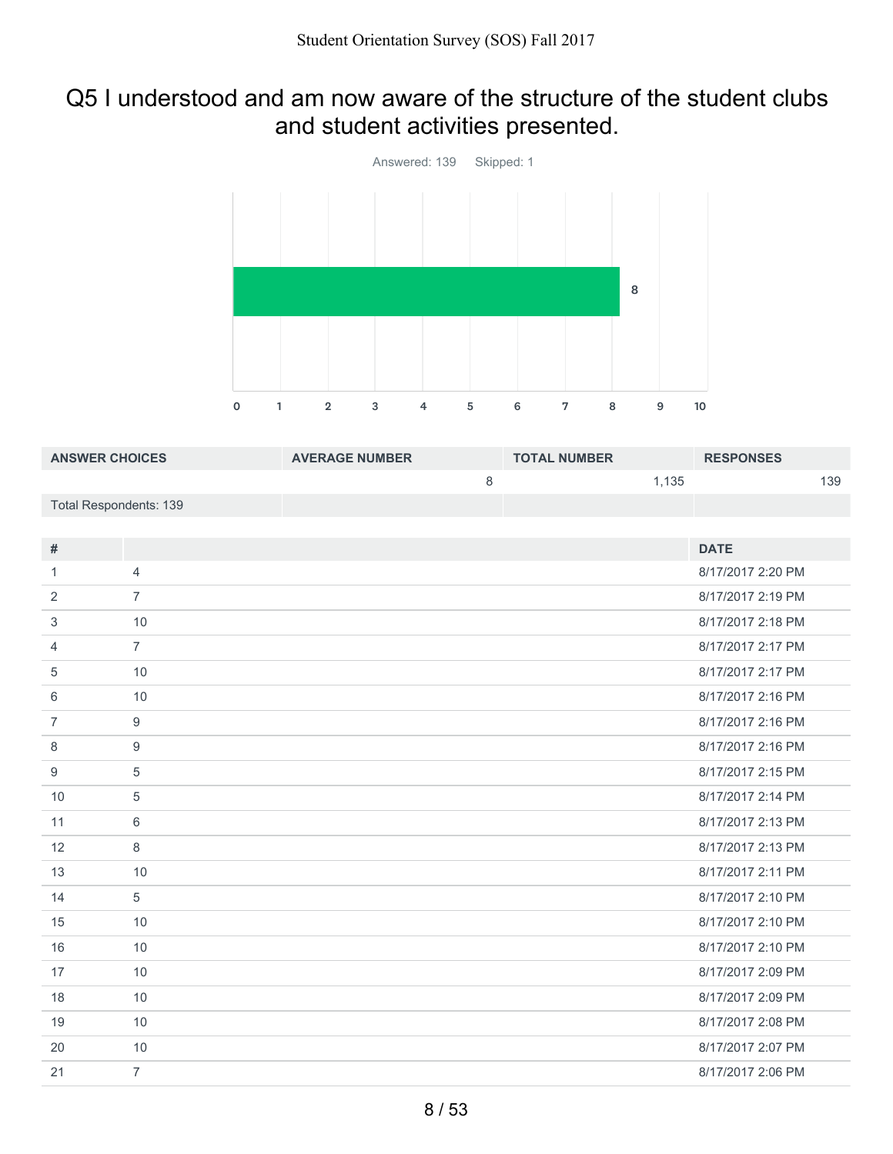# Q5 I understood and am now aware of the structure of the student clubs and student activities presented.



| <b>ANSWER CHOICES</b>         |                  | <b>AVERAGE NUMBER</b> |         | <b>TOTAL NUMBER</b> |       | <b>RESPONSES</b>  |     |
|-------------------------------|------------------|-----------------------|---------|---------------------|-------|-------------------|-----|
|                               |                  |                       | $\,8\,$ |                     | 1,135 |                   | 139 |
| <b>Total Respondents: 139</b> |                  |                       |         |                     |       |                   |     |
|                               |                  |                       |         |                     |       |                   |     |
| #                             |                  |                       |         |                     |       | <b>DATE</b>       |     |
| $\mathbf{1}$                  | $\overline{4}$   |                       |         |                     |       | 8/17/2017 2:20 PM |     |
| 2                             | $\overline{7}$   |                       |         |                     |       | 8/17/2017 2:19 PM |     |
| 3                             | 10               |                       |         |                     |       | 8/17/2017 2:18 PM |     |
| 4                             | $\overline{7}$   |                       |         |                     |       | 8/17/2017 2:17 PM |     |
| 5                             | 10               |                       |         |                     |       | 8/17/2017 2:17 PM |     |
| 6                             | 10               |                       |         |                     |       | 8/17/2017 2:16 PM |     |
| $\overline{7}$                | 9                |                       |         |                     |       | 8/17/2017 2:16 PM |     |
| 8                             | $\boldsymbol{9}$ |                       |         |                     |       | 8/17/2017 2:16 PM |     |
| 9                             | 5                |                       |         |                     |       | 8/17/2017 2:15 PM |     |
| 10                            | $\sqrt{5}$       |                       |         |                     |       | 8/17/2017 2:14 PM |     |
| 11                            | 6                |                       |         |                     |       | 8/17/2017 2:13 PM |     |
| 12                            | $\,8\,$          |                       |         |                     |       | 8/17/2017 2:13 PM |     |
| 13                            | 10               |                       |         |                     |       | 8/17/2017 2:11 PM |     |
| 14                            | 5                |                       |         |                     |       | 8/17/2017 2:10 PM |     |
| 15                            | 10               |                       |         |                     |       | 8/17/2017 2:10 PM |     |
| 16                            | 10               |                       |         |                     |       | 8/17/2017 2:10 PM |     |
| 17                            | 10               |                       |         |                     |       | 8/17/2017 2:09 PM |     |
| 18                            | 10               |                       |         |                     |       | 8/17/2017 2:09 PM |     |
| 19                            | 10               |                       |         |                     |       | 8/17/2017 2:08 PM |     |
| 20                            | 10               |                       |         |                     |       | 8/17/2017 2:07 PM |     |
| 21                            | $\overline{7}$   |                       |         |                     |       | 8/17/2017 2:06 PM |     |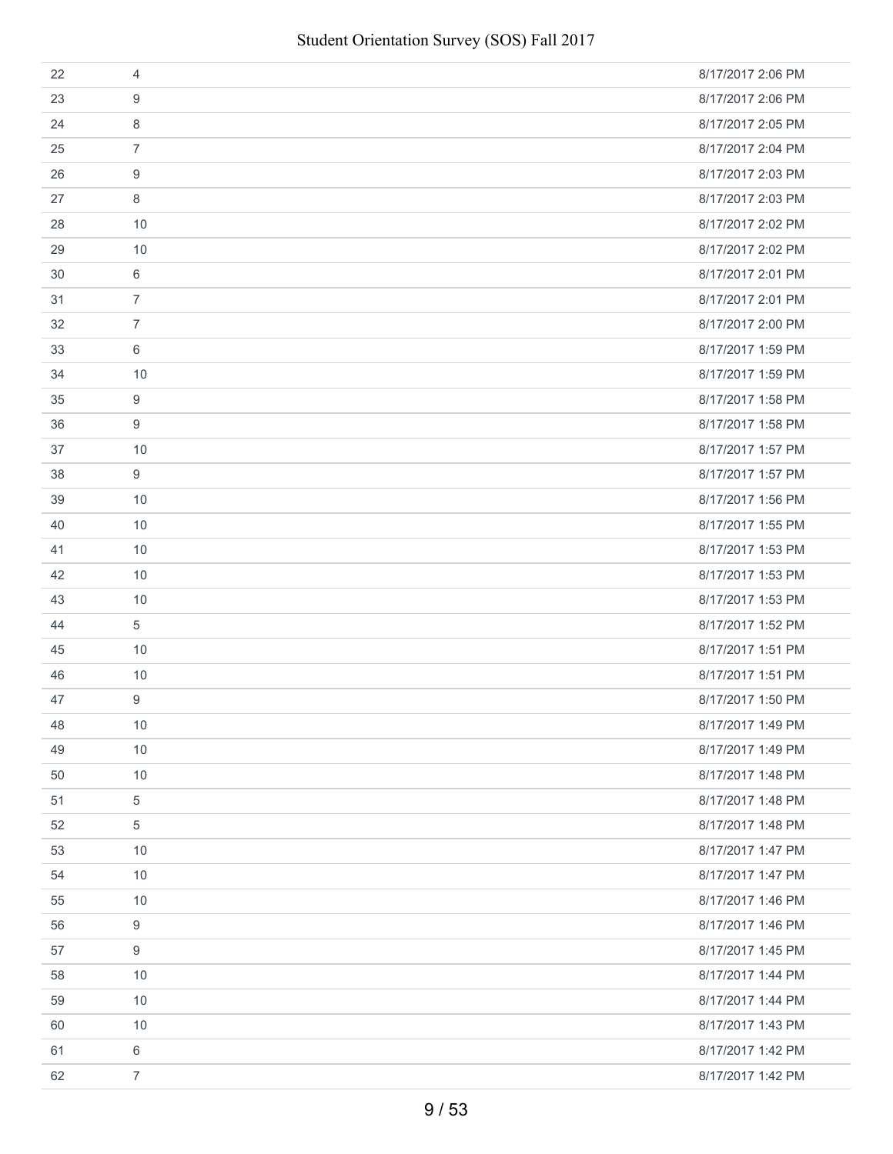| 22 | 4              | 8/17/2017 2:06 PM |
|----|----------------|-------------------|
| 23 | 9              | 8/17/2017 2:06 PM |
| 24 | 8              | 8/17/2017 2:05 PM |
| 25 | $\overline{7}$ | 8/17/2017 2:04 PM |
| 26 | 9              | 8/17/2017 2:03 PM |
| 27 | 8              | 8/17/2017 2:03 PM |
| 28 | 10             | 8/17/2017 2:02 PM |
| 29 | 10             | 8/17/2017 2:02 PM |
| 30 | 6              | 8/17/2017 2:01 PM |
| 31 | $\overline{7}$ | 8/17/2017 2:01 PM |
| 32 | $\overline{7}$ | 8/17/2017 2:00 PM |
| 33 | 6              | 8/17/2017 1:59 PM |
| 34 | 10             | 8/17/2017 1:59 PM |
| 35 | 9              | 8/17/2017 1:58 PM |
| 36 | 9              | 8/17/2017 1:58 PM |
| 37 | 10             | 8/17/2017 1:57 PM |
| 38 | 9              | 8/17/2017 1:57 PM |
| 39 | 10             | 8/17/2017 1:56 PM |
| 40 | 10             | 8/17/2017 1:55 PM |
| 41 | 10             | 8/17/2017 1:53 PM |
| 42 | 10             | 8/17/2017 1:53 PM |
| 43 | 10             | 8/17/2017 1:53 PM |
| 44 | 5              | 8/17/2017 1:52 PM |
| 45 | 10             | 8/17/2017 1:51 PM |
| 46 | 10             | 8/17/2017 1:51 PM |
| 47 | 9              | 8/17/2017 1:50 PM |
| 48 | 10             | 8/17/2017 1:49 PM |
| 49 | 10             | 8/17/2017 1:49 PM |
| 50 | 10             | 8/17/2017 1:48 PM |
| 51 | $\,$ 5 $\,$    | 8/17/2017 1:48 PM |
| 52 | 5              | 8/17/2017 1:48 PM |
| 53 | 10             | 8/17/2017 1:47 PM |
| 54 | 10             | 8/17/2017 1:47 PM |
| 55 | 10             | 8/17/2017 1:46 PM |
| 56 | 9              | 8/17/2017 1:46 PM |
| 57 | 9              | 8/17/2017 1:45 PM |
| 58 | 10             | 8/17/2017 1:44 PM |
| 59 | 10             | 8/17/2017 1:44 PM |
| 60 | 10             | 8/17/2017 1:43 PM |
| 61 | $6\,$          | 8/17/2017 1:42 PM |
| 62 | $\overline{7}$ | 8/17/2017 1:42 PM |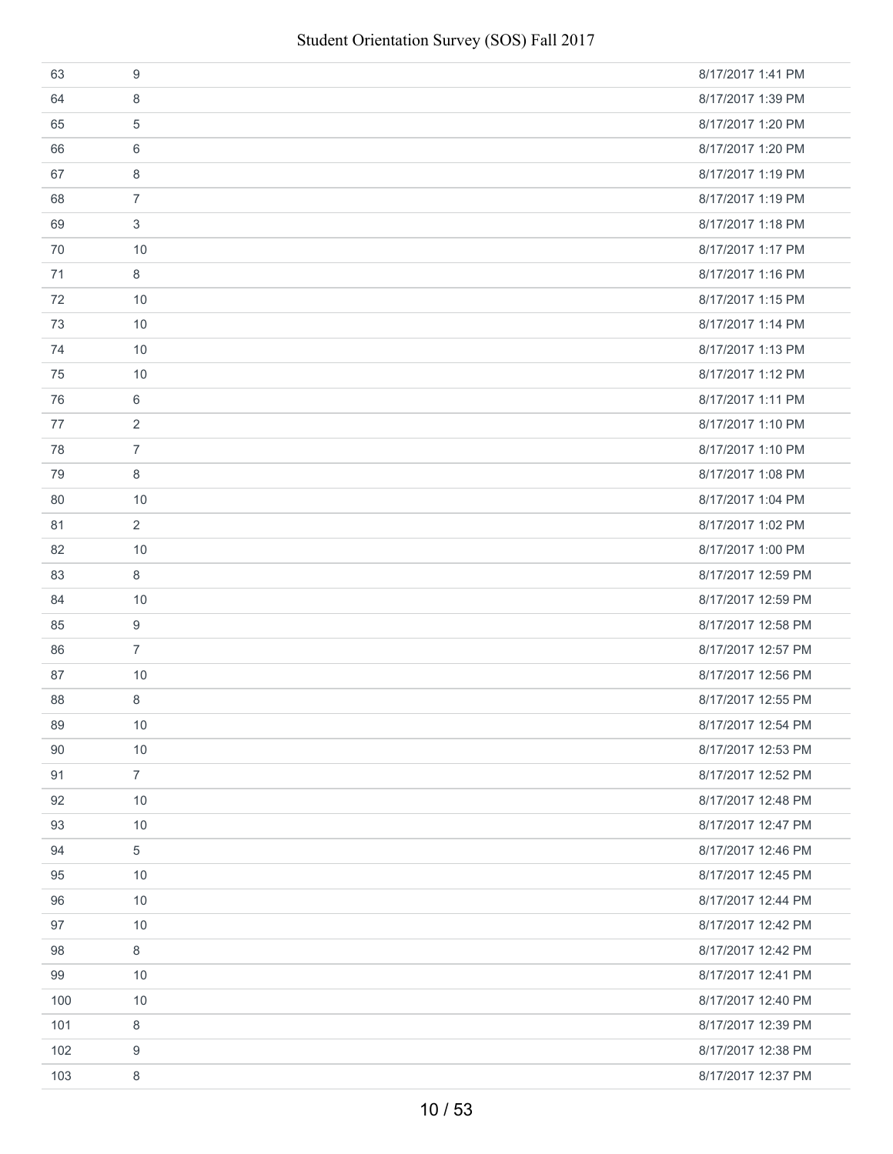| 63  | 9              | 8/17/2017 1:41 PM  |
|-----|----------------|--------------------|
| 64  | 8              | 8/17/2017 1:39 PM  |
| 65  | 5              | 8/17/2017 1:20 PM  |
| 66  | 6              | 8/17/2017 1:20 PM  |
| 67  | 8              | 8/17/2017 1:19 PM  |
| 68  | $\overline{7}$ | 8/17/2017 1:19 PM  |
| 69  | 3              | 8/17/2017 1:18 PM  |
| 70  | 10             | 8/17/2017 1:17 PM  |
| 71  | 8              | 8/17/2017 1:16 PM  |
| 72  | 10             | 8/17/2017 1:15 PM  |
| 73  | 10             | 8/17/2017 1:14 PM  |
| 74  | 10             | 8/17/2017 1:13 PM  |
| 75  | 10             | 8/17/2017 1:12 PM  |
| 76  | 6              | 8/17/2017 1:11 PM  |
| 77  | 2              | 8/17/2017 1:10 PM  |
| 78  | $\overline{7}$ | 8/17/2017 1:10 PM  |
| 79  | 8              | 8/17/2017 1:08 PM  |
| 80  | 10             | 8/17/2017 1:04 PM  |
| 81  | $\overline{2}$ | 8/17/2017 1:02 PM  |
| 82  | 10             | 8/17/2017 1:00 PM  |
| 83  | 8              | 8/17/2017 12:59 PM |
| 84  | 10             | 8/17/2017 12:59 PM |
| 85  | 9              | 8/17/2017 12:58 PM |
| 86  | $\overline{7}$ | 8/17/2017 12:57 PM |
| 87  | 10             | 8/17/2017 12:56 PM |
| 88  | 8              | 8/17/2017 12:55 PM |
| 89  | 10             | 8/17/2017 12:54 PM |
| 90  | 10             | 8/17/2017 12:53 PM |
| 91  | $\overline{7}$ | 8/17/2017 12:52 PM |
| 92  | 10             | 8/17/2017 12:48 PM |
| 93  | 10             | 8/17/2017 12:47 PM |
| 94  | $\sqrt{5}$     | 8/17/2017 12:46 PM |
| 95  | 10             | 8/17/2017 12:45 PM |
| 96  | 10             | 8/17/2017 12:44 PM |
| 97  | 10             | 8/17/2017 12:42 PM |
| 98  | 8              | 8/17/2017 12:42 PM |
| 99  | 10             | 8/17/2017 12:41 PM |
| 100 | 10             | 8/17/2017 12:40 PM |
| 101 | 8              | 8/17/2017 12:39 PM |
| 102 | 9              | 8/17/2017 12:38 PM |
| 103 | 8              | 8/17/2017 12:37 PM |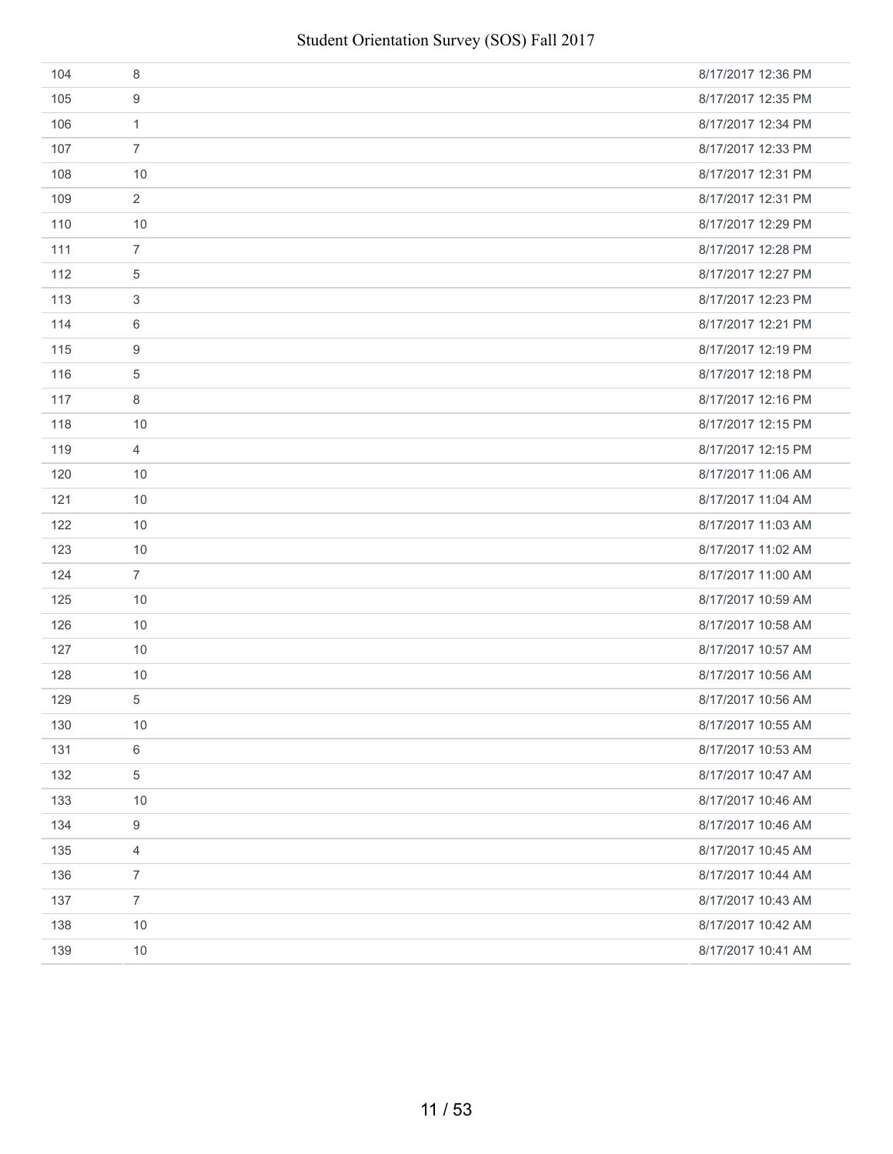| 104 | 8              | 8/17/2017 12:36 PM |
|-----|----------------|--------------------|
| 105 | 9              | 8/17/2017 12:35 PM |
| 106 | $\mathbf{1}$   | 8/17/2017 12:34 PM |
| 107 | $\overline{7}$ | 8/17/2017 12:33 PM |
| 108 | 10             | 8/17/2017 12:31 PM |
| 109 | $\overline{2}$ | 8/17/2017 12:31 PM |
| 110 | 10             | 8/17/2017 12:29 PM |
| 111 | $\overline{7}$ | 8/17/2017 12:28 PM |
| 112 | 5              | 8/17/2017 12:27 PM |
| 113 | 3              | 8/17/2017 12:23 PM |
| 114 | 6              | 8/17/2017 12:21 PM |
| 115 | 9              | 8/17/2017 12:19 PM |
| 116 | 5              | 8/17/2017 12:18 PM |
| 117 | 8              | 8/17/2017 12:16 PM |
| 118 | 10             | 8/17/2017 12:15 PM |
| 119 | $\overline{4}$ | 8/17/2017 12:15 PM |
| 120 | 10             | 8/17/2017 11:06 AM |
| 121 | 10             | 8/17/2017 11:04 AM |
| 122 | 10             | 8/17/2017 11:03 AM |
| 123 | 10             | 8/17/2017 11:02 AM |
| 124 | $\overline{7}$ | 8/17/2017 11:00 AM |
| 125 | 10             | 8/17/2017 10:59 AM |
| 126 | 10             | 8/17/2017 10:58 AM |
| 127 | 10             | 8/17/2017 10:57 AM |
| 128 | 10             | 8/17/2017 10:56 AM |
| 129 | $\sqrt{5}$     | 8/17/2017 10:56 AM |
| 130 | $10$           | 8/17/2017 10:55 AM |
| 131 | $\,6$          | 8/17/2017 10:53 AM |
| 132 | $\,$ 5 $\,$    | 8/17/2017 10:47 AM |
| 133 | $10$           | 8/17/2017 10:46 AM |
| 134 | 9              | 8/17/2017 10:46 AM |
| 135 | $\overline{4}$ | 8/17/2017 10:45 AM |
| 136 | $\overline{7}$ | 8/17/2017 10:44 AM |
| 137 | $\overline{7}$ | 8/17/2017 10:43 AM |
| 138 | 10             | 8/17/2017 10:42 AM |
| 139 | 10             | 8/17/2017 10:41 AM |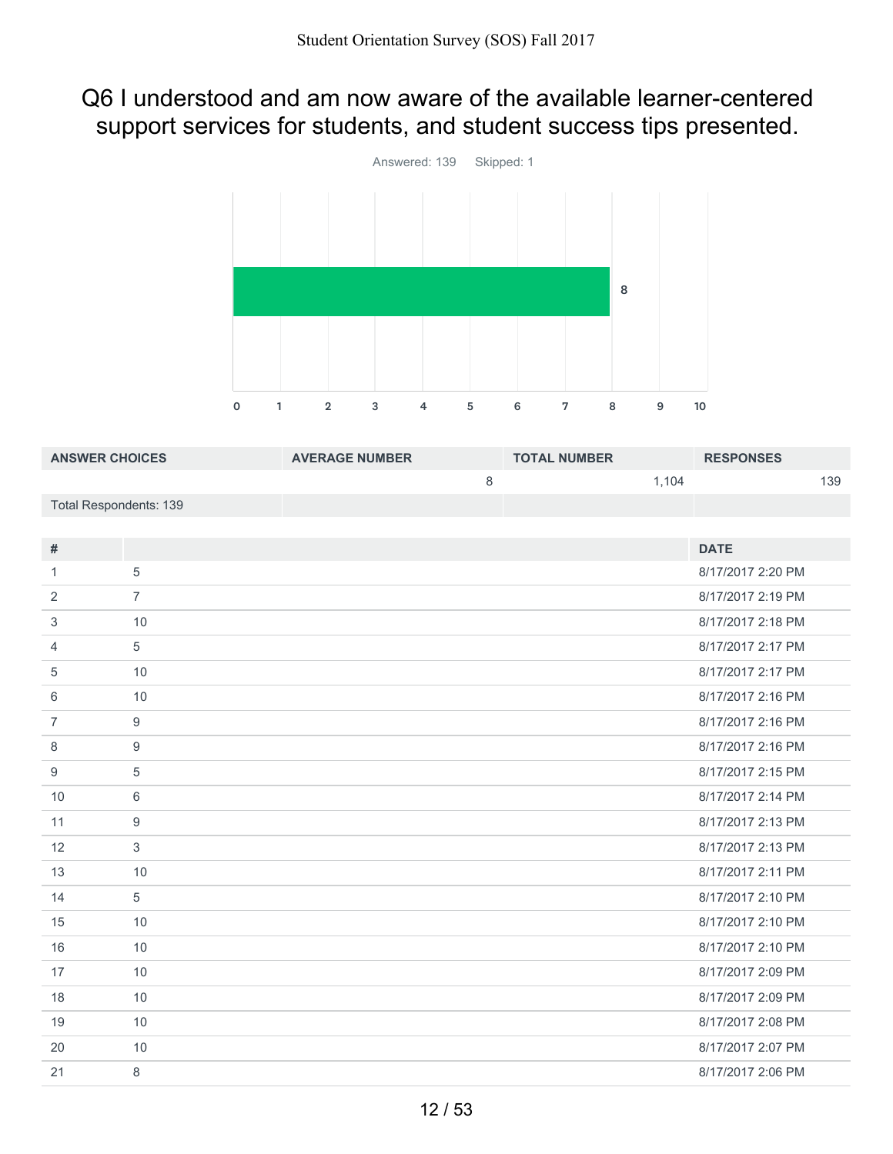# Q6 I understood and am now aware of the available learner-centered support services for students, and student success tips presented.



| <b>ANSWER CHOICES</b>         |                  | <b>AVERAGE NUMBER</b> |   | <b>TOTAL NUMBER</b> |       | <b>RESPONSES</b>  |     |
|-------------------------------|------------------|-----------------------|---|---------------------|-------|-------------------|-----|
|                               |                  |                       | 8 |                     | 1,104 |                   | 139 |
| <b>Total Respondents: 139</b> |                  |                       |   |                     |       |                   |     |
|                               |                  |                       |   |                     |       |                   |     |
| $\#$                          |                  |                       |   |                     |       | <b>DATE</b>       |     |
| $\mathbf{1}$                  | $\sqrt{5}$       |                       |   |                     |       | 8/17/2017 2:20 PM |     |
| $\overline{2}$                | $\overline{7}$   |                       |   |                     |       | 8/17/2017 2:19 PM |     |
| 3                             | 10               |                       |   |                     |       | 8/17/2017 2:18 PM |     |
| 4                             | $\overline{5}$   |                       |   |                     |       | 8/17/2017 2:17 PM |     |
| 5                             | 10               |                       |   |                     |       | 8/17/2017 2:17 PM |     |
| 6                             | 10               |                       |   |                     |       | 8/17/2017 2:16 PM |     |
| $\overline{7}$                | 9                |                       |   |                     |       | 8/17/2017 2:16 PM |     |
| 8                             | $9$              |                       |   |                     |       | 8/17/2017 2:16 PM |     |
| 9                             | 5                |                       |   |                     |       | 8/17/2017 2:15 PM |     |
| 10                            | 6                |                       |   |                     |       | 8/17/2017 2:14 PM |     |
| 11                            | $\boldsymbol{9}$ |                       |   |                     |       | 8/17/2017 2:13 PM |     |
| 12                            | $\mathbf{3}$     |                       |   |                     |       | 8/17/2017 2:13 PM |     |
| 13                            | 10               |                       |   |                     |       | 8/17/2017 2:11 PM |     |
| 14                            | 5                |                       |   |                     |       | 8/17/2017 2:10 PM |     |
| 15                            | 10               |                       |   |                     |       | 8/17/2017 2:10 PM |     |
| 16                            | 10               |                       |   |                     |       | 8/17/2017 2:10 PM |     |
| 17                            | 10               |                       |   |                     |       | 8/17/2017 2:09 PM |     |
| 18                            | 10               |                       |   |                     |       | 8/17/2017 2:09 PM |     |
| 19                            | 10               |                       |   |                     |       | 8/17/2017 2:08 PM |     |
| 20                            | 10               |                       |   |                     |       | 8/17/2017 2:07 PM |     |
| 21                            | 8                |                       |   |                     |       | 8/17/2017 2:06 PM |     |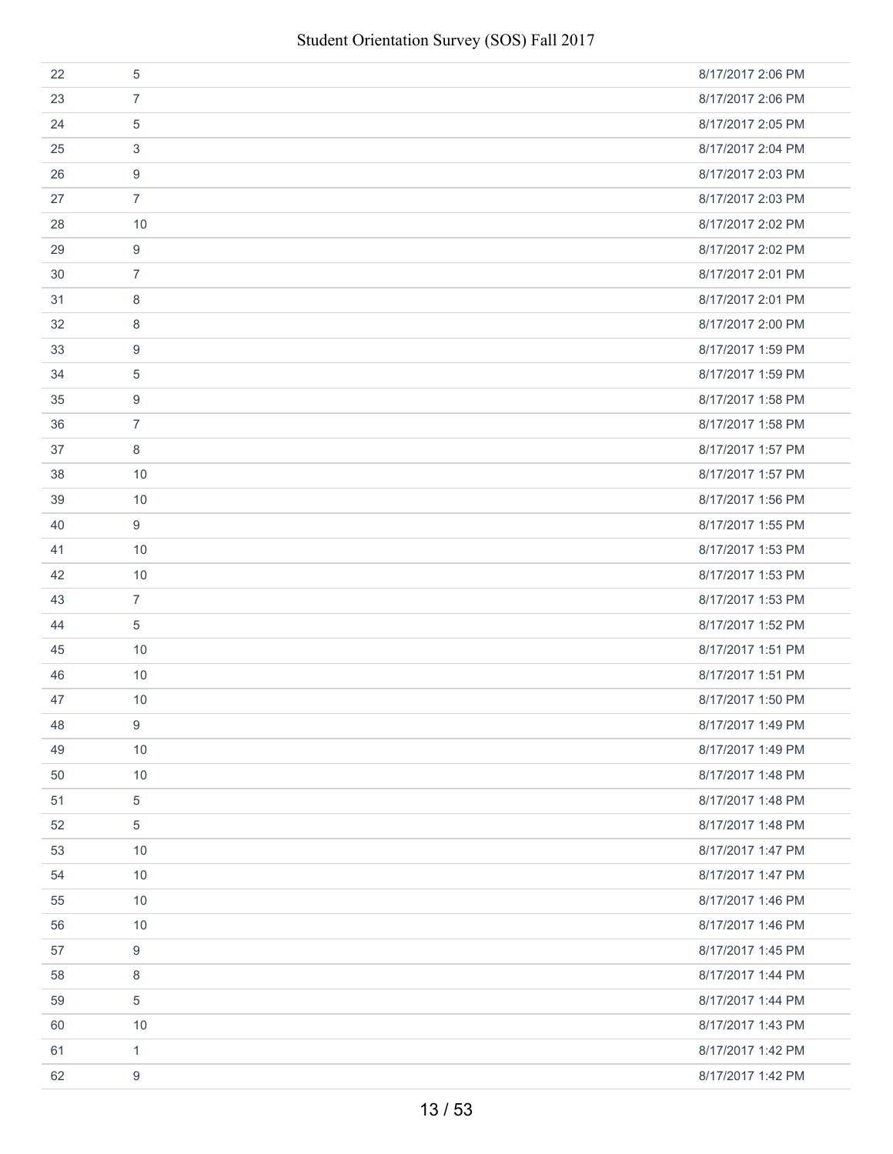| 22 | 5                | 8/17/2017 2:06 PM |
|----|------------------|-------------------|
| 23 | $\overline{7}$   | 8/17/2017 2:06 PM |
| 24 | 5                | 8/17/2017 2:05 PM |
| 25 | 3                | 8/17/2017 2:04 PM |
| 26 | 9                | 8/17/2017 2:03 PM |
| 27 | $\overline{7}$   | 8/17/2017 2:03 PM |
| 28 | 10               | 8/17/2017 2:02 PM |
| 29 | 9                | 8/17/2017 2:02 PM |
| 30 | $\overline{7}$   | 8/17/2017 2:01 PM |
| 31 | 8                | 8/17/2017 2:01 PM |
| 32 | 8                | 8/17/2017 2:00 PM |
| 33 | 9                | 8/17/2017 1:59 PM |
| 34 | 5                | 8/17/2017 1:59 PM |
| 35 | 9                | 8/17/2017 1:58 PM |
| 36 | $\overline{7}$   | 8/17/2017 1:58 PM |
| 37 | 8                | 8/17/2017 1:57 PM |
| 38 | 10               | 8/17/2017 1:57 PM |
| 39 | 10               | 8/17/2017 1:56 PM |
| 40 | 9                | 8/17/2017 1:55 PM |
| 41 | 10               | 8/17/2017 1:53 PM |
| 42 | 10               | 8/17/2017 1:53 PM |
| 43 | $\overline{7}$   | 8/17/2017 1:53 PM |
| 44 | 5                | 8/17/2017 1:52 PM |
| 45 | 10               | 8/17/2017 1:51 PM |
| 46 | 10               | 8/17/2017 1:51 PM |
| 47 | 10               | 8/17/2017 1:50 PM |
| 48 | 9                | 8/17/2017 1:49 PM |
| 49 | 10               | 8/17/2017 1:49 PM |
| 50 | 10               | 8/17/2017 1:48 PM |
| 51 | $\sqrt{5}$       | 8/17/2017 1:48 PM |
| 52 | 5                | 8/17/2017 1:48 PM |
| 53 | 10               | 8/17/2017 1:47 PM |
| 54 | 10               | 8/17/2017 1:47 PM |
| 55 | 10               | 8/17/2017 1:46 PM |
| 56 | 10               | 8/17/2017 1:46 PM |
| 57 | 9                | 8/17/2017 1:45 PM |
| 58 | 8                | 8/17/2017 1:44 PM |
| 59 | $\sqrt{5}$       | 8/17/2017 1:44 PM |
| 60 | 10               | 8/17/2017 1:43 PM |
| 61 | $\mathbf{1}$     | 8/17/2017 1:42 PM |
| 62 | $\boldsymbol{9}$ | 8/17/2017 1:42 PM |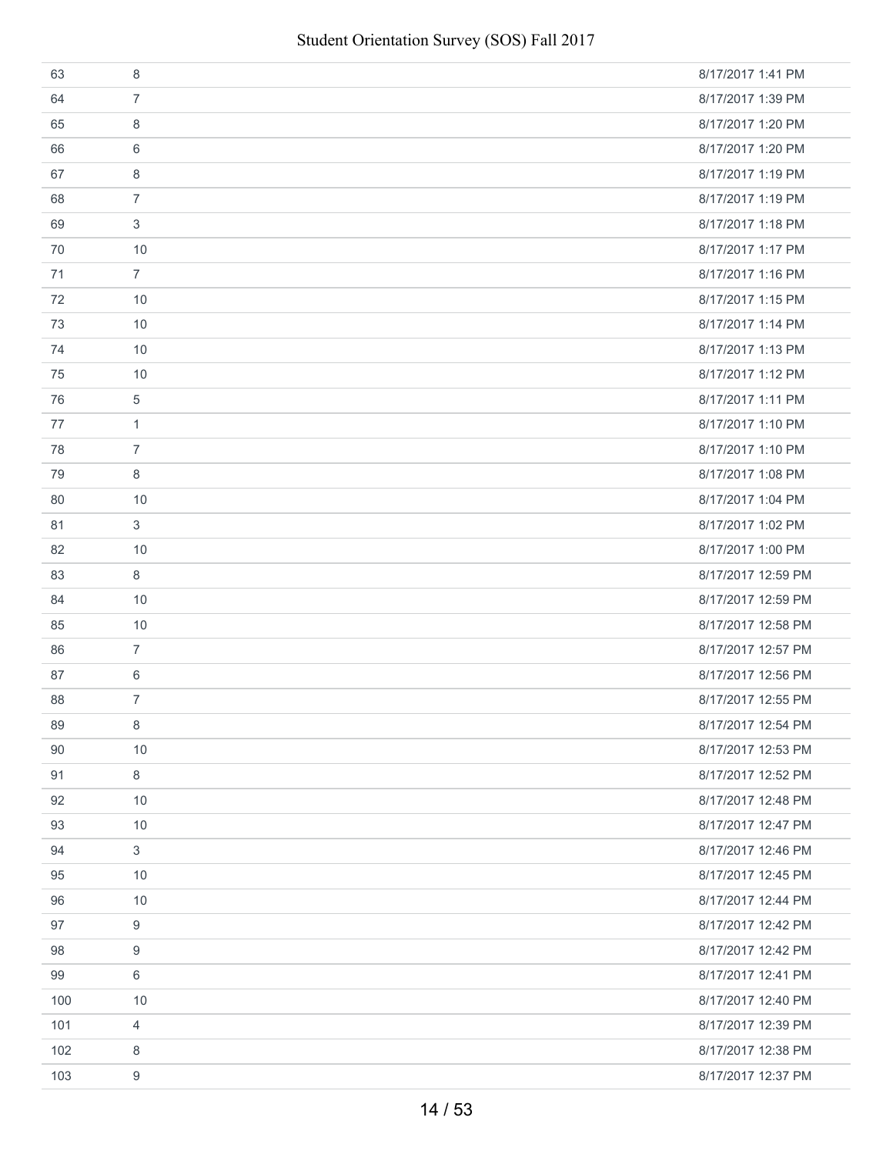| 63  | 8              | 8/17/2017 1:41 PM  |
|-----|----------------|--------------------|
| 64  | $\overline{7}$ | 8/17/2017 1:39 PM  |
| 65  | 8              | 8/17/2017 1:20 PM  |
| 66  | 6              | 8/17/2017 1:20 PM  |
| 67  | 8              | 8/17/2017 1:19 PM  |
| 68  | $\overline{7}$ | 8/17/2017 1:19 PM  |
| 69  | 3              | 8/17/2017 1:18 PM  |
| 70  | 10             | 8/17/2017 1:17 PM  |
| 71  | $\overline{7}$ | 8/17/2017 1:16 PM  |
| 72  | 10             | 8/17/2017 1:15 PM  |
| 73  | 10             | 8/17/2017 1:14 PM  |
| 74  | 10             | 8/17/2017 1:13 PM  |
| 75  | 10             | 8/17/2017 1:12 PM  |
| 76  | 5              | 8/17/2017 1:11 PM  |
| 77  | $\mathbf{1}$   | 8/17/2017 1:10 PM  |
| 78  | $\overline{7}$ | 8/17/2017 1:10 PM  |
| 79  | 8              | 8/17/2017 1:08 PM  |
| 80  | 10             | 8/17/2017 1:04 PM  |
| 81  | 3              | 8/17/2017 1:02 PM  |
| 82  | 10             | 8/17/2017 1:00 PM  |
| 83  | 8              | 8/17/2017 12:59 PM |
| 84  | 10             | 8/17/2017 12:59 PM |
| 85  | 10             | 8/17/2017 12:58 PM |
| 86  | $\overline{7}$ | 8/17/2017 12:57 PM |
| 87  | 6              | 8/17/2017 12:56 PM |
| 88  | $\overline{7}$ | 8/17/2017 12:55 PM |
| 89  | 8              | 8/17/2017 12:54 PM |
| 90  | 10             | 8/17/2017 12:53 PM |
| 91  | 8              | 8/17/2017 12:52 PM |
| 92  | 10             | 8/17/2017 12:48 PM |
| 93  | 10             | 8/17/2017 12:47 PM |
| 94  | $\mathfrak{S}$ | 8/17/2017 12:46 PM |
| 95  | 10             | 8/17/2017 12:45 PM |
| 96  | 10             | 8/17/2017 12:44 PM |
| 97  | 9              | 8/17/2017 12:42 PM |
| 98  | 9              | 8/17/2017 12:42 PM |
| 99  | 6              | 8/17/2017 12:41 PM |
| 100 | 10             | 8/17/2017 12:40 PM |
| 101 | 4              | 8/17/2017 12:39 PM |
| 102 | 8              | 8/17/2017 12:38 PM |
| 103 | 9              | 8/17/2017 12:37 PM |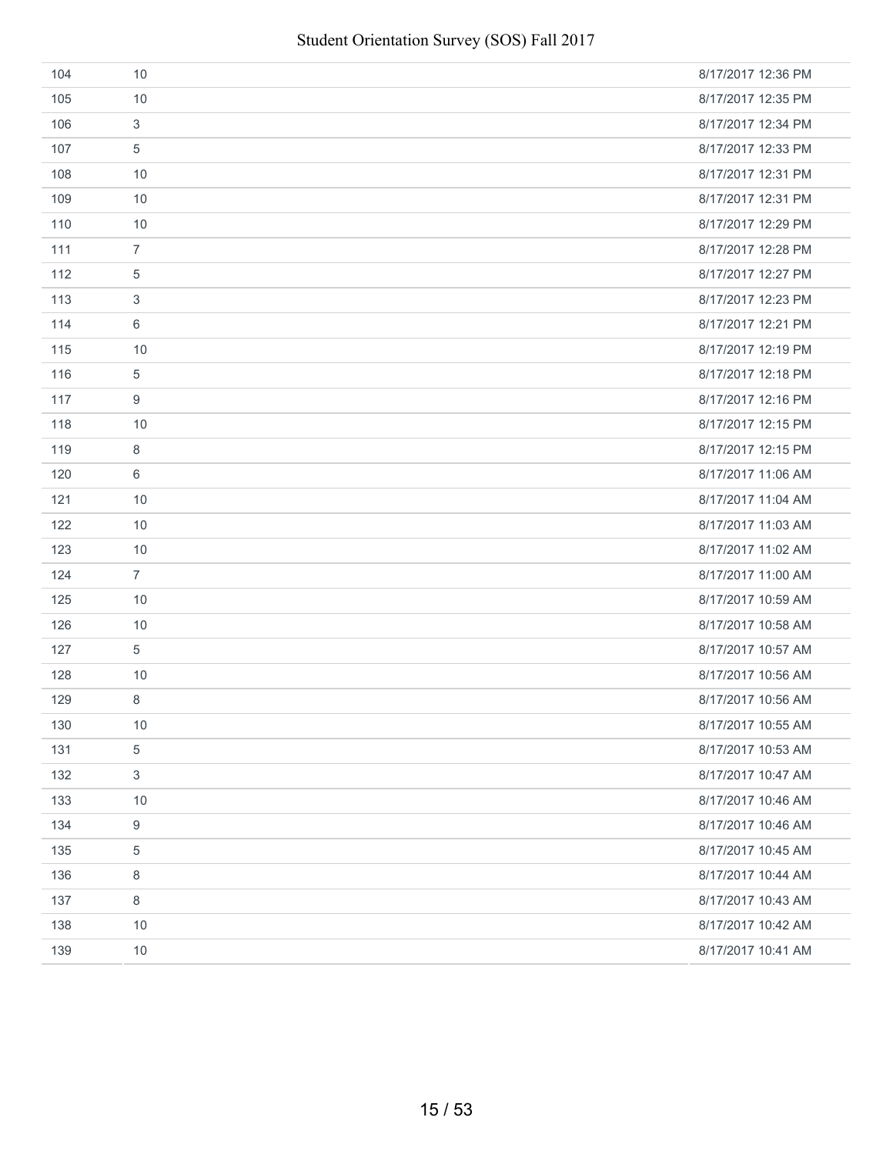| 104 | 10                        | 8/17/2017 12:36 PM |
|-----|---------------------------|--------------------|
| 105 | 10                        | 8/17/2017 12:35 PM |
| 106 | $\ensuremath{\mathsf{3}}$ | 8/17/2017 12:34 PM |
| 107 | 5                         | 8/17/2017 12:33 PM |
| 108 | 10                        | 8/17/2017 12:31 PM |
| 109 | 10                        | 8/17/2017 12:31 PM |
| 110 | 10                        | 8/17/2017 12:29 PM |
| 111 | $\overline{7}$            | 8/17/2017 12:28 PM |
| 112 | 5                         | 8/17/2017 12:27 PM |
| 113 | 3                         | 8/17/2017 12:23 PM |
| 114 | 6                         | 8/17/2017 12:21 PM |
| 115 | 10                        | 8/17/2017 12:19 PM |
| 116 | $\sqrt{5}$                | 8/17/2017 12:18 PM |
| 117 | 9                         | 8/17/2017 12:16 PM |
| 118 | 10                        | 8/17/2017 12:15 PM |
| 119 | 8                         | 8/17/2017 12:15 PM |
| 120 | 6                         | 8/17/2017 11:06 AM |
| 121 | 10                        | 8/17/2017 11:04 AM |
| 122 | 10                        | 8/17/2017 11:03 AM |
| 123 | 10                        | 8/17/2017 11:02 AM |
| 124 | $\overline{7}$            | 8/17/2017 11:00 AM |
| 125 | 10                        | 8/17/2017 10:59 AM |
| 126 | 10                        | 8/17/2017 10:58 AM |
| 127 | 5                         | 8/17/2017 10:57 AM |
| 128 | 10                        | 8/17/2017 10:56 AM |
| 129 | $\,8\,$                   | 8/17/2017 10:56 AM |
| 130 | 10                        | 8/17/2017 10:55 AM |
| 131 | $\mathbf 5$               | 8/17/2017 10:53 AM |
| 132 | $\mathbf{3}$              | 8/17/2017 10:47 AM |
| 133 | 10                        | 8/17/2017 10:46 AM |
| 134 | 9                         | 8/17/2017 10:46 AM |
| 135 | 5                         | 8/17/2017 10:45 AM |
| 136 | 8                         | 8/17/2017 10:44 AM |
| 137 | 8                         | 8/17/2017 10:43 AM |
| 138 | 10                        | 8/17/2017 10:42 AM |
| 139 | 10                        | 8/17/2017 10:41 AM |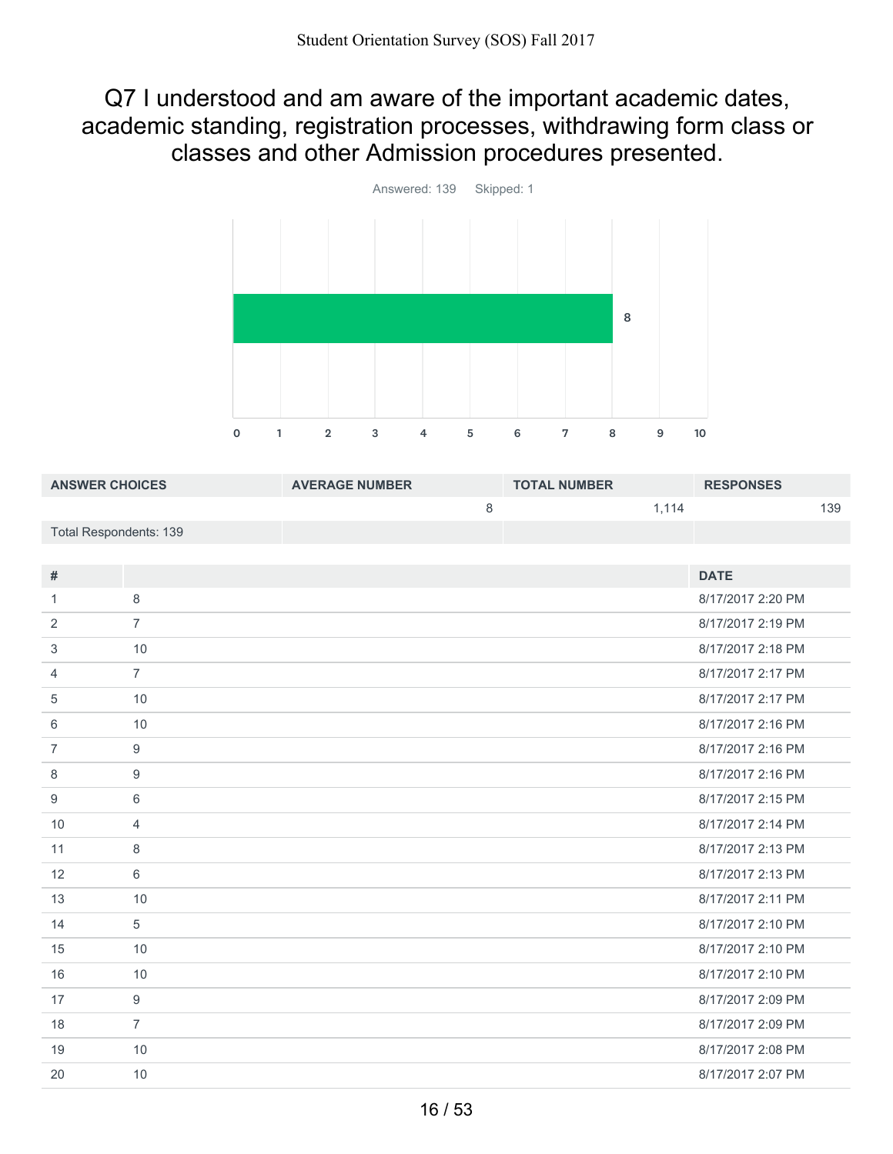Q7 I understood and am aware of the important academic dates, academic standing, registration processes, withdrawing form class or classes and other Admission procedures presented.



| <b>ANSWER CHOICES</b>  | <b>AVERAGE NUMBER</b> | <b>TOTAL NUMBER</b> | <b>RESPONSES</b> |
|------------------------|-----------------------|---------------------|------------------|
|                        |                       | 1.114               | 139              |
| Total Respondents: 139 |                       |                     |                  |

| #              |                | <b>DATE</b>       |
|----------------|----------------|-------------------|
| 1              | 8              | 8/17/2017 2:20 PM |
| 2              | $\overline{7}$ | 8/17/2017 2:19 PM |
| 3              | 10             | 8/17/2017 2:18 PM |
| 4              | $\overline{7}$ | 8/17/2017 2:17 PM |
| 5              | 10             | 8/17/2017 2:17 PM |
| 6              | 10             | 8/17/2017 2:16 PM |
| $\overline{7}$ | $9$            | 8/17/2017 2:16 PM |
| 8              | 9              | 8/17/2017 2:16 PM |
| 9              | 6              | 8/17/2017 2:15 PM |
| 10             | $\overline{4}$ | 8/17/2017 2:14 PM |
| 11             | 8              | 8/17/2017 2:13 PM |
| 12             | 6              | 8/17/2017 2:13 PM |
| 13             | 10             | 8/17/2017 2:11 PM |
| 14             | 5              | 8/17/2017 2:10 PM |
| 15             | 10             | 8/17/2017 2:10 PM |
| 16             | 10             | 8/17/2017 2:10 PM |
| 17             | 9              | 8/17/2017 2:09 PM |
| 18             | $\overline{7}$ | 8/17/2017 2:09 PM |
| 19             | 10             | 8/17/2017 2:08 PM |
| 20             | 10             | 8/17/2017 2:07 PM |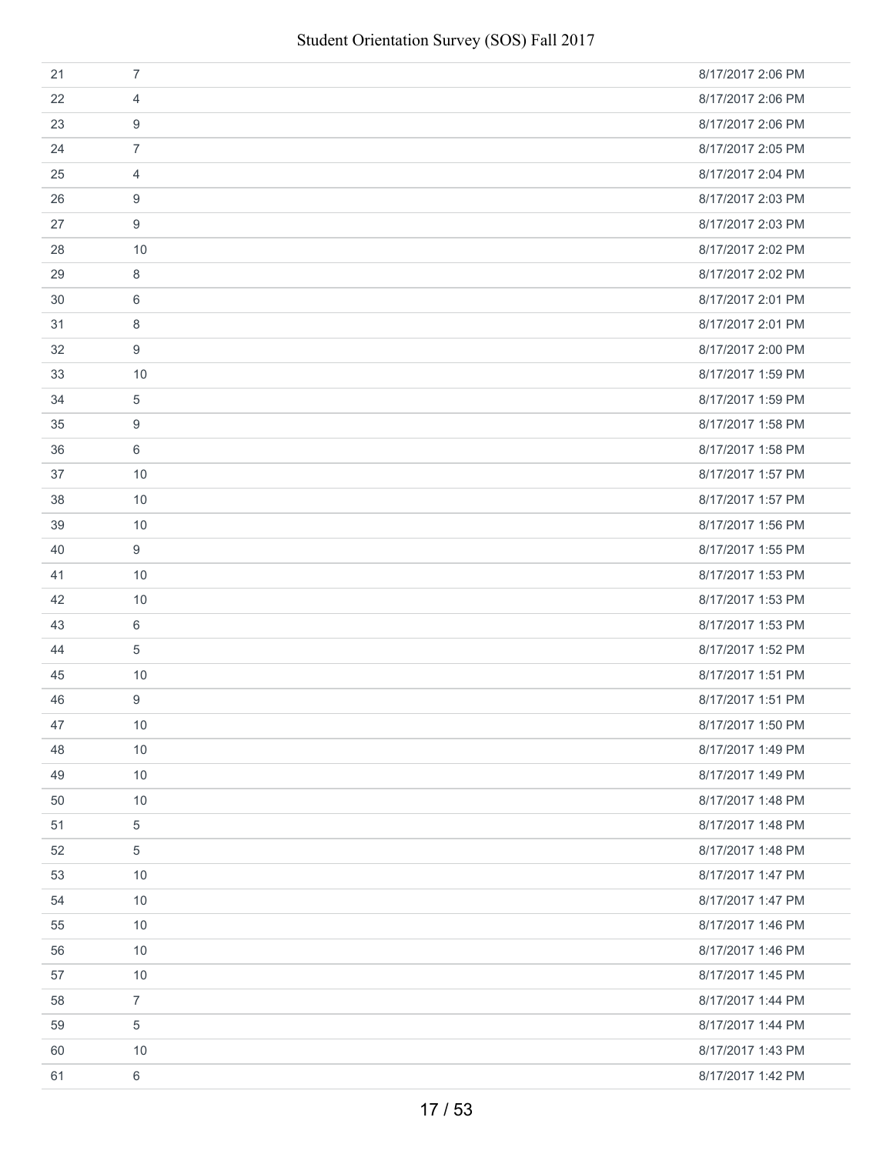| 21 | $\overline{7}$ | 8/17/2017 2:06 PM |
|----|----------------|-------------------|
| 22 | 4              | 8/17/2017 2:06 PM |
| 23 | 9              | 8/17/2017 2:06 PM |
| 24 | $\overline{7}$ | 8/17/2017 2:05 PM |
| 25 | $\overline{4}$ | 8/17/2017 2:04 PM |
| 26 | 9              | 8/17/2017 2:03 PM |
| 27 | 9              | 8/17/2017 2:03 PM |
| 28 | 10             | 8/17/2017 2:02 PM |
| 29 | 8              | 8/17/2017 2:02 PM |
| 30 | 6              | 8/17/2017 2:01 PM |
| 31 | 8              | 8/17/2017 2:01 PM |
| 32 | 9              | 8/17/2017 2:00 PM |
| 33 | 10             | 8/17/2017 1:59 PM |
| 34 | 5              | 8/17/2017 1:59 PM |
| 35 | 9              | 8/17/2017 1:58 PM |
| 36 | 6              | 8/17/2017 1:58 PM |
| 37 | 10             | 8/17/2017 1:57 PM |
| 38 | 10             | 8/17/2017 1:57 PM |
| 39 | 10             | 8/17/2017 1:56 PM |
| 40 | 9              | 8/17/2017 1:55 PM |
| 41 | 10             | 8/17/2017 1:53 PM |
| 42 | 10             | 8/17/2017 1:53 PM |
| 43 | 6              | 8/17/2017 1:53 PM |
| 44 | 5              | 8/17/2017 1:52 PM |
| 45 | 10             | 8/17/2017 1:51 PM |
| 46 | 9              | 8/17/2017 1:51 PM |
| 47 | 10             | 8/17/2017 1:50 PM |
| 48 | 10             | 8/17/2017 1:49 PM |
| 49 | 10             | 8/17/2017 1:49 PM |
| 50 | 10             | 8/17/2017 1:48 PM |
| 51 | 5              | 8/17/2017 1:48 PM |
| 52 | 5              | 8/17/2017 1:48 PM |
| 53 | 10             | 8/17/2017 1:47 PM |
| 54 | 10             | 8/17/2017 1:47 PM |
| 55 | 10             | 8/17/2017 1:46 PM |
| 56 | 10             | 8/17/2017 1:46 PM |
| 57 | 10             | 8/17/2017 1:45 PM |
| 58 | $\overline{7}$ | 8/17/2017 1:44 PM |
| 59 | 5              | 8/17/2017 1:44 PM |
| 60 | 10             | 8/17/2017 1:43 PM |
| 61 | 6              | 8/17/2017 1:42 PM |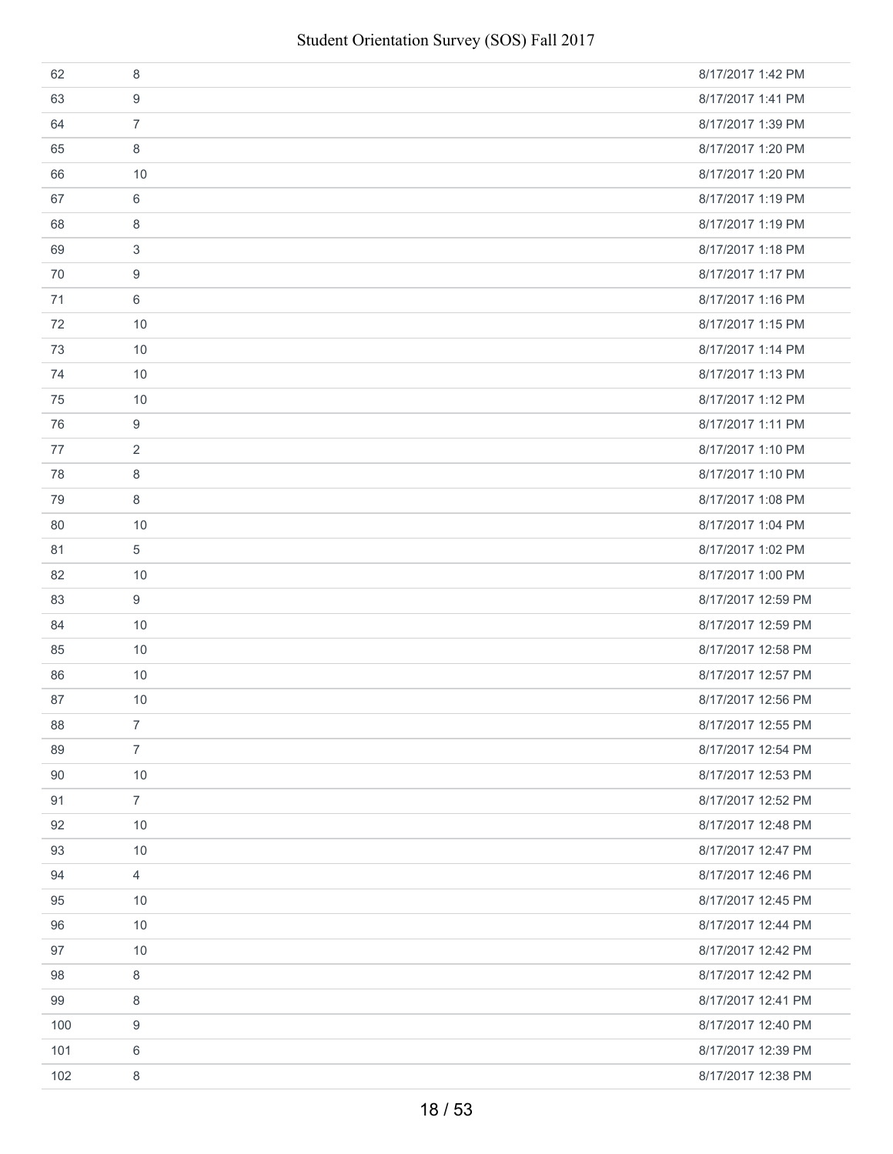| 62  | 8              | 8/17/2017 1:42 PM  |
|-----|----------------|--------------------|
| 63  | 9              | 8/17/2017 1:41 PM  |
| 64  | $\overline{7}$ | 8/17/2017 1:39 PM  |
| 65  | 8              | 8/17/2017 1:20 PM  |
| 66  | 10             | 8/17/2017 1:20 PM  |
| 67  | 6              | 8/17/2017 1:19 PM  |
| 68  | 8              | 8/17/2017 1:19 PM  |
| 69  | 3              | 8/17/2017 1:18 PM  |
| 70  | 9              | 8/17/2017 1:17 PM  |
| 71  | 6              | 8/17/2017 1:16 PM  |
| 72  | 10             | 8/17/2017 1:15 PM  |
| 73  | 10             | 8/17/2017 1:14 PM  |
| 74  | 10             | 8/17/2017 1:13 PM  |
| 75  | 10             | 8/17/2017 1:12 PM  |
| 76  | 9              | 8/17/2017 1:11 PM  |
| 77  | 2              | 8/17/2017 1:10 PM  |
| 78  | 8              | 8/17/2017 1:10 PM  |
| 79  | 8              | 8/17/2017 1:08 PM  |
| 80  | 10             | 8/17/2017 1:04 PM  |
| 81  | 5              | 8/17/2017 1:02 PM  |
| 82  | 10             | 8/17/2017 1:00 PM  |
| 83  | 9              | 8/17/2017 12:59 PM |
| 84  | 10             | 8/17/2017 12:59 PM |
| 85  | 10             | 8/17/2017 12:58 PM |
| 86  | 10             | 8/17/2017 12:57 PM |
| 87  | 10             | 8/17/2017 12:56 PM |
| 88  | $\overline{7}$ | 8/17/2017 12:55 PM |
| 89  | $\overline{7}$ | 8/17/2017 12:54 PM |
| 90  | 10             | 8/17/2017 12:53 PM |
| 91  | $\overline{7}$ | 8/17/2017 12:52 PM |
| 92  | 10             | 8/17/2017 12:48 PM |
| 93  | 10             | 8/17/2017 12:47 PM |
| 94  | $\overline{4}$ | 8/17/2017 12:46 PM |
| 95  | 10             | 8/17/2017 12:45 PM |
| 96  | 10             | 8/17/2017 12:44 PM |
| 97  | 10             | 8/17/2017 12:42 PM |
| 98  | 8              | 8/17/2017 12:42 PM |
| 99  | 8              | 8/17/2017 12:41 PM |
| 100 | 9              | 8/17/2017 12:40 PM |
| 101 | 6              | 8/17/2017 12:39 PM |
| 102 | 8              | 8/17/2017 12:38 PM |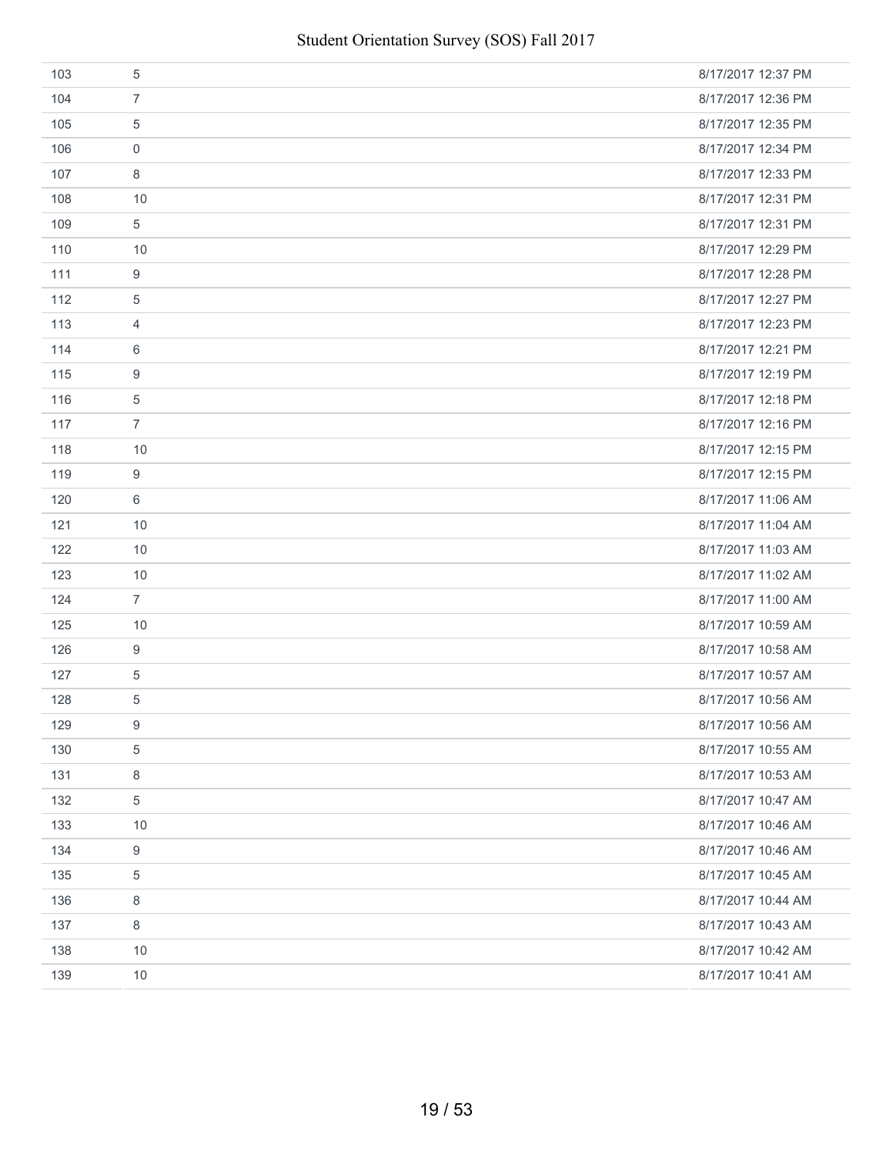| 103 | 5                | 8/17/2017 12:37 PM |
|-----|------------------|--------------------|
| 104 | $\overline{7}$   | 8/17/2017 12:36 PM |
| 105 | 5                | 8/17/2017 12:35 PM |
| 106 | $\mathbf 0$      | 8/17/2017 12:34 PM |
| 107 | 8                | 8/17/2017 12:33 PM |
| 108 | 10               | 8/17/2017 12:31 PM |
| 109 | 5                | 8/17/2017 12:31 PM |
| 110 | 10               | 8/17/2017 12:29 PM |
| 111 | 9                | 8/17/2017 12:28 PM |
| 112 | 5                | 8/17/2017 12:27 PM |
| 113 | $\overline{4}$   | 8/17/2017 12:23 PM |
| 114 | 6                | 8/17/2017 12:21 PM |
| 115 | 9                | 8/17/2017 12:19 PM |
| 116 | 5                | 8/17/2017 12:18 PM |
| 117 | $\overline{7}$   | 8/17/2017 12:16 PM |
| 118 | 10               | 8/17/2017 12:15 PM |
| 119 | 9                | 8/17/2017 12:15 PM |
| 120 | 6                | 8/17/2017 11:06 AM |
| 121 | 10               | 8/17/2017 11:04 AM |
| 122 | 10               | 8/17/2017 11:03 AM |
| 123 | 10               | 8/17/2017 11:02 AM |
| 124 | $\overline{7}$   | 8/17/2017 11:00 AM |
| 125 | 10               | 8/17/2017 10:59 AM |
| 126 | 9                | 8/17/2017 10:58 AM |
| 127 | $\,$ 5 $\,$      | 8/17/2017 10:57 AM |
| 128 | 5                | 8/17/2017 10:56 AM |
| 129 | 9                | 8/17/2017 10:56 AM |
| 130 | $\mathbf 5$      | 8/17/2017 10:55 AM |
| 131 | $\,8\,$          | 8/17/2017 10:53 AM |
| 132 | $\,$ 5 $\,$      | 8/17/2017 10:47 AM |
| 133 | 10               | 8/17/2017 10:46 AM |
| 134 | $\boldsymbol{9}$ | 8/17/2017 10:46 AM |
| 135 | 5                | 8/17/2017 10:45 AM |
| 136 | 8                | 8/17/2017 10:44 AM |
| 137 | 8                | 8/17/2017 10:43 AM |
| 138 | 10               | 8/17/2017 10:42 AM |
| 139 | 10               | 8/17/2017 10:41 AM |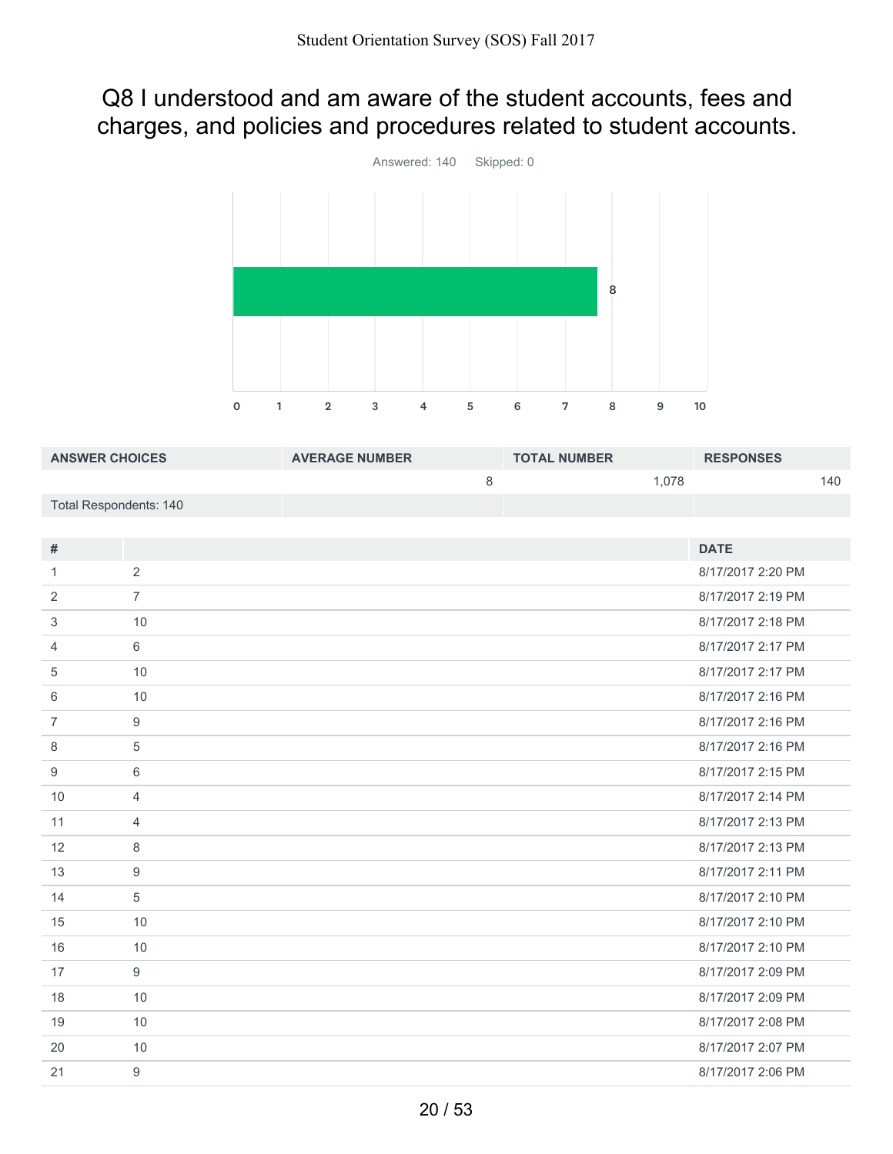# Q8 I understood and am aware of the student accounts, fees and charges, and policies and procedures related to student accounts.



| <b>ANSWER CHOICES</b>         |                | <b>AVERAGE NUMBER</b> | <b>TOTAL NUMBER</b> |       | <b>RESPONSES</b>   |     |
|-------------------------------|----------------|-----------------------|---------------------|-------|--------------------|-----|
|                               |                | 8                     |                     | 1,078 |                    | 140 |
| <b>Total Respondents: 140</b> |                |                       |                     |       |                    |     |
|                               |                |                       |                     |       |                    |     |
| #                             |                |                       |                     |       | <b>DATE</b>        |     |
|                               | 2              |                       |                     |       | 8/17/2017 2:20 PM  |     |
| 2                             | $\overline{7}$ |                       |                     |       | 8/17/2017 2:19 PM  |     |
| 3                             | 10             |                       |                     |       | 8/17/2017 2:18 PM  |     |
| $\overline{4}$                | 6              |                       |                     |       | 8/17/2017 2:17 PM  |     |
| 5                             | 10             |                       |                     |       | 8/17/2017 2:17 PM  |     |
| 6                             | 10             |                       |                     |       | 8/17/2017 2:16 PM  |     |
| 7                             | 9              |                       |                     |       | 8/17/2017 2:16 PM  |     |
| $\circ$                       | Е              |                       |                     |       | $0/17/00179.16$ DM |     |

| 3  | 10             | 8/17/2017 2:18 PM |
|----|----------------|-------------------|
| 4  | 6              | 8/17/2017 2:17 PM |
| 5  | 10             | 8/17/2017 2:17 PM |
| 6  | 10             | 8/17/2017 2:16 PM |
| 7  | 9              | 8/17/2017 2:16 PM |
| 8  | 5              | 8/17/2017 2:16 PM |
| 9  | 6              | 8/17/2017 2:15 PM |
| 10 | $\overline{4}$ | 8/17/2017 2:14 PM |
| 11 | $\overline{4}$ | 8/17/2017 2:13 PM |
| 12 | 8              | 8/17/2017 2:13 PM |
| 13 | 9              | 8/17/2017 2:11 PM |
| 14 | $\overline{5}$ | 8/17/2017 2:10 PM |
| 15 | 10             | 8/17/2017 2:10 PM |
| 16 | 10             | 8/17/2017 2:10 PM |
| 17 | 9              | 8/17/2017 2:09 PM |
| 18 | 10             | 8/17/2017 2:09 PM |
| 19 | 10             | 8/17/2017 2:08 PM |
| 20 | 10             | 8/17/2017 2:07 PM |
| 21 | 9              | 8/17/2017 2:06 PM |
|    |                |                   |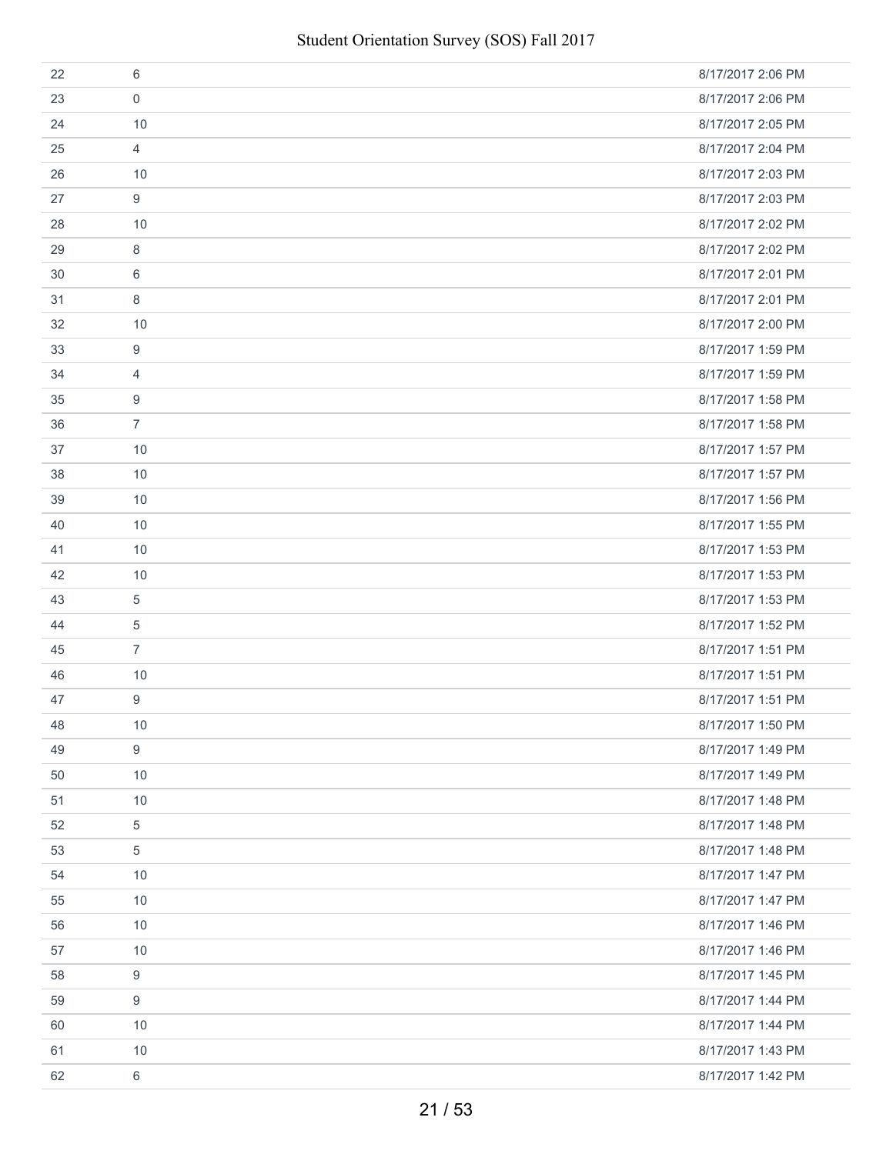| 22 | 6              | 8/17/2017 2:06 PM |
|----|----------------|-------------------|
| 23 | $\mathbf 0$    | 8/17/2017 2:06 PM |
| 24 | 10             | 8/17/2017 2:05 PM |
| 25 | $\overline{4}$ | 8/17/2017 2:04 PM |
| 26 | 10             | 8/17/2017 2:03 PM |
| 27 | 9              | 8/17/2017 2:03 PM |
| 28 | 10             | 8/17/2017 2:02 PM |
| 29 | 8              | 8/17/2017 2:02 PM |
| 30 | 6              | 8/17/2017 2:01 PM |
| 31 | 8              | 8/17/2017 2:01 PM |
| 32 | 10             | 8/17/2017 2:00 PM |
| 33 | 9              | 8/17/2017 1:59 PM |
| 34 | 4              | 8/17/2017 1:59 PM |
| 35 | 9              | 8/17/2017 1:58 PM |
| 36 | $\overline{7}$ | 8/17/2017 1:58 PM |
| 37 | 10             | 8/17/2017 1:57 PM |
| 38 | 10             | 8/17/2017 1:57 PM |
| 39 | 10             | 8/17/2017 1:56 PM |
| 40 | 10             | 8/17/2017 1:55 PM |
| 41 | 10             | 8/17/2017 1:53 PM |
| 42 | 10             | 8/17/2017 1:53 PM |
| 43 | 5              | 8/17/2017 1:53 PM |
| 44 | 5              | 8/17/2017 1:52 PM |
| 45 | $\overline{7}$ | 8/17/2017 1:51 PM |
| 46 | 10             | 8/17/2017 1:51 PM |
| 47 | 9              | 8/17/2017 1:51 PM |
| 48 | 10             | 8/17/2017 1:50 PM |
| 49 | 9              | 8/17/2017 1:49 PM |
| 50 | 10             | 8/17/2017 1:49 PM |
| 51 | 10             | 8/17/2017 1:48 PM |
| 52 | 5              | 8/17/2017 1:48 PM |
| 53 | 5              | 8/17/2017 1:48 PM |
| 54 | 10             | 8/17/2017 1:47 PM |
| 55 | 10             | 8/17/2017 1:47 PM |
| 56 | 10             | 8/17/2017 1:46 PM |
| 57 | 10             | 8/17/2017 1:46 PM |
| 58 | 9              | 8/17/2017 1:45 PM |
| 59 | 9              | 8/17/2017 1:44 PM |
| 60 | 10             | 8/17/2017 1:44 PM |
| 61 | 10             | 8/17/2017 1:43 PM |
| 62 | 6              | 8/17/2017 1:42 PM |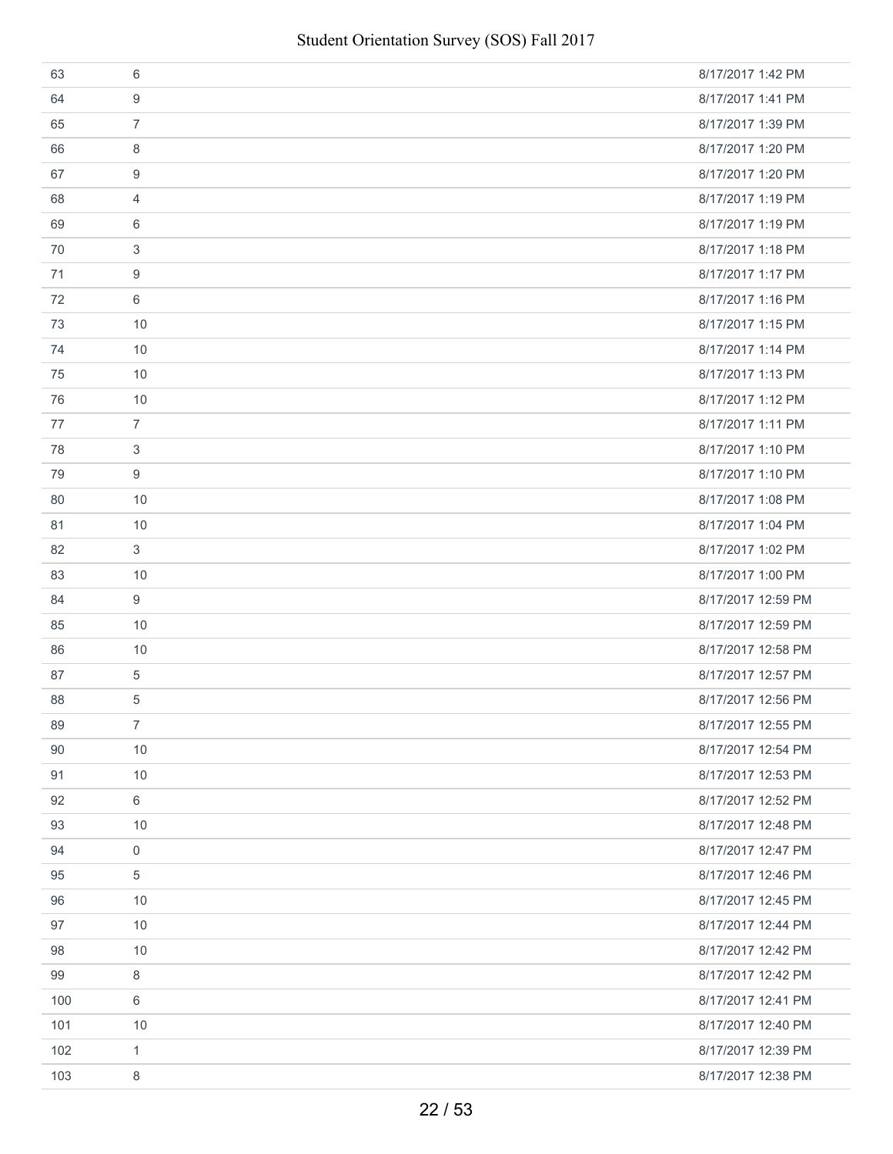| 63  | 6              | 8/17/2017 1:42 PM  |
|-----|----------------|--------------------|
| 64  | 9              | 8/17/2017 1:41 PM  |
| 65  | $\overline{7}$ | 8/17/2017 1:39 PM  |
| 66  | 8              | 8/17/2017 1:20 PM  |
| 67  | 9              | 8/17/2017 1:20 PM  |
| 68  | 4              | 8/17/2017 1:19 PM  |
| 69  | 6              | 8/17/2017 1:19 PM  |
| 70  | 3              | 8/17/2017 1:18 PM  |
| 71  | 9              | 8/17/2017 1:17 PM  |
| 72  | 6              | 8/17/2017 1:16 PM  |
| 73  | 10             | 8/17/2017 1:15 PM  |
| 74  | 10             | 8/17/2017 1:14 PM  |
| 75  | 10             | 8/17/2017 1:13 PM  |
| 76  | 10             | 8/17/2017 1:12 PM  |
| 77  | $\overline{7}$ | 8/17/2017 1:11 PM  |
| 78  | 3              | 8/17/2017 1:10 PM  |
| 79  | 9              | 8/17/2017 1:10 PM  |
| 80  | 10             | 8/17/2017 1:08 PM  |
| 81  | 10             | 8/17/2017 1:04 PM  |
| 82  | 3              | 8/17/2017 1:02 PM  |
| 83  | 10             | 8/17/2017 1:00 PM  |
| 84  | 9              | 8/17/2017 12:59 PM |
| 85  | 10             | 8/17/2017 12:59 PM |
| 86  | 10             | 8/17/2017 12:58 PM |
| 87  | 5              | 8/17/2017 12:57 PM |
| 88  | 5              | 8/17/2017 12:56 PM |
| 89  | $\overline{7}$ | 8/17/2017 12:55 PM |
| 90  | 10             | 8/17/2017 12:54 PM |
| 91  | 10             | 8/17/2017 12:53 PM |
| 92  | 6              | 8/17/2017 12:52 PM |
| 93  | 10             | 8/17/2017 12:48 PM |
| 94  | 0              | 8/17/2017 12:47 PM |
| 95  | 5              | 8/17/2017 12:46 PM |
| 96  | 10             | 8/17/2017 12:45 PM |
| 97  | 10             | 8/17/2017 12:44 PM |
| 98  | 10             | 8/17/2017 12:42 PM |
| 99  | 8              | 8/17/2017 12:42 PM |
| 100 | 6              | 8/17/2017 12:41 PM |
| 101 | 10             | 8/17/2017 12:40 PM |
| 102 | $\mathbf{1}$   | 8/17/2017 12:39 PM |
| 103 | 8              | 8/17/2017 12:38 PM |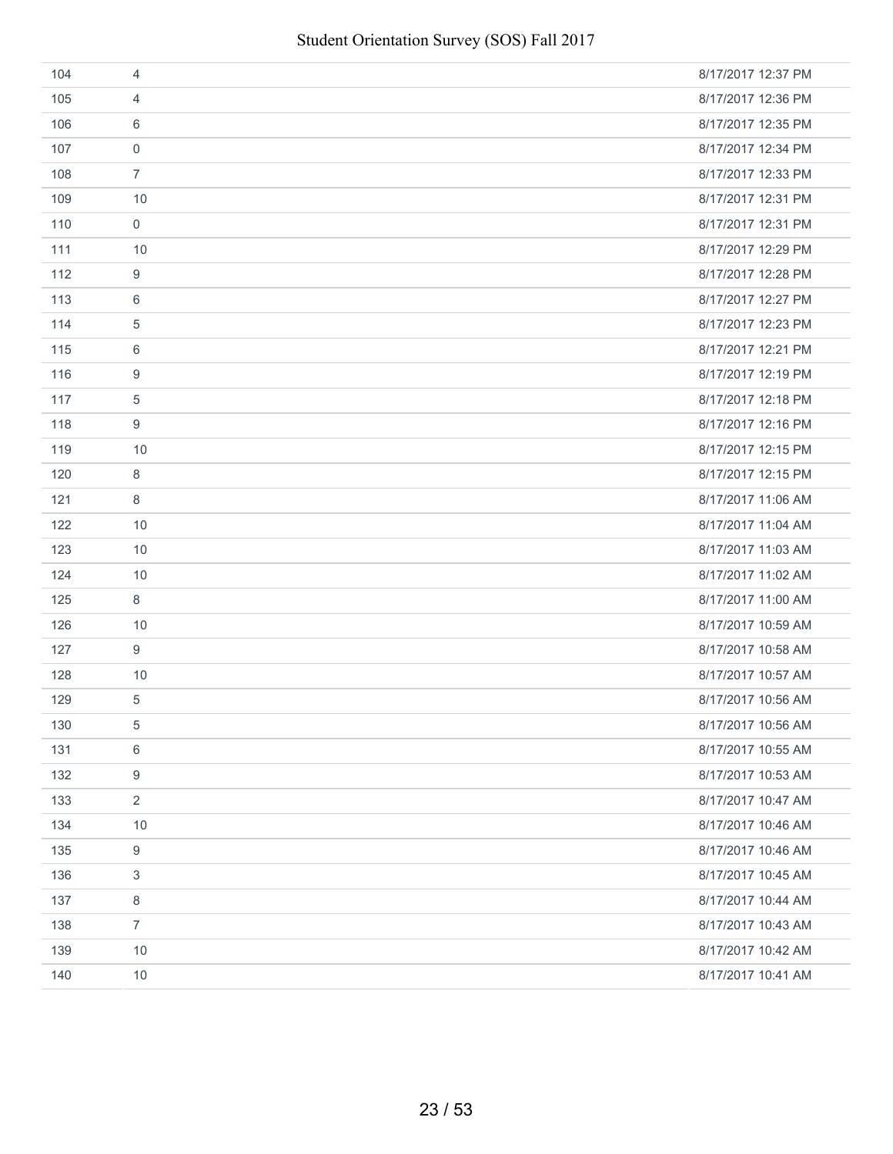| 104 | 4                | 8/17/2017 12:37 PM |
|-----|------------------|--------------------|
| 105 | 4                | 8/17/2017 12:36 PM |
| 106 | 6                | 8/17/2017 12:35 PM |
| 107 | $\mathbf 0$      | 8/17/2017 12:34 PM |
| 108 | $\overline{7}$   | 8/17/2017 12:33 PM |
| 109 | 10               | 8/17/2017 12:31 PM |
| 110 | $\mathsf{O}$     | 8/17/2017 12:31 PM |
| 111 | 10               | 8/17/2017 12:29 PM |
| 112 | 9                | 8/17/2017 12:28 PM |
| 113 | 6                | 8/17/2017 12:27 PM |
| 114 | $\sqrt{5}$       | 8/17/2017 12:23 PM |
| 115 | 6                | 8/17/2017 12:21 PM |
| 116 | 9                | 8/17/2017 12:19 PM |
| 117 | 5                | 8/17/2017 12:18 PM |
| 118 | 9                | 8/17/2017 12:16 PM |
| 119 | 10               | 8/17/2017 12:15 PM |
| 120 | 8                | 8/17/2017 12:15 PM |
| 121 | 8                | 8/17/2017 11:06 AM |
| 122 | 10               | 8/17/2017 11:04 AM |
| 123 | 10               | 8/17/2017 11:03 AM |
| 124 | 10               | 8/17/2017 11:02 AM |
| 125 | 8                | 8/17/2017 11:00 AM |
| 126 | 10               | 8/17/2017 10:59 AM |
| 127 | 9                | 8/17/2017 10:58 AM |
| 128 | 10               | 8/17/2017 10:57 AM |
| 129 | 5                | 8/17/2017 10:56 AM |
| 130 | $\mathbf 5$      | 8/17/2017 10:56 AM |
| 131 | 6                | 8/17/2017 10:55 AM |
| 132 | $\boldsymbol{9}$ | 8/17/2017 10:53 AM |
| 133 | $\sqrt{2}$       | 8/17/2017 10:47 AM |
| 134 | 10               | 8/17/2017 10:46 AM |
| 135 | $\boldsymbol{9}$ | 8/17/2017 10:46 AM |
| 136 | 3                | 8/17/2017 10:45 AM |
| 137 | $\,8\,$          | 8/17/2017 10:44 AM |
| 138 | $\overline{7}$   | 8/17/2017 10:43 AM |
| 139 | 10               | 8/17/2017 10:42 AM |
| 140 | 10               | 8/17/2017 10:41 AM |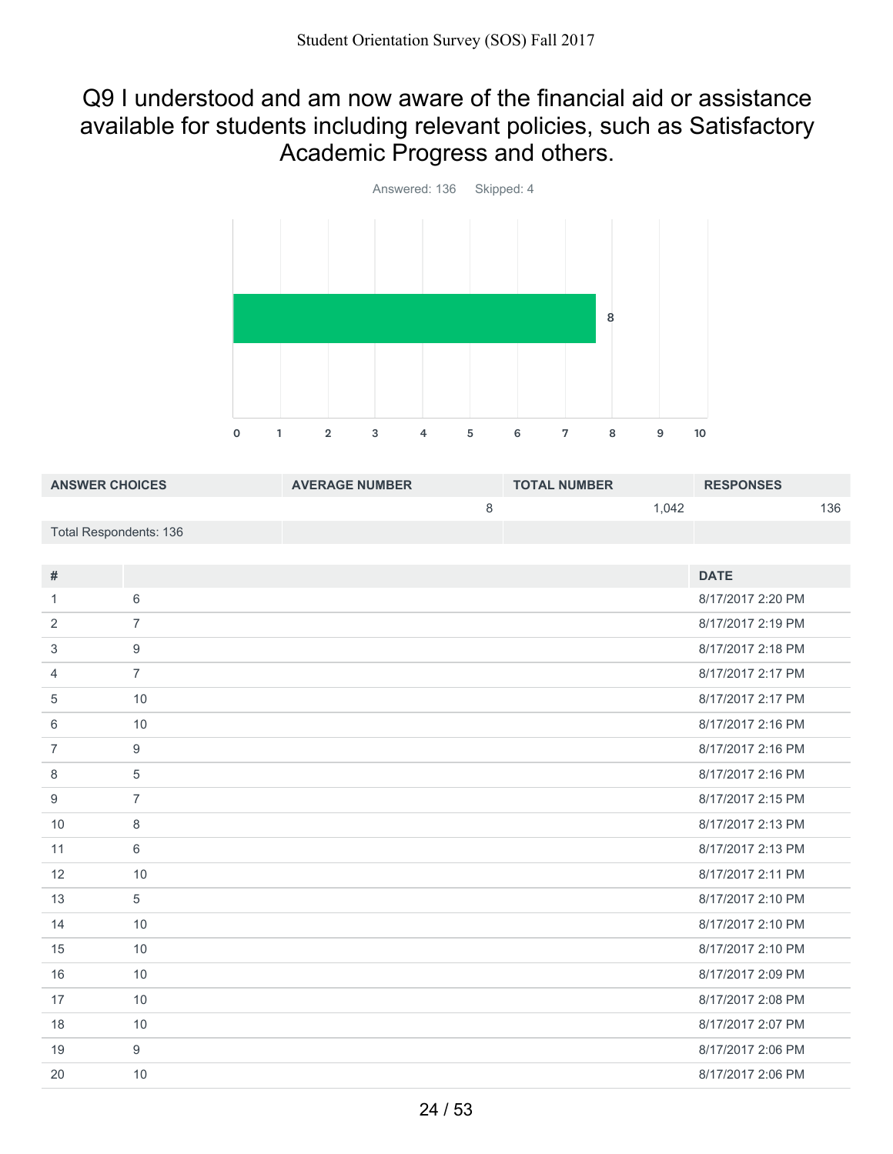### Q9 I understood and am now aware of the financial aid or assistance available for students including relevant policies, such as Satisfactory Academic Progress and others.



| <b>ANSWER CHOICES</b>  | <b>AVERAGE NUMBER</b> | <b>TOTAL NUMBER</b> |       | <b>RESPONSES</b> |     |
|------------------------|-----------------------|---------------------|-------|------------------|-----|
|                        |                       |                     | 1.042 |                  | 136 |
| Total Respondents: 136 |                       |                     |       |                  |     |

| #              |                | <b>DATE</b>       |
|----------------|----------------|-------------------|
| 1.             | 6              | 8/17/2017 2:20 PM |
| 2              | $\overline{7}$ | 8/17/2017 2:19 PM |
| 3              | 9              | 8/17/2017 2:18 PM |
| 4              | $\overline{7}$ | 8/17/2017 2:17 PM |
| 5              | 10             | 8/17/2017 2:17 PM |
| 6              | 10             | 8/17/2017 2:16 PM |
| $\overline{7}$ | 9              | 8/17/2017 2:16 PM |
| 8              | 5              | 8/17/2017 2:16 PM |
| 9              | $\overline{7}$ | 8/17/2017 2:15 PM |
| 10             | 8              | 8/17/2017 2:13 PM |
| 11             | 6              | 8/17/2017 2:13 PM |
| 12             | 10             | 8/17/2017 2:11 PM |
| 13             | 5              | 8/17/2017 2:10 PM |
| 14             | 10             | 8/17/2017 2:10 PM |
| 15             | 10             | 8/17/2017 2:10 PM |
| 16             | 10             | 8/17/2017 2:09 PM |
| 17             | 10             | 8/17/2017 2:08 PM |
| 18             | 10             | 8/17/2017 2:07 PM |
| 19             | 9              | 8/17/2017 2:06 PM |
| 20             | 10             | 8/17/2017 2:06 PM |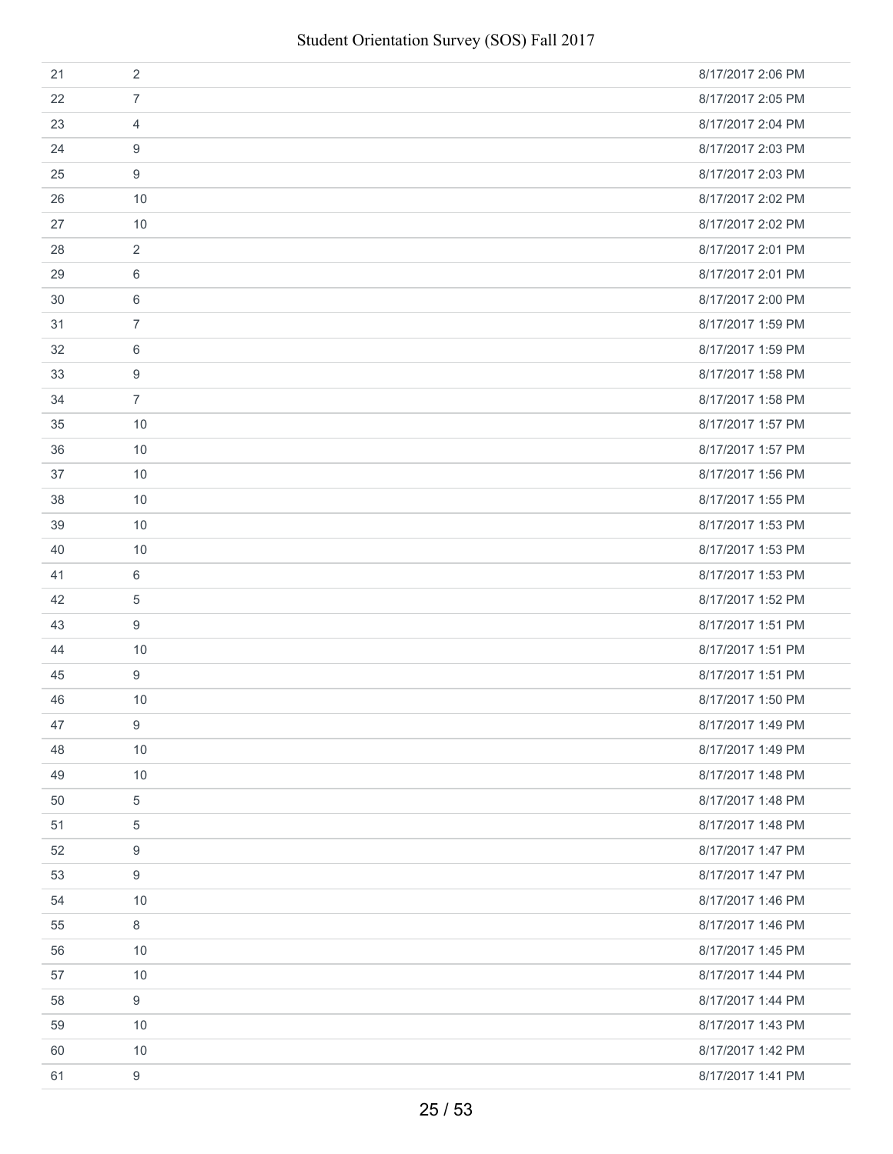| 21 | 2              | 8/17/2017 2:06 PM |
|----|----------------|-------------------|
| 22 | $\overline{7}$ | 8/17/2017 2:05 PM |
| 23 | $\overline{4}$ | 8/17/2017 2:04 PM |
| 24 | 9              | 8/17/2017 2:03 PM |
| 25 | 9              | 8/17/2017 2:03 PM |
| 26 | 10             | 8/17/2017 2:02 PM |
| 27 | 10             | 8/17/2017 2:02 PM |
| 28 | $\overline{2}$ | 8/17/2017 2:01 PM |
| 29 | 6              | 8/17/2017 2:01 PM |
| 30 | 6              | 8/17/2017 2:00 PM |
| 31 | $\overline{7}$ | 8/17/2017 1:59 PM |
| 32 | 6              | 8/17/2017 1:59 PM |
| 33 | 9              | 8/17/2017 1:58 PM |
| 34 | $\overline{7}$ | 8/17/2017 1:58 PM |
| 35 | 10             | 8/17/2017 1:57 PM |
| 36 | 10             | 8/17/2017 1:57 PM |
| 37 | 10             | 8/17/2017 1:56 PM |
| 38 | 10             | 8/17/2017 1:55 PM |
| 39 | 10             | 8/17/2017 1:53 PM |
| 40 | 10             | 8/17/2017 1:53 PM |
| 41 | 6              | 8/17/2017 1:53 PM |
| 42 | 5              | 8/17/2017 1:52 PM |
| 43 | 9              | 8/17/2017 1:51 PM |
| 44 | 10             | 8/17/2017 1:51 PM |
| 45 | $9\,$          | 8/17/2017 1:51 PM |
| 46 | 10             | 8/17/2017 1:50 PM |
| 47 | 9              | 8/17/2017 1:49 PM |
| 48 | 10             | 8/17/2017 1:49 PM |
| 49 | 10             | 8/17/2017 1:48 PM |
| 50 | 5              | 8/17/2017 1:48 PM |
| 51 | 5              | 8/17/2017 1:48 PM |
| 52 | 9              | 8/17/2017 1:47 PM |
| 53 | 9              | 8/17/2017 1:47 PM |
| 54 | 10             | 8/17/2017 1:46 PM |
| 55 | 8              | 8/17/2017 1:46 PM |
| 56 | 10             | 8/17/2017 1:45 PM |
| 57 | 10             | 8/17/2017 1:44 PM |
| 58 | 9              | 8/17/2017 1:44 PM |
| 59 | 10             | 8/17/2017 1:43 PM |
| 60 | 10             | 8/17/2017 1:42 PM |
| 61 | 9              | 8/17/2017 1:41 PM |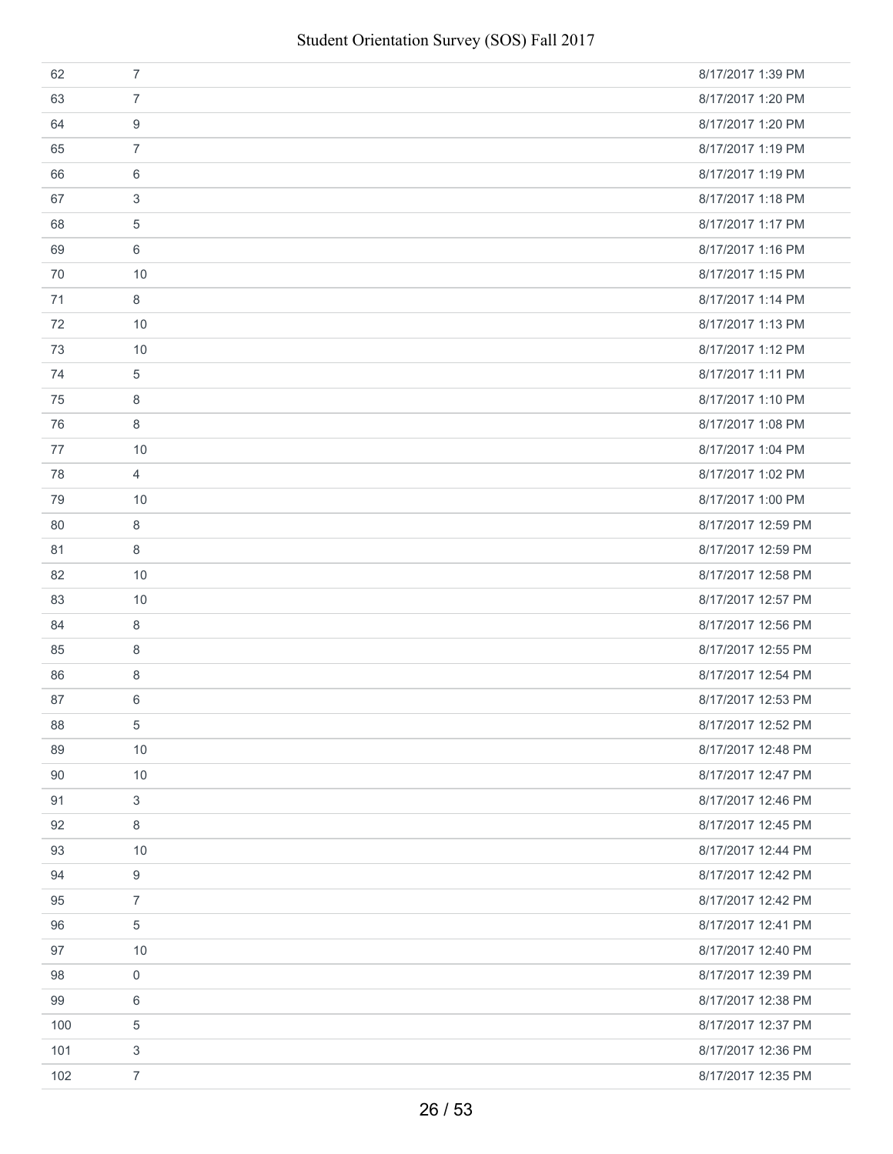| 62  | $\overline{7}$ | 8/17/2017 1:39 PM  |
|-----|----------------|--------------------|
| 63  | $\overline{7}$ | 8/17/2017 1:20 PM  |
| 64  | 9              | 8/17/2017 1:20 PM  |
| 65  | $\overline{7}$ | 8/17/2017 1:19 PM  |
| 66  | 6              | 8/17/2017 1:19 PM  |
| 67  | 3              | 8/17/2017 1:18 PM  |
| 68  | 5              | 8/17/2017 1:17 PM  |
| 69  | 6              | 8/17/2017 1:16 PM  |
| 70  | 10             | 8/17/2017 1:15 PM  |
| 71  | 8              | 8/17/2017 1:14 PM  |
| 72  | 10             | 8/17/2017 1:13 PM  |
| 73  | 10             | 8/17/2017 1:12 PM  |
| 74  | 5              | 8/17/2017 1:11 PM  |
| 75  | 8              | 8/17/2017 1:10 PM  |
| 76  | 8              | 8/17/2017 1:08 PM  |
| 77  | 10             | 8/17/2017 1:04 PM  |
| 78  | $\overline{4}$ | 8/17/2017 1:02 PM  |
| 79  | 10             | 8/17/2017 1:00 PM  |
| 80  | 8              | 8/17/2017 12:59 PM |
| 81  | 8              | 8/17/2017 12:59 PM |
| 82  | 10             | 8/17/2017 12:58 PM |
| 83  | 10             | 8/17/2017 12:57 PM |
| 84  | 8              | 8/17/2017 12:56 PM |
| 85  | 8              | 8/17/2017 12:55 PM |
| 86  | 8              | 8/17/2017 12:54 PM |
| 87  | 6              | 8/17/2017 12:53 PM |
| 88  | 5              | 8/17/2017 12:52 PM |
| 89  | 10             | 8/17/2017 12:48 PM |
| 90  | 10             | 8/17/2017 12:47 PM |
| 91  | 3              | 8/17/2017 12:46 PM |
| 92  | 8              | 8/17/2017 12:45 PM |
| 93  | 10             | 8/17/2017 12:44 PM |
| 94  | 9              | 8/17/2017 12:42 PM |
| 95  | $\overline{7}$ | 8/17/2017 12:42 PM |
| 96  | 5              | 8/17/2017 12:41 PM |
| 97  | 10             | 8/17/2017 12:40 PM |
| 98  | 0              | 8/17/2017 12:39 PM |
| 99  | 6              | 8/17/2017 12:38 PM |
| 100 | 5              | 8/17/2017 12:37 PM |
| 101 | 3              | 8/17/2017 12:36 PM |
| 102 | $\overline{7}$ | 8/17/2017 12:35 PM |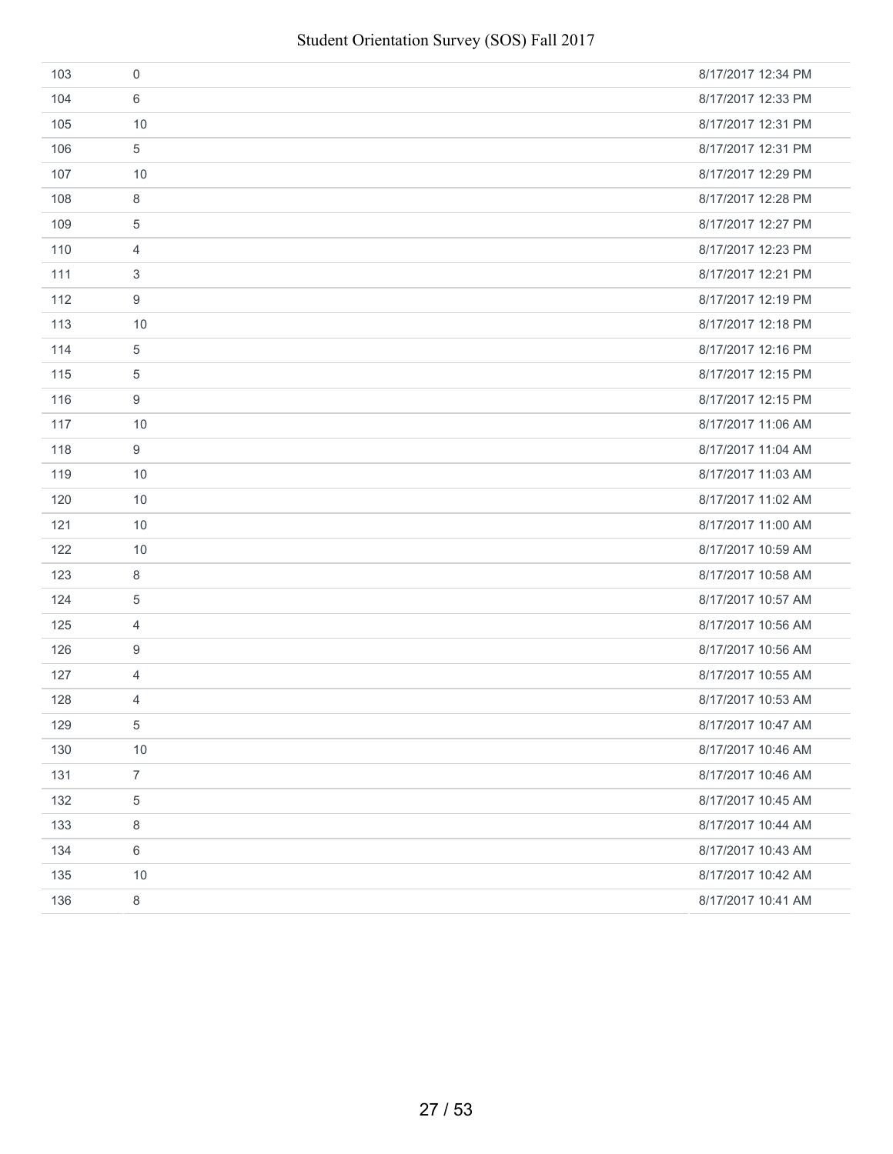| 103 | $\mathbf 0$    | 8/17/2017 12:34 PM |
|-----|----------------|--------------------|
| 104 | 6              | 8/17/2017 12:33 PM |
| 105 | 10             | 8/17/2017 12:31 PM |
| 106 | 5              | 8/17/2017 12:31 PM |
| 107 | 10             | 8/17/2017 12:29 PM |
| 108 | 8              | 8/17/2017 12:28 PM |
| 109 | 5              | 8/17/2017 12:27 PM |
| 110 | 4              | 8/17/2017 12:23 PM |
| 111 | $\mathfrak{S}$ | 8/17/2017 12:21 PM |
| 112 | 9              | 8/17/2017 12:19 PM |
| 113 | 10             | 8/17/2017 12:18 PM |
| 114 | $\,$ 5 $\,$    | 8/17/2017 12:16 PM |
| 115 | 5              | 8/17/2017 12:15 PM |
| 116 | 9              | 8/17/2017 12:15 PM |
| 117 | 10             | 8/17/2017 11:06 AM |
| 118 | 9              | 8/17/2017 11:04 AM |
| 119 | 10             | 8/17/2017 11:03 AM |
| 120 | 10             | 8/17/2017 11:02 AM |
| 121 | 10             | 8/17/2017 11:00 AM |
| 122 | 10             | 8/17/2017 10:59 AM |
| 123 | 8              | 8/17/2017 10:58 AM |
| 124 | 5              | 8/17/2017 10:57 AM |
| 125 | $\overline{4}$ | 8/17/2017 10:56 AM |
| 126 | 9              | 8/17/2017 10:56 AM |
| 127 | $\overline{4}$ | 8/17/2017 10:55 AM |
| 128 | 4              | 8/17/2017 10:53 AM |
| 129 | $\,$ 5 $\,$    | 8/17/2017 10:47 AM |
| 130 | 10             | 8/17/2017 10:46 AM |
| 131 | $\overline{7}$ | 8/17/2017 10:46 AM |
| 132 | 5              | 8/17/2017 10:45 AM |
| 133 | $\,8\,$        | 8/17/2017 10:44 AM |
| 134 | $\,6$          | 8/17/2017 10:43 AM |
| 135 | 10             | 8/17/2017 10:42 AM |
| 136 | $\,8\,$        | 8/17/2017 10:41 AM |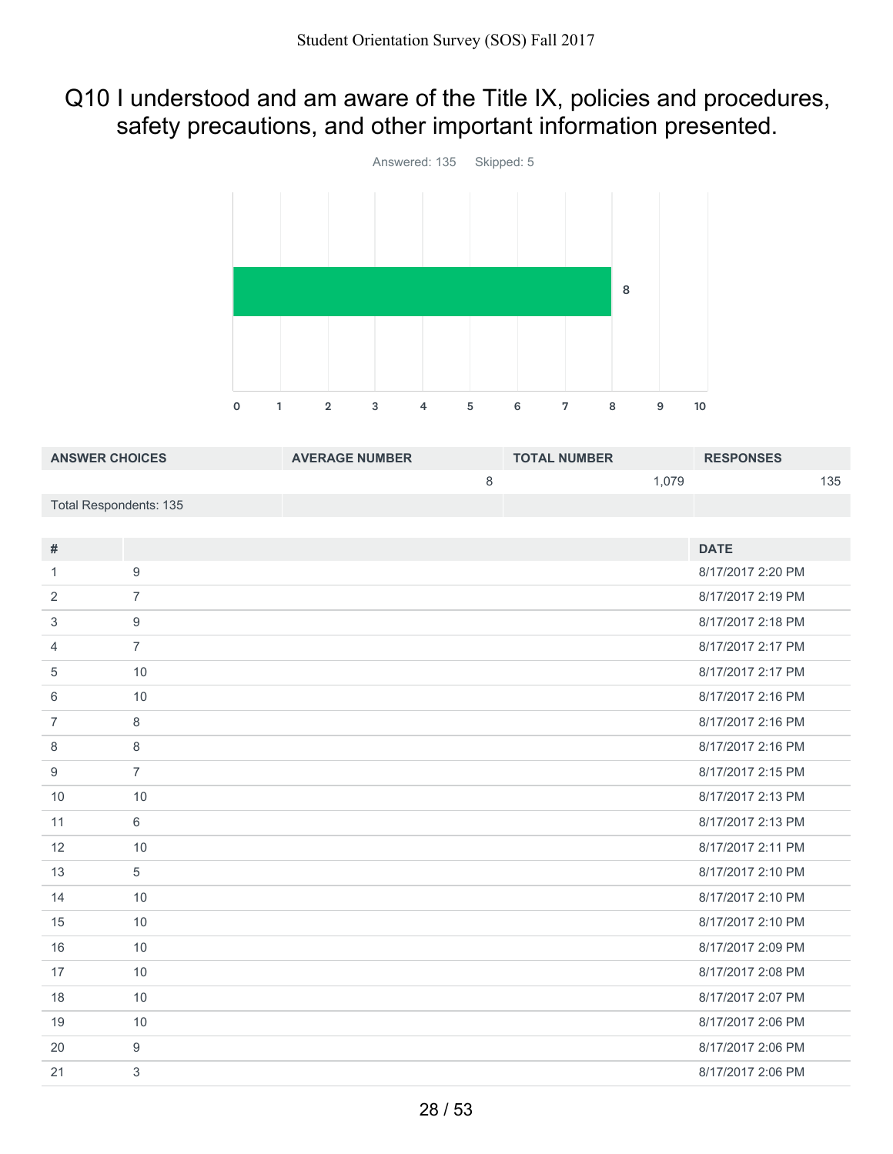## Q10 I understood and am aware of the Title IX, policies and procedures, safety precautions, and other important information presented.



| <b>ANSWER CHOICES</b>         |                  | <b>AVERAGE NUMBER</b> |   | <b>TOTAL NUMBER</b> |       | <b>RESPONSES</b>  |     |
|-------------------------------|------------------|-----------------------|---|---------------------|-------|-------------------|-----|
|                               |                  |                       | 8 |                     | 1,079 |                   | 135 |
| <b>Total Respondents: 135</b> |                  |                       |   |                     |       |                   |     |
|                               |                  |                       |   |                     |       |                   |     |
| $\#$                          |                  |                       |   |                     |       | <b>DATE</b>       |     |
| $\mathbf{1}$                  | $\boldsymbol{9}$ |                       |   |                     |       | 8/17/2017 2:20 PM |     |
| 2                             | $\overline{7}$   |                       |   |                     |       | 8/17/2017 2:19 PM |     |
| 3                             | 9                |                       |   |                     |       | 8/17/2017 2:18 PM |     |
| 4                             | $\overline{7}$   |                       |   |                     |       | 8/17/2017 2:17 PM |     |
| 5                             | 10               |                       |   |                     |       | 8/17/2017 2:17 PM |     |
| 6                             | 10               |                       |   |                     |       | 8/17/2017 2:16 PM |     |
| $\overline{7}$                | $\,8\,$          |                       |   |                     |       | 8/17/2017 2:16 PM |     |
| 8                             | 8                |                       |   |                     |       | 8/17/2017 2:16 PM |     |
| 9                             | $\overline{7}$   |                       |   |                     |       | 8/17/2017 2:15 PM |     |
| 10                            | 10               |                       |   |                     |       | 8/17/2017 2:13 PM |     |
| 11                            | 6                |                       |   |                     |       | 8/17/2017 2:13 PM |     |
| 12                            | 10               |                       |   |                     |       | 8/17/2017 2:11 PM |     |
| 13                            | 5                |                       |   |                     |       | 8/17/2017 2:10 PM |     |
| 14                            | 10               |                       |   |                     |       | 8/17/2017 2:10 PM |     |
| 15                            | 10               |                       |   |                     |       | 8/17/2017 2:10 PM |     |
| 16                            | 10               |                       |   |                     |       | 8/17/2017 2:09 PM |     |
| 17                            | 10               |                       |   |                     |       | 8/17/2017 2:08 PM |     |
| 18                            | 10               |                       |   |                     |       | 8/17/2017 2:07 PM |     |

 10 8/17/2017 2:06 PM 9 8/17/2017 2:06 PM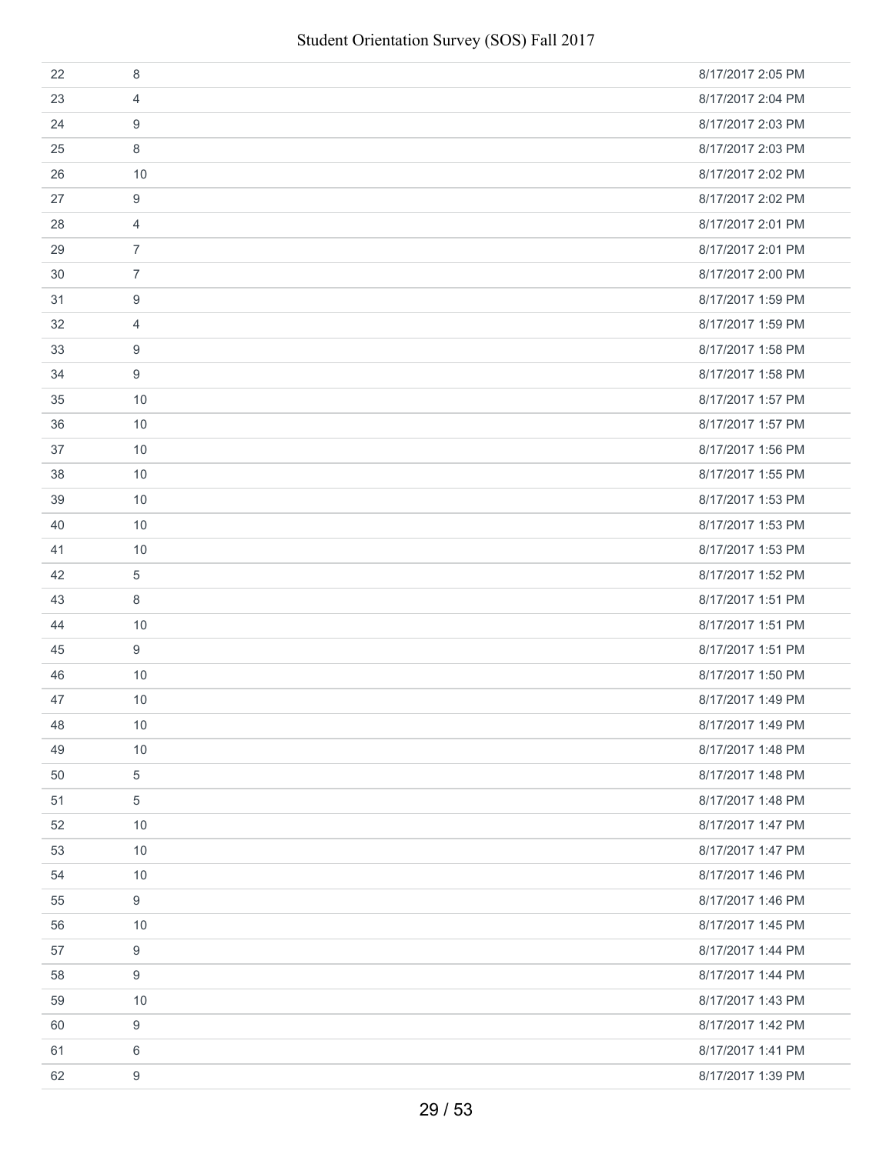| 22 | 8                | 8/17/2017 2:05 PM |
|----|------------------|-------------------|
| 23 | 4                | 8/17/2017 2:04 PM |
| 24 | 9                | 8/17/2017 2:03 PM |
| 25 | 8                | 8/17/2017 2:03 PM |
| 26 | 10               | 8/17/2017 2:02 PM |
| 27 | 9                | 8/17/2017 2:02 PM |
| 28 | $\overline{4}$   | 8/17/2017 2:01 PM |
| 29 | $\overline{7}$   | 8/17/2017 2:01 PM |
| 30 | $\overline{7}$   | 8/17/2017 2:00 PM |
| 31 | 9                | 8/17/2017 1:59 PM |
| 32 | $\overline{4}$   | 8/17/2017 1:59 PM |
| 33 | 9                | 8/17/2017 1:58 PM |
| 34 | 9                | 8/17/2017 1:58 PM |
| 35 | 10               | 8/17/2017 1:57 PM |
| 36 | 10               | 8/17/2017 1:57 PM |
| 37 | 10               | 8/17/2017 1:56 PM |
| 38 | 10               | 8/17/2017 1:55 PM |
| 39 | 10               | 8/17/2017 1:53 PM |
| 40 | 10               | 8/17/2017 1:53 PM |
| 41 | 10               | 8/17/2017 1:53 PM |
| 42 | 5                | 8/17/2017 1:52 PM |
| 43 | 8                | 8/17/2017 1:51 PM |
| 44 | 10               | 8/17/2017 1:51 PM |
| 45 | 9                | 8/17/2017 1:51 PM |
| 46 | 10               | 8/17/2017 1:50 PM |
| 47 | 10               | 8/17/2017 1:49 PM |
| 48 | 10               | 8/17/2017 1:49 PM |
| 49 | 10               | 8/17/2017 1:48 PM |
| 50 | $\,$ 5 $\,$      | 8/17/2017 1:48 PM |
| 51 | 5                | 8/17/2017 1:48 PM |
| 52 | 10               | 8/17/2017 1:47 PM |
| 53 | 10               | 8/17/2017 1:47 PM |
| 54 | 10               | 8/17/2017 1:46 PM |
| 55 | 9                | 8/17/2017 1:46 PM |
| 56 | 10               | 8/17/2017 1:45 PM |
| 57 | 9                | 8/17/2017 1:44 PM |
| 58 | 9                | 8/17/2017 1:44 PM |
| 59 | 10               | 8/17/2017 1:43 PM |
| 60 | 9                | 8/17/2017 1:42 PM |
| 61 | 6                | 8/17/2017 1:41 PM |
| 62 | $\boldsymbol{9}$ | 8/17/2017 1:39 PM |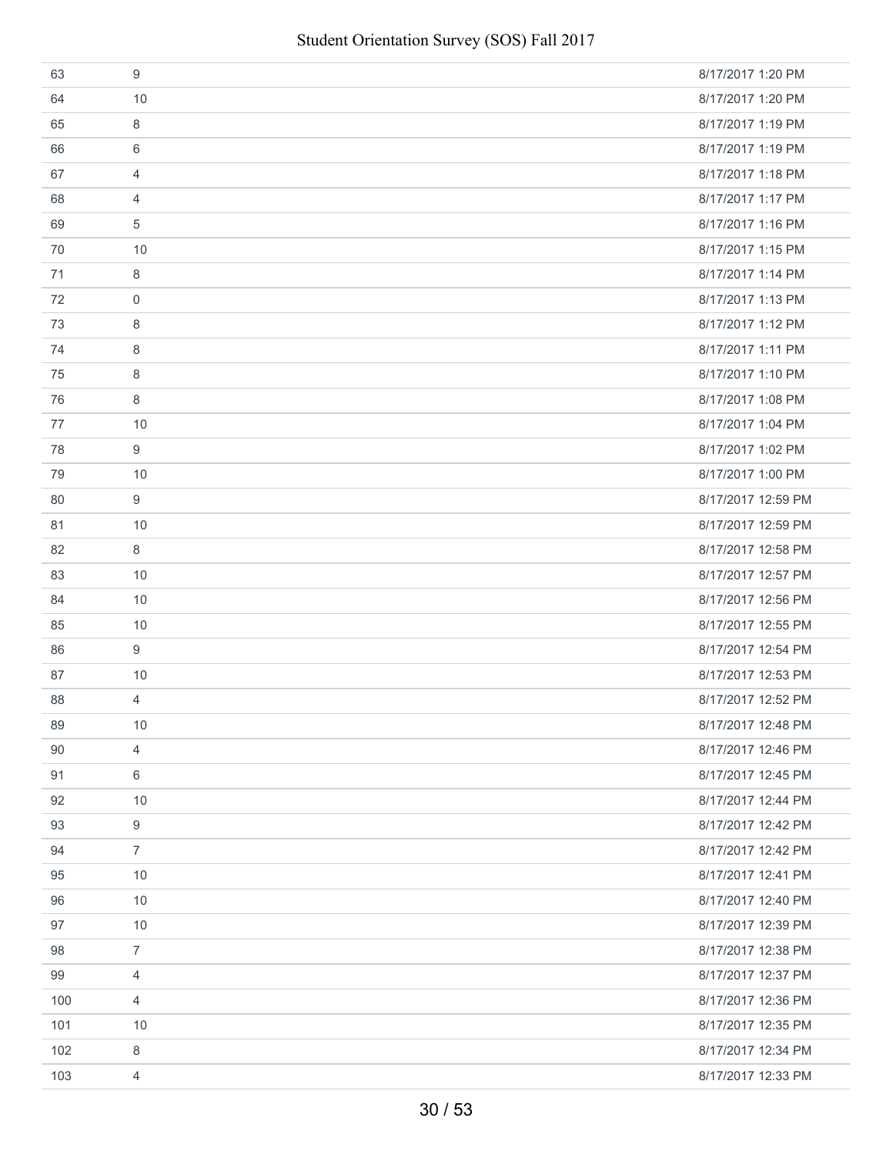| 63  | 9              | 8/17/2017 1:20 PM  |
|-----|----------------|--------------------|
| 64  | 10             | 8/17/2017 1:20 PM  |
| 65  | 8              | 8/17/2017 1:19 PM  |
| 66  | 6              | 8/17/2017 1:19 PM  |
| 67  | 4              | 8/17/2017 1:18 PM  |
| 68  | 4              | 8/17/2017 1:17 PM  |
| 69  | 5              | 8/17/2017 1:16 PM  |
| 70  | 10             | 8/17/2017 1:15 PM  |
| 71  | 8              | 8/17/2017 1:14 PM  |
| 72  | $\mathbf 0$    | 8/17/2017 1:13 PM  |
| 73  | 8              | 8/17/2017 1:12 PM  |
| 74  | 8              | 8/17/2017 1:11 PM  |
| 75  | 8              | 8/17/2017 1:10 PM  |
| 76  | 8              | 8/17/2017 1:08 PM  |
| 77  | 10             | 8/17/2017 1:04 PM  |
| 78  | 9              | 8/17/2017 1:02 PM  |
| 79  | 10             | 8/17/2017 1:00 PM  |
| 80  | 9              | 8/17/2017 12:59 PM |
| 81  | 10             | 8/17/2017 12:59 PM |
| 82  | 8              | 8/17/2017 12:58 PM |
| 83  | 10             | 8/17/2017 12:57 PM |
| 84  | 10             | 8/17/2017 12:56 PM |
| 85  | 10             | 8/17/2017 12:55 PM |
| 86  | 9              | 8/17/2017 12:54 PM |
| 87  | 10             | 8/17/2017 12:53 PM |
| 88  | $\overline{4}$ | 8/17/2017 12:52 PM |
| 89  | 10             | 8/17/2017 12:48 PM |
| 90  | $\overline{4}$ | 8/17/2017 12:46 PM |
| 91  | 6              | 8/17/2017 12:45 PM |
| 92  | 10             | 8/17/2017 12:44 PM |
| 93  | 9              | 8/17/2017 12:42 PM |
| 94  | $\overline{7}$ | 8/17/2017 12:42 PM |
| 95  | 10             | 8/17/2017 12:41 PM |
| 96  | 10             | 8/17/2017 12:40 PM |
| 97  | 10             | 8/17/2017 12:39 PM |
| 98  | $\overline{7}$ | 8/17/2017 12:38 PM |
| 99  | 4              | 8/17/2017 12:37 PM |
| 100 | $\overline{4}$ | 8/17/2017 12:36 PM |
| 101 | 10             | 8/17/2017 12:35 PM |
| 102 | 8              | 8/17/2017 12:34 PM |
| 103 | 4              | 8/17/2017 12:33 PM |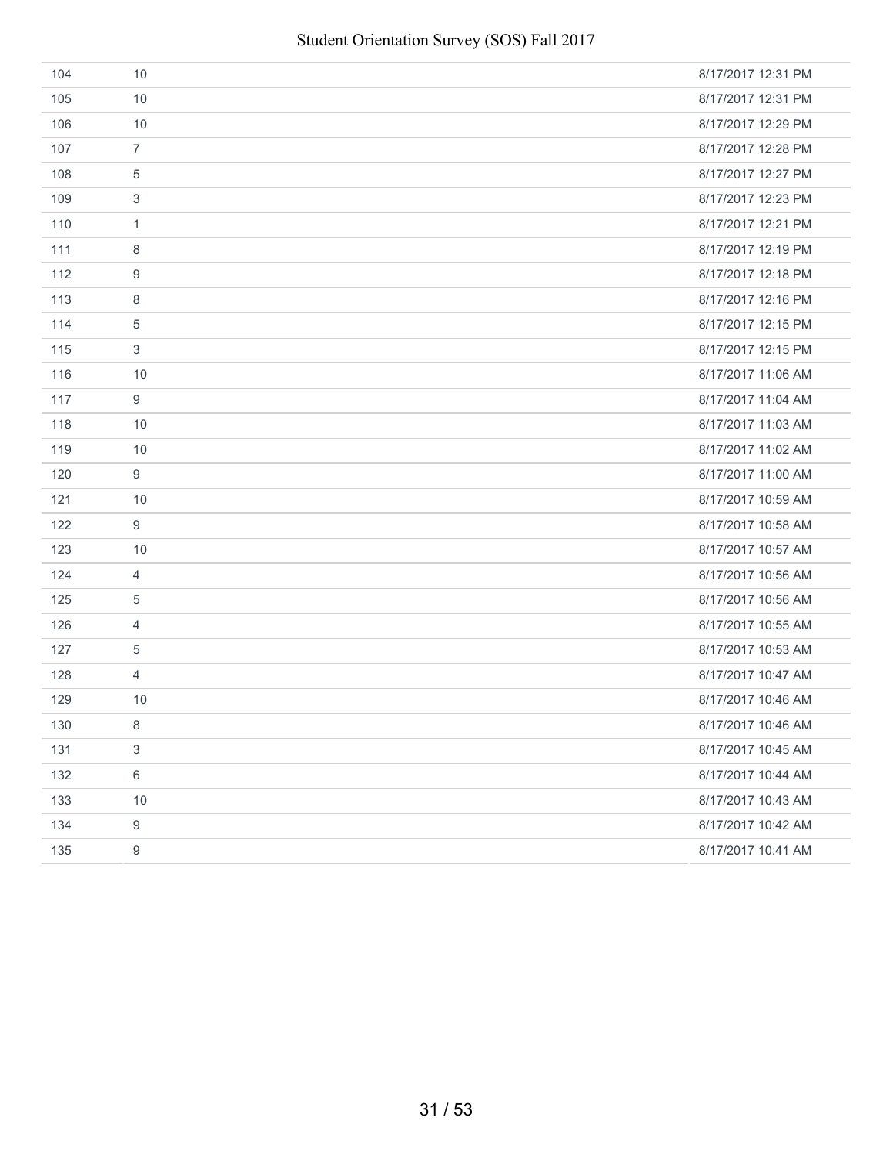| 104 | 10               | 8/17/2017 12:31 PM |
|-----|------------------|--------------------|
| 105 | 10               | 8/17/2017 12:31 PM |
| 106 | 10               | 8/17/2017 12:29 PM |
| 107 | $\overline{7}$   | 8/17/2017 12:28 PM |
| 108 | $\overline{5}$   | 8/17/2017 12:27 PM |
| 109 | 3                | 8/17/2017 12:23 PM |
| 110 | $\mathbf{1}$     | 8/17/2017 12:21 PM |
| 111 | 8                | 8/17/2017 12:19 PM |
| 112 | 9                | 8/17/2017 12:18 PM |
| 113 | 8                | 8/17/2017 12:16 PM |
| 114 | $\sqrt{5}$       | 8/17/2017 12:15 PM |
| 115 | 3                | 8/17/2017 12:15 PM |
| 116 | 10               | 8/17/2017 11:06 AM |
| 117 | 9                | 8/17/2017 11:04 AM |
| 118 | 10               | 8/17/2017 11:03 AM |
| 119 | 10               | 8/17/2017 11:02 AM |
| 120 | $9\,$            | 8/17/2017 11:00 AM |
| 121 | 10               | 8/17/2017 10:59 AM |
| 122 | 9                | 8/17/2017 10:58 AM |
| 123 | 10               | 8/17/2017 10:57 AM |
| 124 | $\overline{4}$   | 8/17/2017 10:56 AM |
| 125 | 5                | 8/17/2017 10:56 AM |
| 126 | $\overline{4}$   | 8/17/2017 10:55 AM |
| 127 | 5                | 8/17/2017 10:53 AM |
| 128 | $\overline{4}$   | 8/17/2017 10:47 AM |
| 129 | 10               | 8/17/2017 10:46 AM |
| 130 | 8                | 8/17/2017 10:46 AM |
| 131 | 3                | 8/17/2017 10:45 AM |
| 132 | $\,6\,$          | 8/17/2017 10:44 AM |
| 133 | 10               | 8/17/2017 10:43 AM |
| 134 | $\boldsymbol{9}$ | 8/17/2017 10:42 AM |
| 135 | $\boldsymbol{9}$ | 8/17/2017 10:41 AM |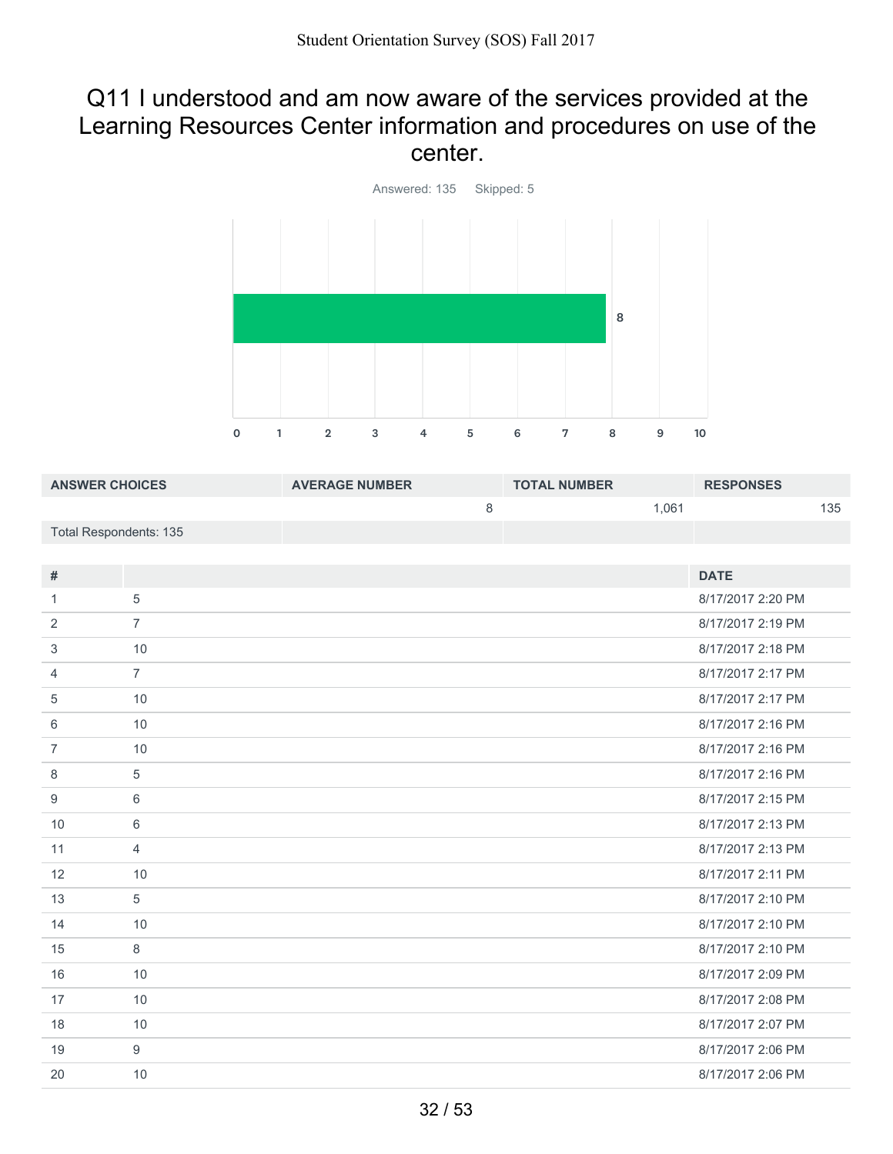#### Q11 I understood and am now aware of the services provided at the Learning Resources Center information and procedures on use of the center.



| <b>ANSWER CHOICES</b>  | <b>AVERAGE NUMBER</b> | <b>TOTAL NUMBER</b> | <b>RESPONSES</b> |
|------------------------|-----------------------|---------------------|------------------|
|                        |                       | 1.061               | 135              |
| Total Respondents: 135 |                       |                     |                  |

| #              |                | <b>DATE</b>       |
|----------------|----------------|-------------------|
| 1.             | 5              | 8/17/2017 2:20 PM |
| 2              | $\overline{7}$ | 8/17/2017 2:19 PM |
| 3              | 10             | 8/17/2017 2:18 PM |
| $\overline{4}$ | $\overline{7}$ | 8/17/2017 2:17 PM |
| 5              | 10             | 8/17/2017 2:17 PM |
| 6              | 10             | 8/17/2017 2:16 PM |
| $\overline{7}$ | 10             | 8/17/2017 2:16 PM |
| 8              | 5              | 8/17/2017 2:16 PM |
| 9              | 6              | 8/17/2017 2:15 PM |
| 10             | 6              | 8/17/2017 2:13 PM |
| 11             | $\overline{4}$ | 8/17/2017 2:13 PM |
| 12             | 10             | 8/17/2017 2:11 PM |
| 13             | 5              | 8/17/2017 2:10 PM |
| 14             | 10             | 8/17/2017 2:10 PM |
| 15             | 8              | 8/17/2017 2:10 PM |
| 16             | 10             | 8/17/2017 2:09 PM |
| 17             | 10             | 8/17/2017 2:08 PM |
| 18             | 10             | 8/17/2017 2:07 PM |
| 19             | 9              | 8/17/2017 2:06 PM |
| 20             | 10             | 8/17/2017 2:06 PM |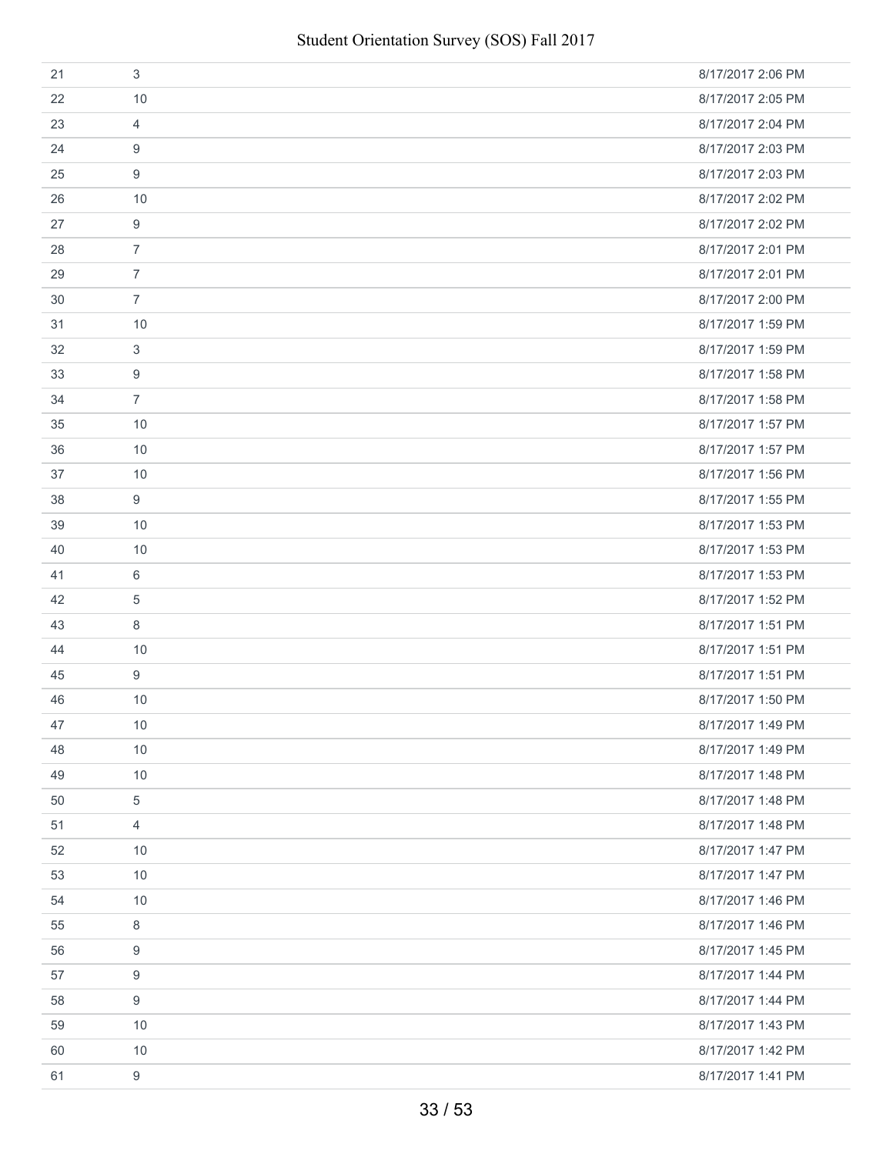| 21 | 3              | 8/17/2017 2:06 PM |
|----|----------------|-------------------|
| 22 | 10             | 8/17/2017 2:05 PM |
| 23 | 4              | 8/17/2017 2:04 PM |
| 24 | 9              | 8/17/2017 2:03 PM |
| 25 | 9              | 8/17/2017 2:03 PM |
| 26 | 10             | 8/17/2017 2:02 PM |
| 27 | 9              | 8/17/2017 2:02 PM |
| 28 | $\overline{7}$ | 8/17/2017 2:01 PM |
| 29 | $\overline{7}$ | 8/17/2017 2:01 PM |
| 30 | $\overline{7}$ | 8/17/2017 2:00 PM |
| 31 | 10             | 8/17/2017 1:59 PM |
| 32 | 3              | 8/17/2017 1:59 PM |
| 33 | 9              | 8/17/2017 1:58 PM |
| 34 | $\overline{7}$ | 8/17/2017 1:58 PM |
| 35 | 10             | 8/17/2017 1:57 PM |
| 36 | 10             | 8/17/2017 1:57 PM |
| 37 | 10             | 8/17/2017 1:56 PM |
| 38 | 9              | 8/17/2017 1:55 PM |
| 39 | 10             | 8/17/2017 1:53 PM |
| 40 | 10             | 8/17/2017 1:53 PM |
| 41 | 6              | 8/17/2017 1:53 PM |
| 42 | 5              | 8/17/2017 1:52 PM |
| 43 | 8              | 8/17/2017 1:51 PM |
| 44 | 10             | 8/17/2017 1:51 PM |
| 45 | 9              | 8/17/2017 1:51 PM |
| 46 | 10             | 8/17/2017 1:50 PM |
| 47 | 10             | 8/17/2017 1:49 PM |
| 48 | 10             | 8/17/2017 1:49 PM |
| 49 | 10             | 8/17/2017 1:48 PM |
| 50 | 5              | 8/17/2017 1:48 PM |
| 51 | $\overline{4}$ | 8/17/2017 1:48 PM |
| 52 | 10             | 8/17/2017 1:47 PM |
| 53 | 10             | 8/17/2017 1:47 PM |
| 54 | 10             | 8/17/2017 1:46 PM |
| 55 | 8              | 8/17/2017 1:46 PM |
| 56 | 9              | 8/17/2017 1:45 PM |
| 57 | 9              | 8/17/2017 1:44 PM |
| 58 | 9              | 8/17/2017 1:44 PM |
| 59 | 10             | 8/17/2017 1:43 PM |
| 60 | 10             | 8/17/2017 1:42 PM |
| 61 | $9\,$          | 8/17/2017 1:41 PM |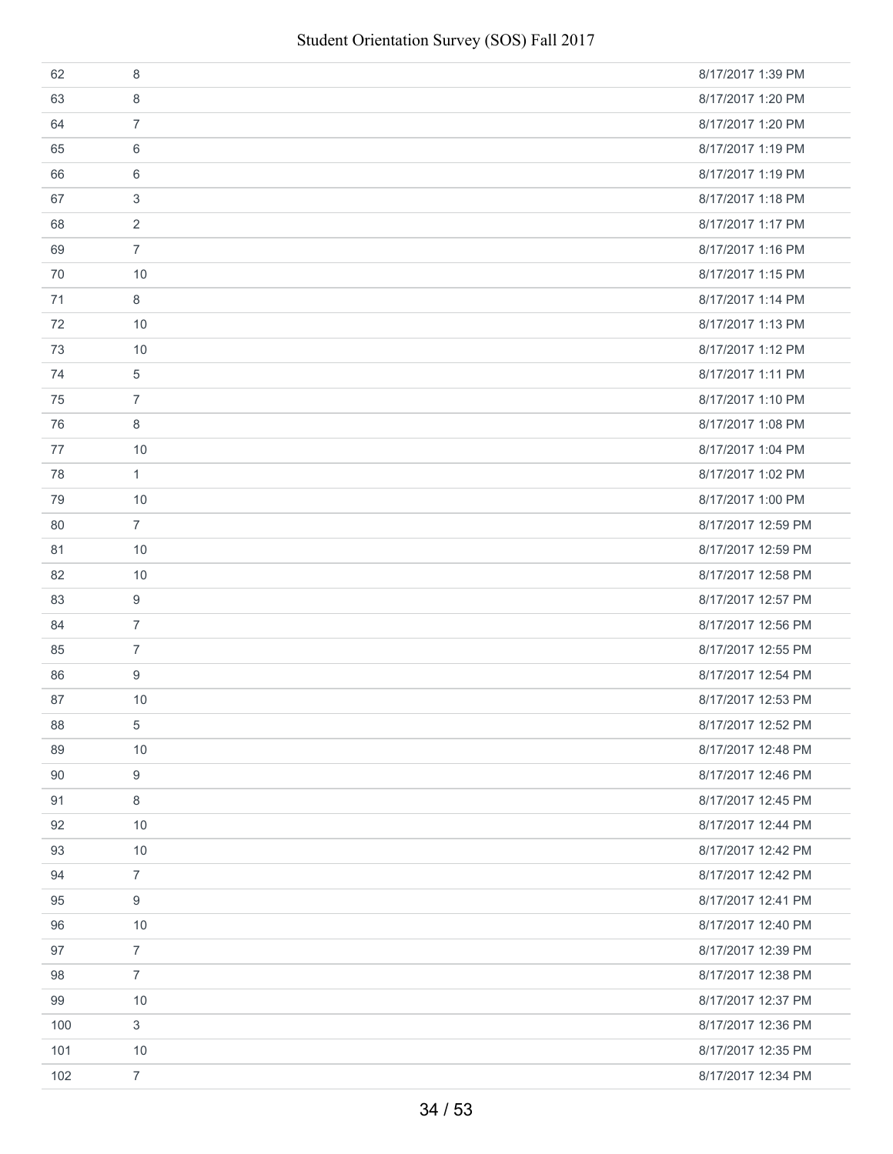| 62  | 8              | 8/17/2017 1:39 PM  |
|-----|----------------|--------------------|
| 63  | 8              | 8/17/2017 1:20 PM  |
| 64  | $\overline{7}$ | 8/17/2017 1:20 PM  |
| 65  | 6              | 8/17/2017 1:19 PM  |
| 66  | 6              | 8/17/2017 1:19 PM  |
| 67  | 3              | 8/17/2017 1:18 PM  |
| 68  | 2              | 8/17/2017 1:17 PM  |
| 69  | $\overline{7}$ | 8/17/2017 1:16 PM  |
| 70  | 10             | 8/17/2017 1:15 PM  |
| 71  | 8              | 8/17/2017 1:14 PM  |
| 72  | 10             | 8/17/2017 1:13 PM  |
| 73  | 10             | 8/17/2017 1:12 PM  |
| 74  | 5              | 8/17/2017 1:11 PM  |
| 75  | $\overline{7}$ | 8/17/2017 1:10 PM  |
| 76  | 8              | 8/17/2017 1:08 PM  |
| 77  | 10             | 8/17/2017 1:04 PM  |
| 78  | $\mathbf{1}$   | 8/17/2017 1:02 PM  |
| 79  | 10             | 8/17/2017 1:00 PM  |
| 80  | $\overline{7}$ | 8/17/2017 12:59 PM |
| 81  | 10             | 8/17/2017 12:59 PM |
| 82  | 10             | 8/17/2017 12:58 PM |
| 83  | 9              | 8/17/2017 12:57 PM |
| 84  | $\overline{7}$ | 8/17/2017 12:56 PM |
| 85  | $\overline{7}$ | 8/17/2017 12:55 PM |
| 86  | 9              | 8/17/2017 12:54 PM |
| 87  | 10             | 8/17/2017 12:53 PM |
| 88  | 5              | 8/17/2017 12:52 PM |
| 89  | 10             | 8/17/2017 12:48 PM |
| 90  | 9              | 8/17/2017 12:46 PM |
| 91  | 8              | 8/17/2017 12:45 PM |
| 92  | 10             | 8/17/2017 12:44 PM |
| 93  | 10             | 8/17/2017 12:42 PM |
| 94  | $\overline{7}$ | 8/17/2017 12:42 PM |
| 95  | 9              | 8/17/2017 12:41 PM |
| 96  | 10             | 8/17/2017 12:40 PM |
| 97  | $\overline{7}$ | 8/17/2017 12:39 PM |
| 98  | $\overline{7}$ | 8/17/2017 12:38 PM |
| 99  | 10             | 8/17/2017 12:37 PM |
| 100 | $\mathfrak{S}$ | 8/17/2017 12:36 PM |
| 101 | 10             | 8/17/2017 12:35 PM |
| 102 | $\overline{7}$ | 8/17/2017 12:34 PM |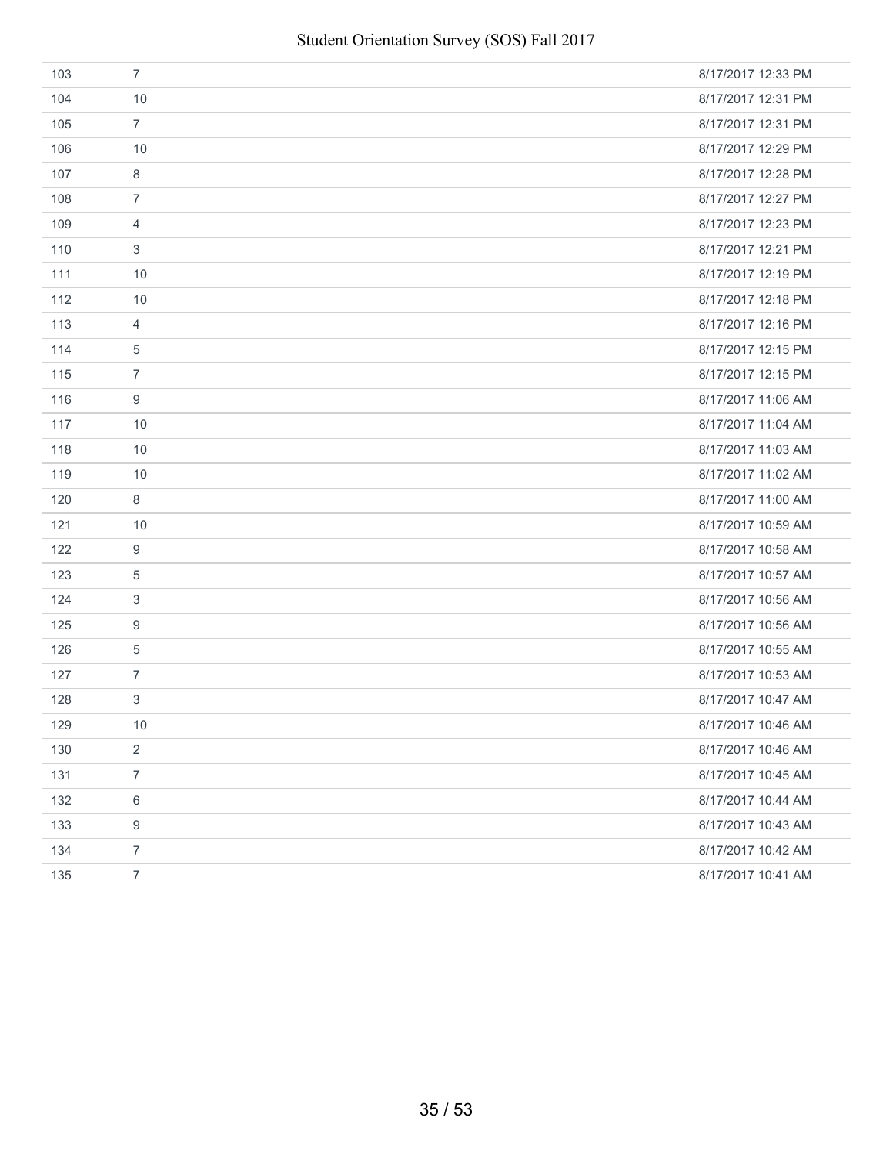| 103 | $\overline{7}$   | 8/17/2017 12:33 PM |
|-----|------------------|--------------------|
| 104 | 10               | 8/17/2017 12:31 PM |
| 105 | $\overline{7}$   | 8/17/2017 12:31 PM |
| 106 | 10               | 8/17/2017 12:29 PM |
| 107 | 8                | 8/17/2017 12:28 PM |
| 108 | $\overline{7}$   | 8/17/2017 12:27 PM |
| 109 | $\overline{4}$   | 8/17/2017 12:23 PM |
| 110 | 3                | 8/17/2017 12:21 PM |
| 111 | 10               | 8/17/2017 12:19 PM |
| 112 | 10               | 8/17/2017 12:18 PM |
| 113 | $\overline{4}$   | 8/17/2017 12:16 PM |
| 114 | $\,$ 5 $\,$      | 8/17/2017 12:15 PM |
| 115 | $\overline{7}$   | 8/17/2017 12:15 PM |
| 116 | 9                | 8/17/2017 11:06 AM |
| 117 | 10               | 8/17/2017 11:04 AM |
| 118 | 10               | 8/17/2017 11:03 AM |
| 119 | 10               | 8/17/2017 11:02 AM |
| 120 | 8                | 8/17/2017 11:00 AM |
| 121 | 10               | 8/17/2017 10:59 AM |
| 122 | 9                | 8/17/2017 10:58 AM |
| 123 | 5                | 8/17/2017 10:57 AM |
| 124 | 3                | 8/17/2017 10:56 AM |
| 125 | 9                | 8/17/2017 10:56 AM |
| 126 | 5                | 8/17/2017 10:55 AM |
| 127 | $\overline{7}$   | 8/17/2017 10:53 AM |
| 128 | $\mathfrak{S}$   | 8/17/2017 10:47 AM |
| 129 | 10               | 8/17/2017 10:46 AM |
| 130 | $\overline{2}$   | 8/17/2017 10:46 AM |
| 131 | $\overline{7}$   | 8/17/2017 10:45 AM |
| 132 | $\,6\,$          | 8/17/2017 10:44 AM |
| 133 | $\boldsymbol{9}$ | 8/17/2017 10:43 AM |
| 134 | $\overline{7}$   | 8/17/2017 10:42 AM |
| 135 | $\overline{7}$   | 8/17/2017 10:41 AM |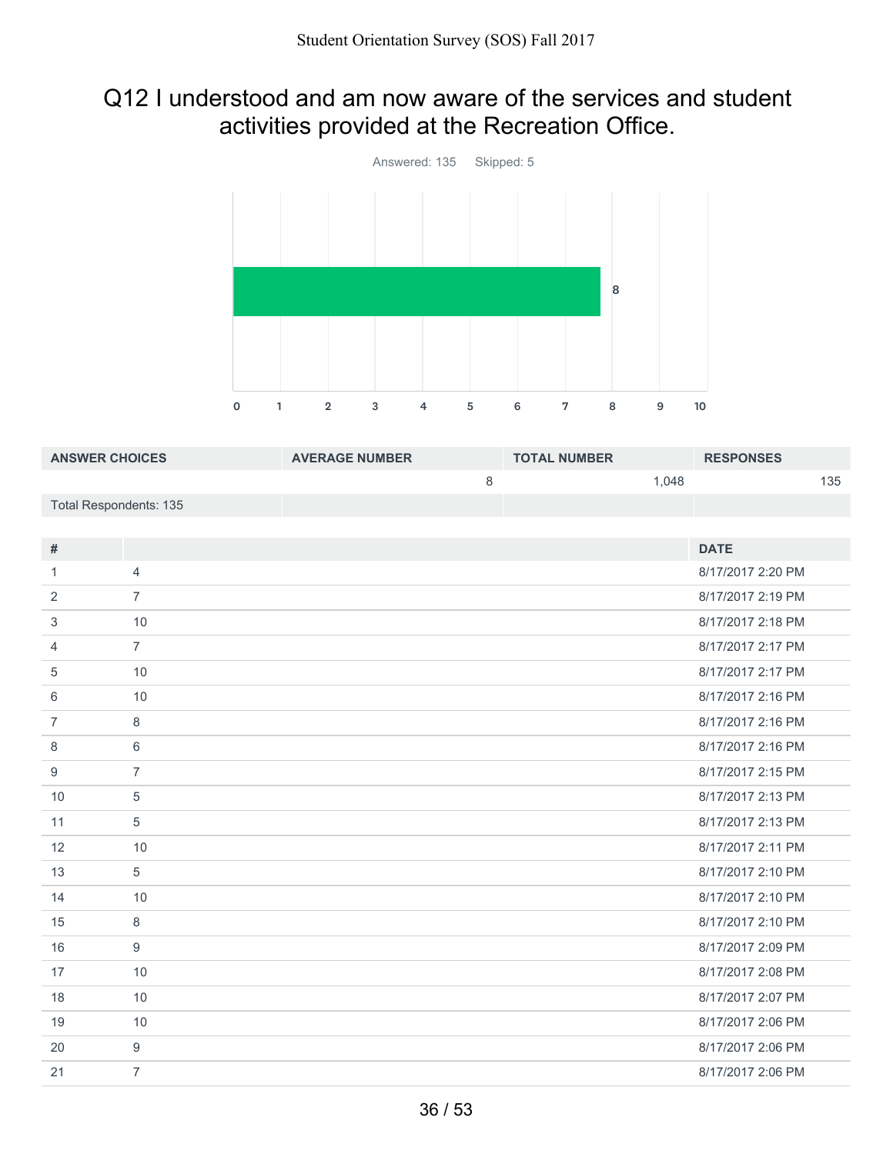### Q12 I understood and am now aware of the services and student activities provided at the Recreation Office.



| <b>ANSWER CHOICES</b>  |                | <b>AVERAGE NUMBER</b> | <b>TOTAL NUMBER</b> | <b>RESPONSES</b>  |
|------------------------|----------------|-----------------------|---------------------|-------------------|
|                        |                | 8                     | 1,048               | 135               |
| Total Respondents: 135 |                |                       |                     |                   |
|                        |                |                       |                     |                   |
| $\#$                   |                |                       |                     | <b>DATE</b>       |
| 1                      | $\overline{4}$ |                       |                     | 8/17/2017 2:20 PM |
| 2                      | $\overline{7}$ |                       |                     | 8/17/2017 2:19 PM |
| 3                      | 10             |                       |                     | 8/17/2017 2:18 PM |
| 4                      | $\overline{7}$ |                       |                     | 8/17/2017 2:17 PM |
| 5                      | 10             |                       |                     | 8/17/2017 2:17 PM |
| 6                      | 10             |                       |                     | 8/17/2017 2:16 PM |
| $\overline{7}$         | 8              |                       |                     | 8/17/2017 2:16 PM |
| 8                      | 6              |                       |                     | 8/17/2017 2:16 PM |
| 9                      | $\overline{7}$ |                       |                     | 8/17/2017 2:15 PM |
| 10                     | 5              |                       |                     | 8/17/2017 2:13 PM |
| 11                     | $\overline{5}$ |                       |                     | 8/17/2017 2:13 PM |
| 12                     | 10             |                       |                     | 8/17/2017 2:11 PM |
| 13                     | $\overline{5}$ |                       |                     | 8/17/2017 2:10 PM |
| 14                     | 10             |                       |                     | 8/17/2017 2:10 PM |
| 15                     | 8              |                       |                     | 8/17/2017 2:10 PM |
| 1 <sup>C</sup>         | $\Omega$       |                       |                     | $0/17/2017200$ DM |

| 15 | ŏ  | 8/17/2017 2.10 PM |
|----|----|-------------------|
| 16 | 9  | 8/17/2017 2:09 PM |
| 17 | 10 | 8/17/2017 2:08 PM |
| 18 | 10 | 8/17/2017 2:07 PM |
| 19 | 10 | 8/17/2017 2:06 PM |
| 20 | 9  | 8/17/2017 2:06 PM |
| 21 |    | 8/17/2017 2:06 PM |
|    |    |                   |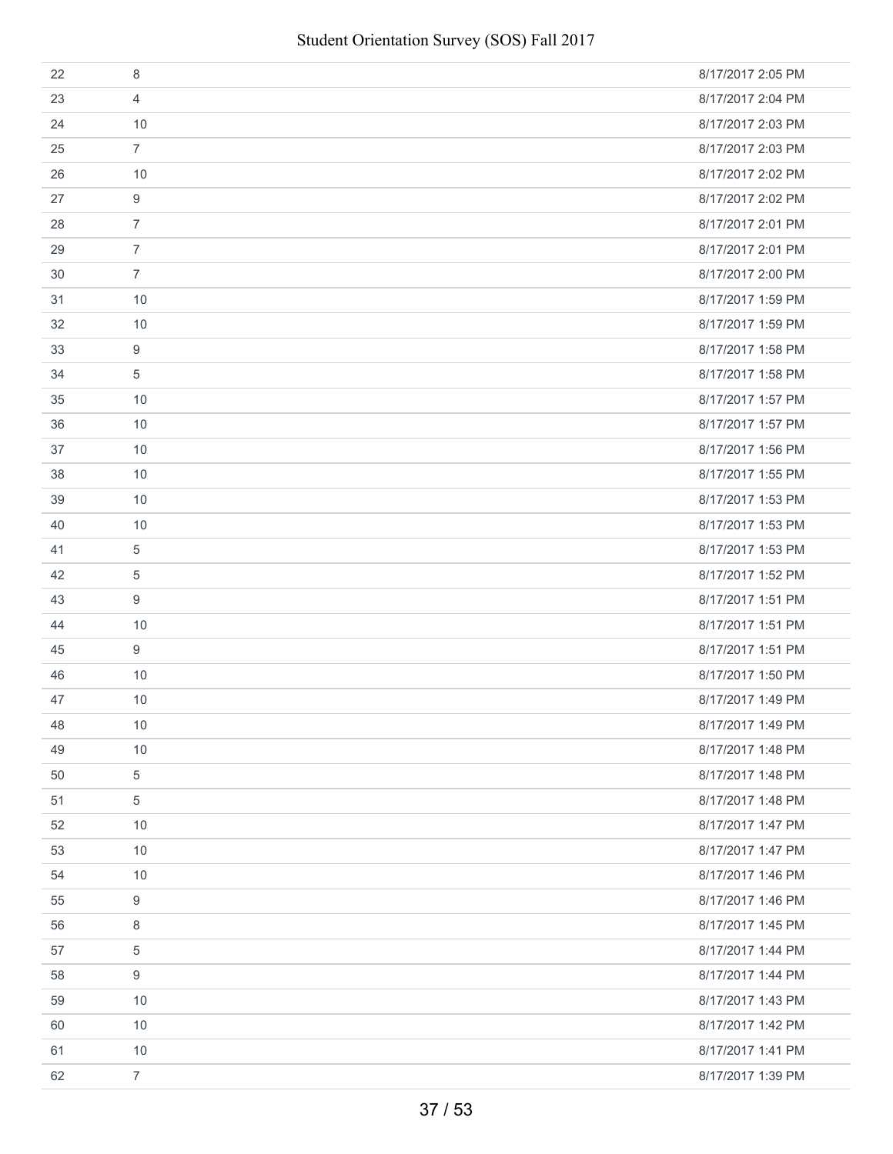| 22 | 8                | 8/17/2017 2:05 PM |
|----|------------------|-------------------|
| 23 | 4                | 8/17/2017 2:04 PM |
| 24 | 10               | 8/17/2017 2:03 PM |
| 25 | $\overline{7}$   | 8/17/2017 2:03 PM |
| 26 | 10               | 8/17/2017 2:02 PM |
| 27 | 9                | 8/17/2017 2:02 PM |
| 28 | $\overline{7}$   | 8/17/2017 2:01 PM |
| 29 | $\overline{7}$   | 8/17/2017 2:01 PM |
| 30 | $\overline{7}$   | 8/17/2017 2:00 PM |
| 31 | 10               | 8/17/2017 1:59 PM |
| 32 | 10               | 8/17/2017 1:59 PM |
| 33 | 9                | 8/17/2017 1:58 PM |
| 34 | 5                | 8/17/2017 1:58 PM |
| 35 | 10               | 8/17/2017 1:57 PM |
| 36 | 10               | 8/17/2017 1:57 PM |
| 37 | 10               | 8/17/2017 1:56 PM |
| 38 | 10               | 8/17/2017 1:55 PM |
| 39 | 10               | 8/17/2017 1:53 PM |
| 40 | 10               | 8/17/2017 1:53 PM |
| 41 | 5                | 8/17/2017 1:53 PM |
| 42 | $\overline{5}$   | 8/17/2017 1:52 PM |
| 43 | 9                | 8/17/2017 1:51 PM |
| 44 | 10               | 8/17/2017 1:51 PM |
| 45 | 9                | 8/17/2017 1:51 PM |
| 46 | 10               | 8/17/2017 1:50 PM |
| 47 | 10               | 8/17/2017 1:49 PM |
| 48 | 10               | 8/17/2017 1:49 PM |
| 49 | 10               | 8/17/2017 1:48 PM |
| 50 | $\,$ 5 $\,$      | 8/17/2017 1:48 PM |
| 51 | 5                | 8/17/2017 1:48 PM |
| 52 | 10               | 8/17/2017 1:47 PM |
| 53 | 10               | 8/17/2017 1:47 PM |
| 54 | 10               | 8/17/2017 1:46 PM |
| 55 | $\boldsymbol{9}$ | 8/17/2017 1:46 PM |
| 56 | 8                | 8/17/2017 1:45 PM |
| 57 | 5                | 8/17/2017 1:44 PM |
| 58 | 9                | 8/17/2017 1:44 PM |
| 59 | 10               | 8/17/2017 1:43 PM |
| 60 | 10               | 8/17/2017 1:42 PM |
| 61 | 10               | 8/17/2017 1:41 PM |
| 62 | $\overline{7}$   | 8/17/2017 1:39 PM |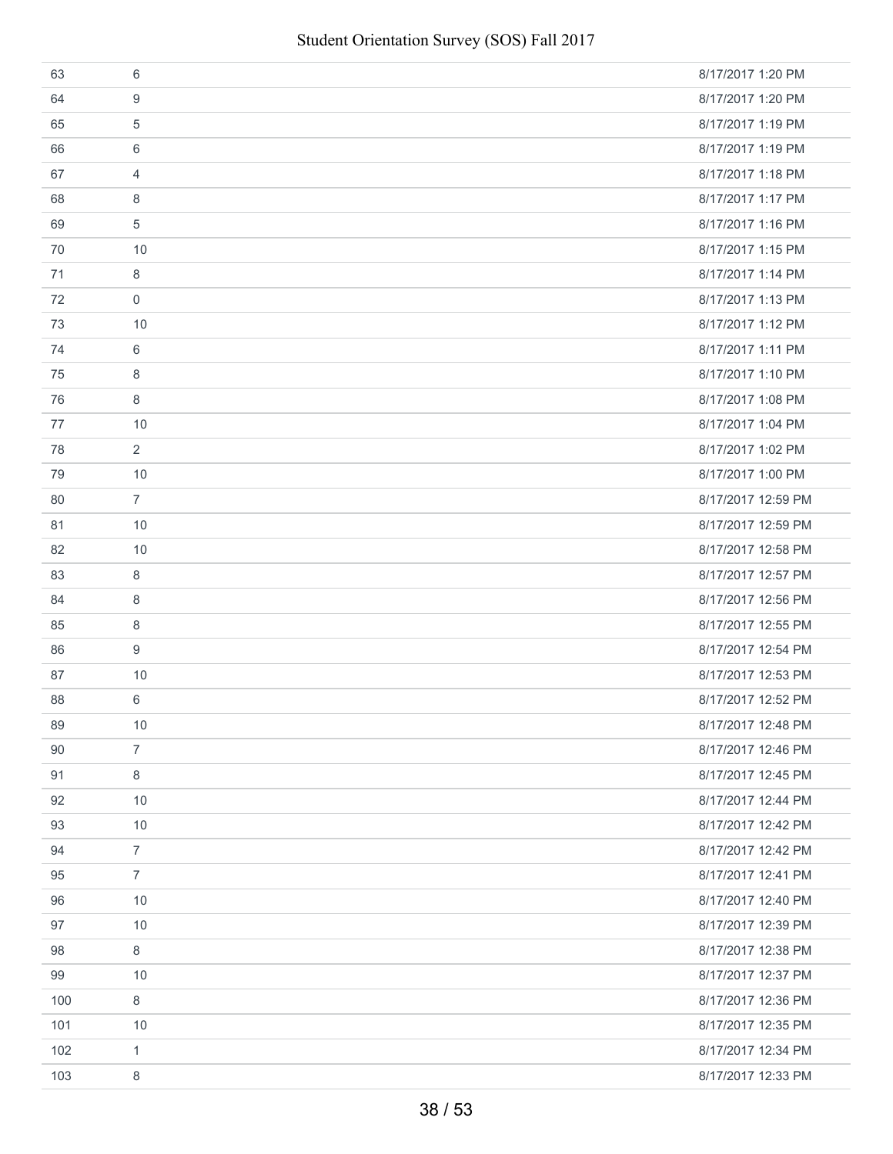| 63  | 6              | 8/17/2017 1:20 PM  |
|-----|----------------|--------------------|
| 64  | 9              | 8/17/2017 1:20 PM  |
| 65  | 5              | 8/17/2017 1:19 PM  |
| 66  | 6              | 8/17/2017 1:19 PM  |
| 67  | $\overline{4}$ | 8/17/2017 1:18 PM  |
| 68  | 8              | 8/17/2017 1:17 PM  |
| 69  | $\,$ 5 $\,$    | 8/17/2017 1:16 PM  |
| 70  | 10             | 8/17/2017 1:15 PM  |
| 71  | 8              | 8/17/2017 1:14 PM  |
| 72  | $\mathbf 0$    | 8/17/2017 1:13 PM  |
| 73  | 10             | 8/17/2017 1:12 PM  |
| 74  | 6              | 8/17/2017 1:11 PM  |
| 75  | 8              | 8/17/2017 1:10 PM  |
| 76  | 8              | 8/17/2017 1:08 PM  |
| 77  | 10             | 8/17/2017 1:04 PM  |
| 78  | $\overline{2}$ | 8/17/2017 1:02 PM  |
| 79  | 10             | 8/17/2017 1:00 PM  |
| 80  | $\overline{7}$ | 8/17/2017 12:59 PM |
| 81  | 10             | 8/17/2017 12:59 PM |
| 82  | 10             | 8/17/2017 12:58 PM |
| 83  | 8              | 8/17/2017 12:57 PM |
| 84  | 8              | 8/17/2017 12:56 PM |
| 85  | 8              | 8/17/2017 12:55 PM |
| 86  | 9              | 8/17/2017 12:54 PM |
| 87  | 10             | 8/17/2017 12:53 PM |
| 88  | 6              | 8/17/2017 12:52 PM |
| 89  | 10             | 8/17/2017 12:48 PM |
| 90  | $\overline{7}$ | 8/17/2017 12:46 PM |
| 91  | $\,8\,$        | 8/17/2017 12:45 PM |
| 92  | 10             | 8/17/2017 12:44 PM |
| 93  | 10             | 8/17/2017 12:42 PM |
| 94  | $\overline{7}$ | 8/17/2017 12:42 PM |
| 95  | $\overline{7}$ | 8/17/2017 12:41 PM |
| 96  | 10             | 8/17/2017 12:40 PM |
| 97  | 10             | 8/17/2017 12:39 PM |
| 98  | $\,8\,$        | 8/17/2017 12:38 PM |
| 99  | 10             | 8/17/2017 12:37 PM |
| 100 | $\,8\,$        | 8/17/2017 12:36 PM |
| 101 | 10             | 8/17/2017 12:35 PM |
| 102 | $\mathbf{1}$   | 8/17/2017 12:34 PM |
| 103 | 8              | 8/17/2017 12:33 PM |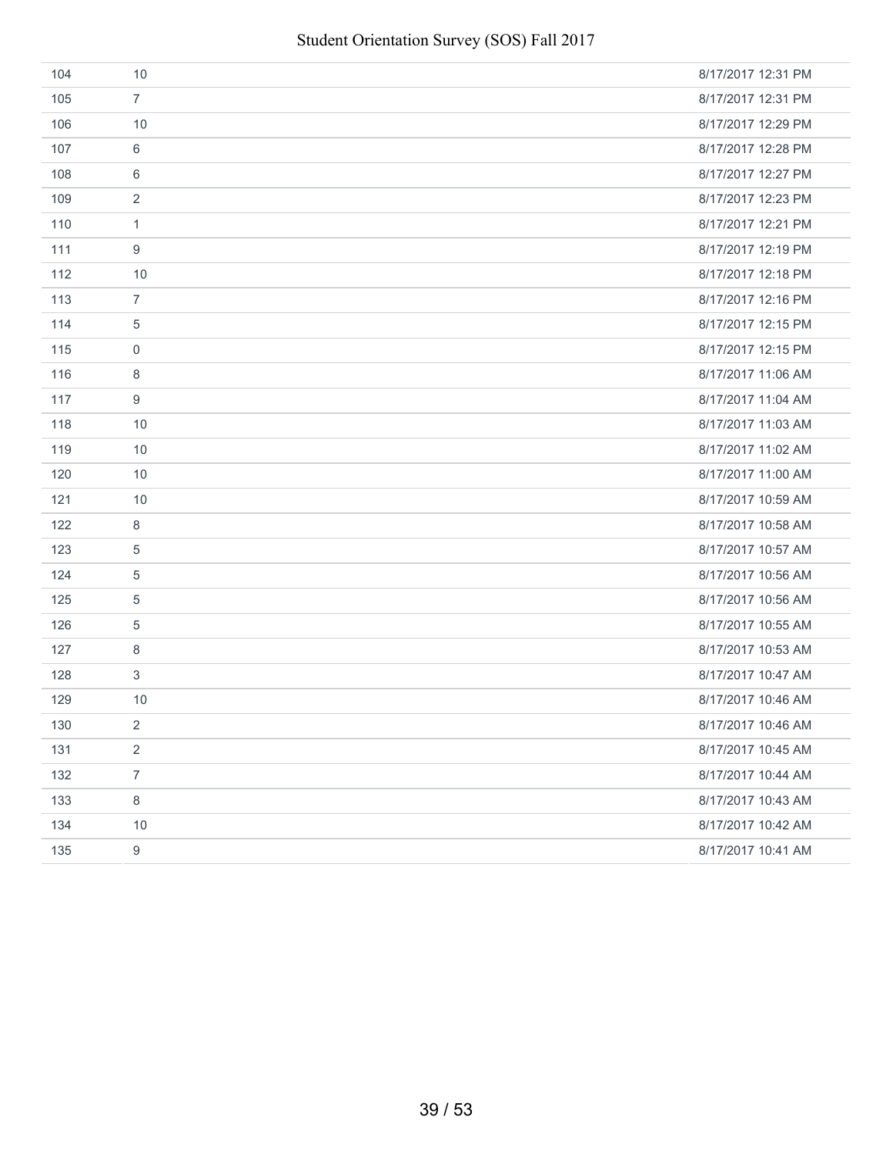| 104 | 10               | 8/17/2017 12:31 PM |
|-----|------------------|--------------------|
| 105 | $\overline{7}$   | 8/17/2017 12:31 PM |
| 106 | 10               | 8/17/2017 12:29 PM |
| 107 | 6                | 8/17/2017 12:28 PM |
| 108 | 6                | 8/17/2017 12:27 PM |
| 109 | 2                | 8/17/2017 12:23 PM |
| 110 | $\mathbf{1}$     | 8/17/2017 12:21 PM |
| 111 | 9                | 8/17/2017 12:19 PM |
| 112 | 10               | 8/17/2017 12:18 PM |
| 113 | $\overline{7}$   | 8/17/2017 12:16 PM |
| 114 | $\overline{5}$   | 8/17/2017 12:15 PM |
| 115 | $\mathbf 0$      | 8/17/2017 12:15 PM |
| 116 | 8                | 8/17/2017 11:06 AM |
| 117 | 9                | 8/17/2017 11:04 AM |
| 118 | 10               | 8/17/2017 11:03 AM |
| 119 | 10               | 8/17/2017 11:02 AM |
| 120 | 10               | 8/17/2017 11:00 AM |
| 121 | 10               | 8/17/2017 10:59 AM |
| 122 | 8                | 8/17/2017 10:58 AM |
| 123 | $\overline{5}$   | 8/17/2017 10:57 AM |
| 124 | 5                | 8/17/2017 10:56 AM |
| 125 | $\overline{5}$   | 8/17/2017 10:56 AM |
| 126 | 5                | 8/17/2017 10:55 AM |
| 127 | 8                | 8/17/2017 10:53 AM |
| 128 | $\mathbf{3}$     | 8/17/2017 10:47 AM |
| 129 | 10               | 8/17/2017 10:46 AM |
| 130 | 2                | 8/17/2017 10:46 AM |
| 131 | $\overline{2}$   | 8/17/2017 10:45 AM |
| 132 | $\overline{7}$   | 8/17/2017 10:44 AM |
| 133 | $\,8\,$          | 8/17/2017 10:43 AM |
| 134 | 10               | 8/17/2017 10:42 AM |
| 135 | $\boldsymbol{9}$ | 8/17/2017 10:41 AM |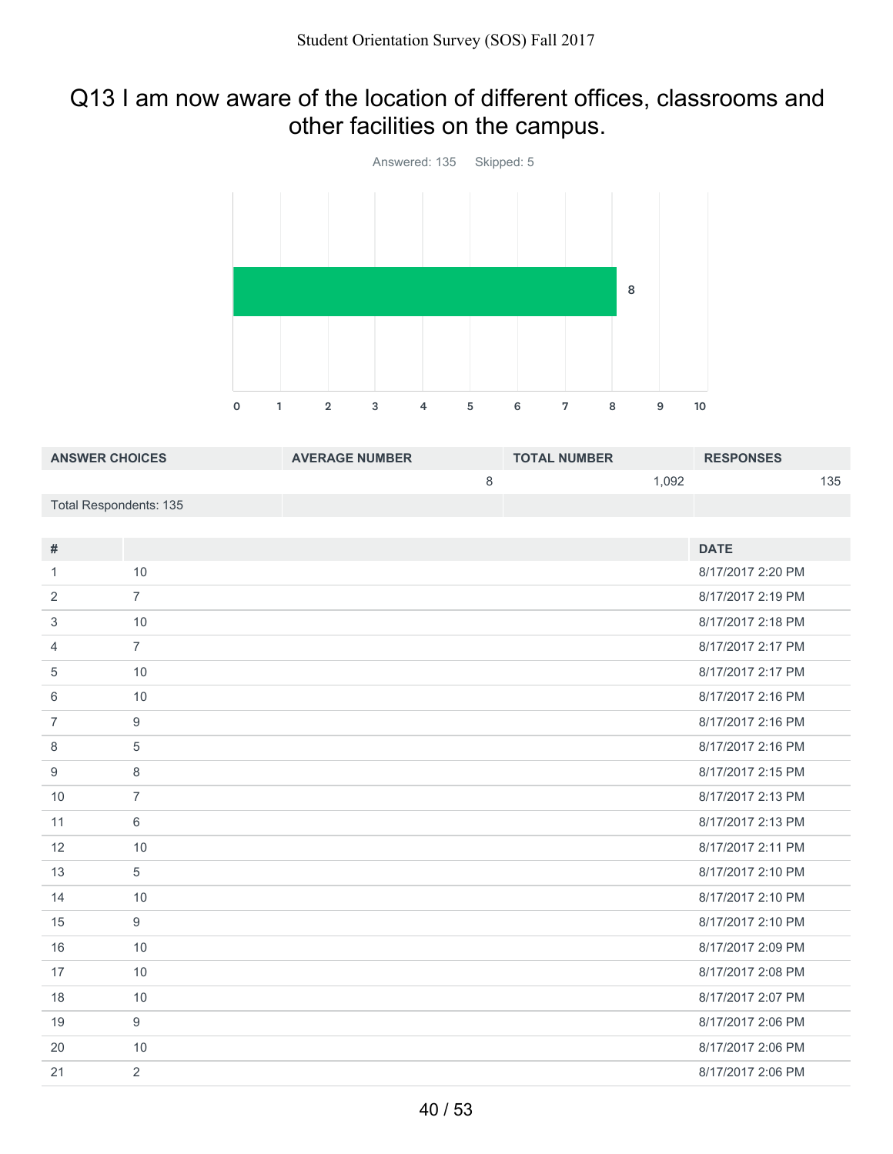# Q13 I am now aware of the location of different offices, classrooms and other facilities on the campus.



| <b>ANSWER CHOICES</b>  | <b>AVERAGE NUMBER</b> | <b>TOTAL NUMBER</b> | <b>RESPONSES</b> |
|------------------------|-----------------------|---------------------|------------------|
|                        |                       | 1.092               | 135              |
| Total Respondents: 135 |                       |                     |                  |
|                        |                       |                     |                  |

| #              |                | <b>DATE</b>       |
|----------------|----------------|-------------------|
| 1              | 10             | 8/17/2017 2:20 PM |
| 2              | $\overline{7}$ | 8/17/2017 2:19 PM |
| 3              | 10             | 8/17/2017 2:18 PM |
| 4              | $\overline{7}$ | 8/17/2017 2:17 PM |
| 5              | 10             | 8/17/2017 2:17 PM |
| 6              | 10             | 8/17/2017 2:16 PM |
| $\overline{7}$ | 9              | 8/17/2017 2:16 PM |
| 8              | 5              | 8/17/2017 2:16 PM |
| 9              | 8              | 8/17/2017 2:15 PM |
| 10             | $\overline{7}$ | 8/17/2017 2:13 PM |
| 11             | 6              | 8/17/2017 2:13 PM |
| 12             | 10             | 8/17/2017 2:11 PM |
| 13             | 5              | 8/17/2017 2:10 PM |
| 14             | 10             | 8/17/2017 2:10 PM |
| 15             | 9              | 8/17/2017 2:10 PM |
| 16             | 10             | 8/17/2017 2:09 PM |
| 17             | 10             | 8/17/2017 2:08 PM |
| 18             | 10             | 8/17/2017 2:07 PM |
| 19             | 9              | 8/17/2017 2:06 PM |
| 20             | 10             | 8/17/2017 2:06 PM |
| 21             | 2              | 8/17/2017 2:06 PM |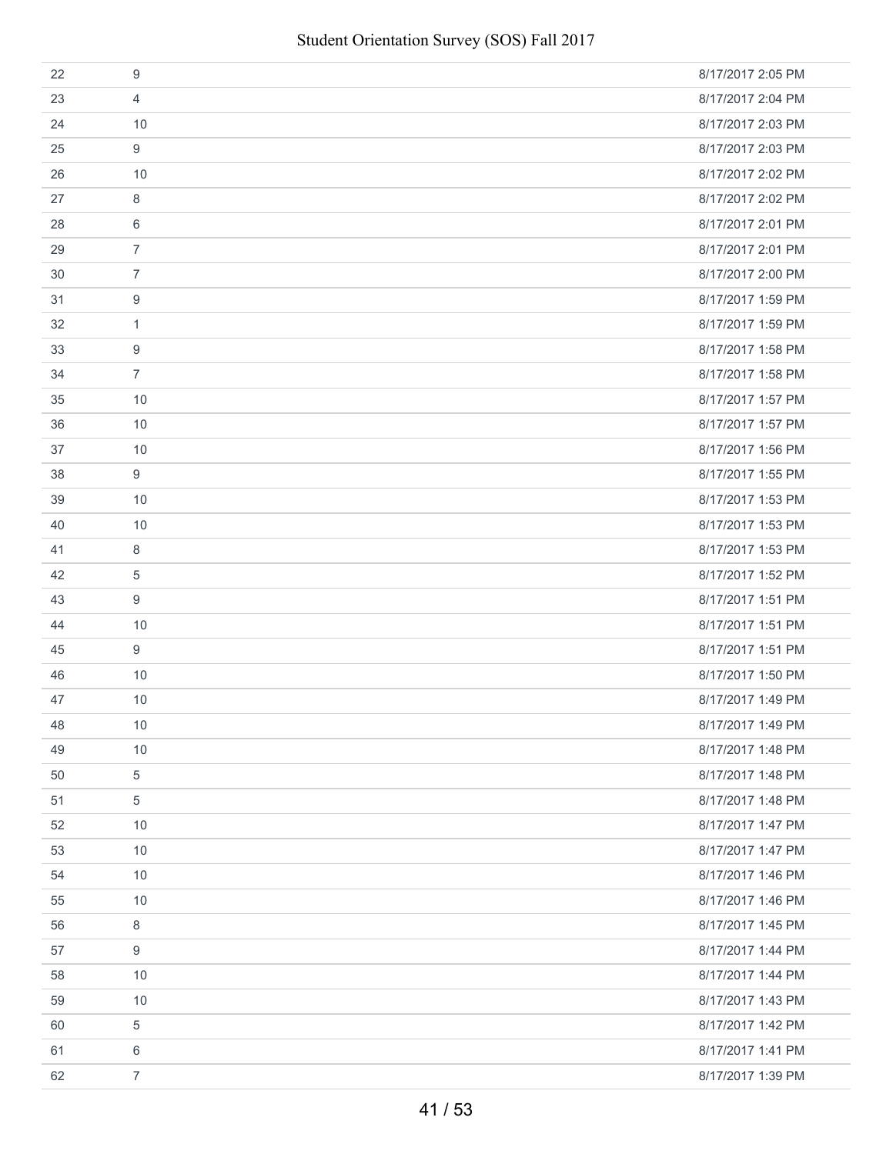| 22 | 9              | 8/17/2017 2:05 PM |
|----|----------------|-------------------|
| 23 | 4              | 8/17/2017 2:04 PM |
| 24 | 10             | 8/17/2017 2:03 PM |
| 25 | 9              | 8/17/2017 2:03 PM |
| 26 | 10             | 8/17/2017 2:02 PM |
| 27 | 8              | 8/17/2017 2:02 PM |
| 28 | 6              | 8/17/2017 2:01 PM |
| 29 | $\overline{7}$ | 8/17/2017 2:01 PM |
| 30 | $\overline{7}$ | 8/17/2017 2:00 PM |
| 31 | 9              | 8/17/2017 1:59 PM |
| 32 | 1              | 8/17/2017 1:59 PM |
| 33 | 9              | 8/17/2017 1:58 PM |
| 34 | $\overline{7}$ | 8/17/2017 1:58 PM |
| 35 | 10             | 8/17/2017 1:57 PM |
| 36 | 10             | 8/17/2017 1:57 PM |
| 37 | 10             | 8/17/2017 1:56 PM |
| 38 | 9              | 8/17/2017 1:55 PM |
| 39 | 10             | 8/17/2017 1:53 PM |
| 40 | 10             | 8/17/2017 1:53 PM |
| 41 | 8              | 8/17/2017 1:53 PM |
| 42 | $\overline{5}$ | 8/17/2017 1:52 PM |
| 43 | 9              | 8/17/2017 1:51 PM |
| 44 | 10             | 8/17/2017 1:51 PM |
| 45 | 9              | 8/17/2017 1:51 PM |
| 46 | 10             | 8/17/2017 1:50 PM |
| 47 | 10             | 8/17/2017 1:49 PM |
| 48 | 10             | 8/17/2017 1:49 PM |
| 49 | 10             | 8/17/2017 1:48 PM |
| 50 | $\,$ 5 $\,$    | 8/17/2017 1:48 PM |
| 51 | 5              | 8/17/2017 1:48 PM |
| 52 | 10             | 8/17/2017 1:47 PM |
| 53 | 10             | 8/17/2017 1:47 PM |
| 54 | 10             | 8/17/2017 1:46 PM |
| 55 | 10             | 8/17/2017 1:46 PM |
| 56 | 8              | 8/17/2017 1:45 PM |
| 57 | 9              | 8/17/2017 1:44 PM |
| 58 | 10             | 8/17/2017 1:44 PM |
| 59 | 10             | 8/17/2017 1:43 PM |
| 60 | $\sqrt{5}$     | 8/17/2017 1:42 PM |
| 61 | 6              | 8/17/2017 1:41 PM |
| 62 | $\overline{7}$ | 8/17/2017 1:39 PM |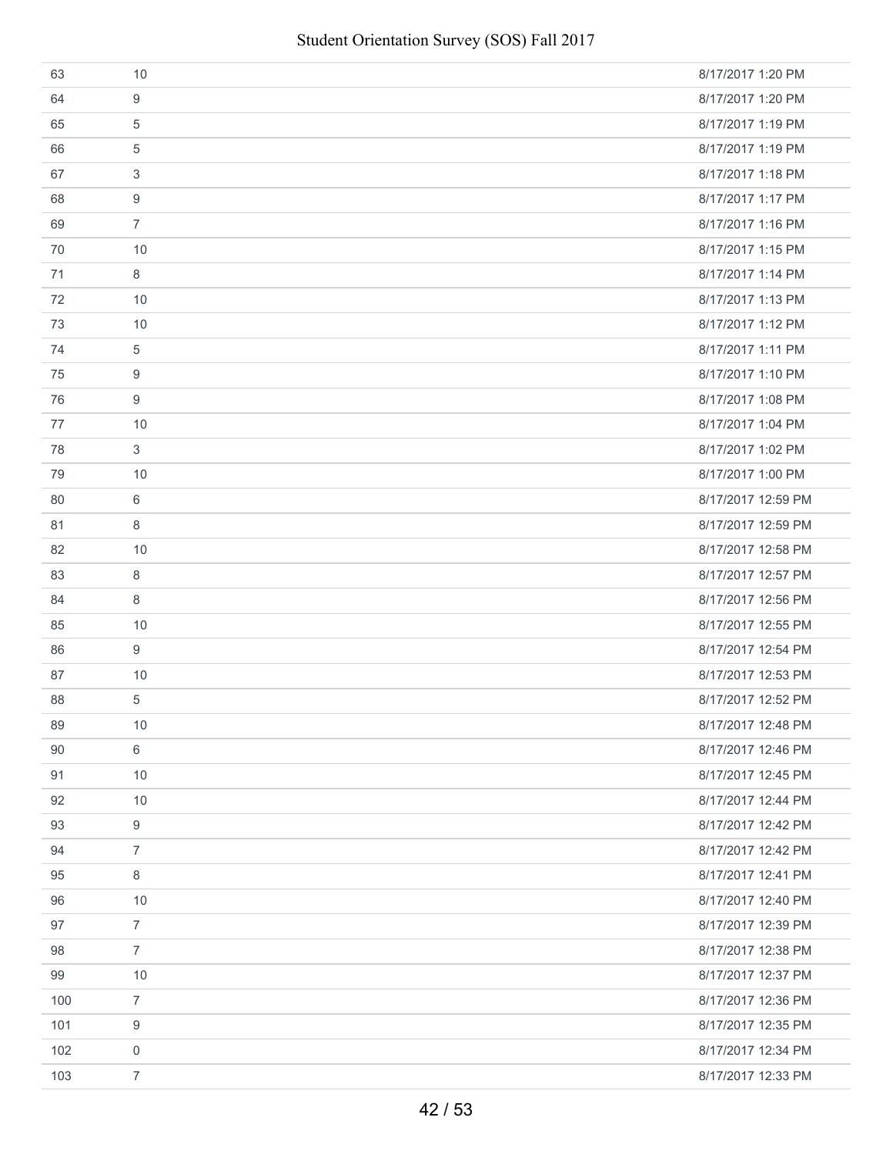| 63  | 10             | 8/17/2017 1:20 PM  |
|-----|----------------|--------------------|
| 64  | 9              | 8/17/2017 1:20 PM  |
| 65  | 5              | 8/17/2017 1:19 PM  |
| 66  | 5              | 8/17/2017 1:19 PM  |
| 67  | 3              | 8/17/2017 1:18 PM  |
| 68  | 9              | 8/17/2017 1:17 PM  |
| 69  | $\overline{7}$ | 8/17/2017 1:16 PM  |
| 70  | 10             | 8/17/2017 1:15 PM  |
| 71  | 8              | 8/17/2017 1:14 PM  |
| 72  | 10             | 8/17/2017 1:13 PM  |
| 73  | 10             | 8/17/2017 1:12 PM  |
| 74  | 5              | 8/17/2017 1:11 PM  |
| 75  | 9              | 8/17/2017 1:10 PM  |
| 76  | 9              | 8/17/2017 1:08 PM  |
| 77  | 10             | 8/17/2017 1:04 PM  |
| 78  | 3              | 8/17/2017 1:02 PM  |
| 79  | 10             | 8/17/2017 1:00 PM  |
| 80  | 6              | 8/17/2017 12:59 PM |
| 81  | 8              | 8/17/2017 12:59 PM |
| 82  | 10             | 8/17/2017 12:58 PM |
| 83  | 8              | 8/17/2017 12:57 PM |
| 84  | 8              | 8/17/2017 12:56 PM |
| 85  | 10             | 8/17/2017 12:55 PM |
| 86  | 9              | 8/17/2017 12:54 PM |
| 87  | 10             | 8/17/2017 12:53 PM |
| 88  | 5              | 8/17/2017 12:52 PM |
| 89  | 10             | 8/17/2017 12:48 PM |
| 90  | 6              | 8/17/2017 12:46 PM |
| 91  | 10             | 8/17/2017 12:45 PM |
| 92  | 10             | 8/17/2017 12:44 PM |
| 93  | 9              | 8/17/2017 12:42 PM |
| 94  | $\overline{7}$ | 8/17/2017 12:42 PM |
| 95  | 8              | 8/17/2017 12:41 PM |
| 96  | 10             | 8/17/2017 12:40 PM |
| 97  | $\overline{7}$ | 8/17/2017 12:39 PM |
| 98  | $\overline{7}$ | 8/17/2017 12:38 PM |
| 99  | 10             | 8/17/2017 12:37 PM |
| 100 | $\overline{7}$ | 8/17/2017 12:36 PM |
| 101 | 9              | 8/17/2017 12:35 PM |
| 102 | $\mathbf 0$    | 8/17/2017 12:34 PM |
| 103 | $\overline{7}$ | 8/17/2017 12:33 PM |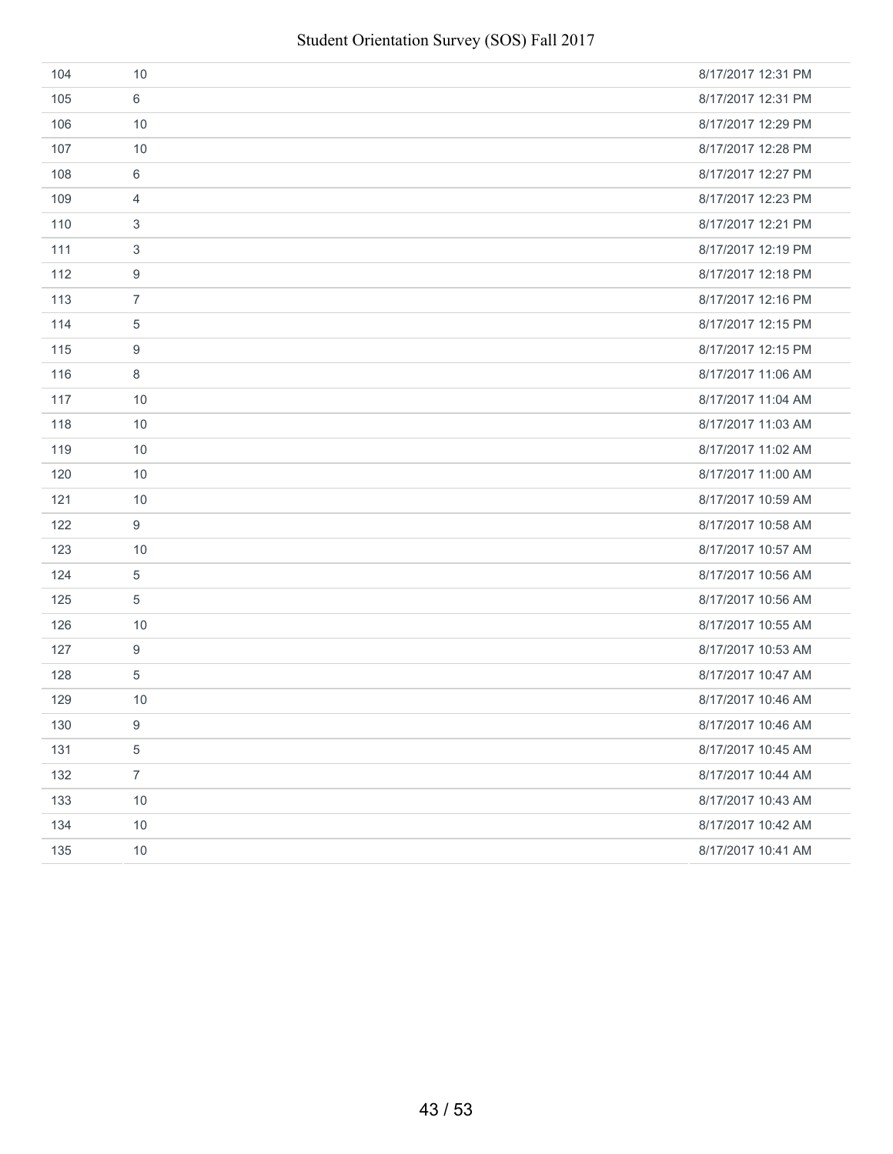| 104 | 10             | 8/17/2017 12:31 PM |
|-----|----------------|--------------------|
| 105 | 6              | 8/17/2017 12:31 PM |
| 106 | 10             | 8/17/2017 12:29 PM |
| 107 | 10             | 8/17/2017 12:28 PM |
| 108 | 6              | 8/17/2017 12:27 PM |
| 109 | 4              | 8/17/2017 12:23 PM |
| 110 | 3              | 8/17/2017 12:21 PM |
| 111 | 3              | 8/17/2017 12:19 PM |
| 112 | 9              | 8/17/2017 12:18 PM |
| 113 | $\overline{7}$ | 8/17/2017 12:16 PM |
| 114 | 5              | 8/17/2017 12:15 PM |
| 115 | 9              | 8/17/2017 12:15 PM |
| 116 | 8              | 8/17/2017 11:06 AM |
| 117 | 10             | 8/17/2017 11:04 AM |
| 118 | 10             | 8/17/2017 11:03 AM |
| 119 | 10             | 8/17/2017 11:02 AM |
| 120 | 10             | 8/17/2017 11:00 AM |
| 121 | 10             | 8/17/2017 10:59 AM |
| 122 | 9              | 8/17/2017 10:58 AM |
| 123 | 10             | 8/17/2017 10:57 AM |
| 124 | 5              | 8/17/2017 10:56 AM |
| 125 | 5              | 8/17/2017 10:56 AM |
| 126 | 10             | 8/17/2017 10:55 AM |
| 127 | 9              | 8/17/2017 10:53 AM |
| 128 | 5              | 8/17/2017 10:47 AM |
| 129 | 10             | 8/17/2017 10:46 AM |
| 130 | 9              | 8/17/2017 10:46 AM |
| 131 | $\,$ 5 $\,$    | 8/17/2017 10:45 AM |
| 132 | $\overline{7}$ | 8/17/2017 10:44 AM |
| 133 | 10             | 8/17/2017 10:43 AM |
| 134 | 10             | 8/17/2017 10:42 AM |
| 135 | 10             | 8/17/2017 10:41 AM |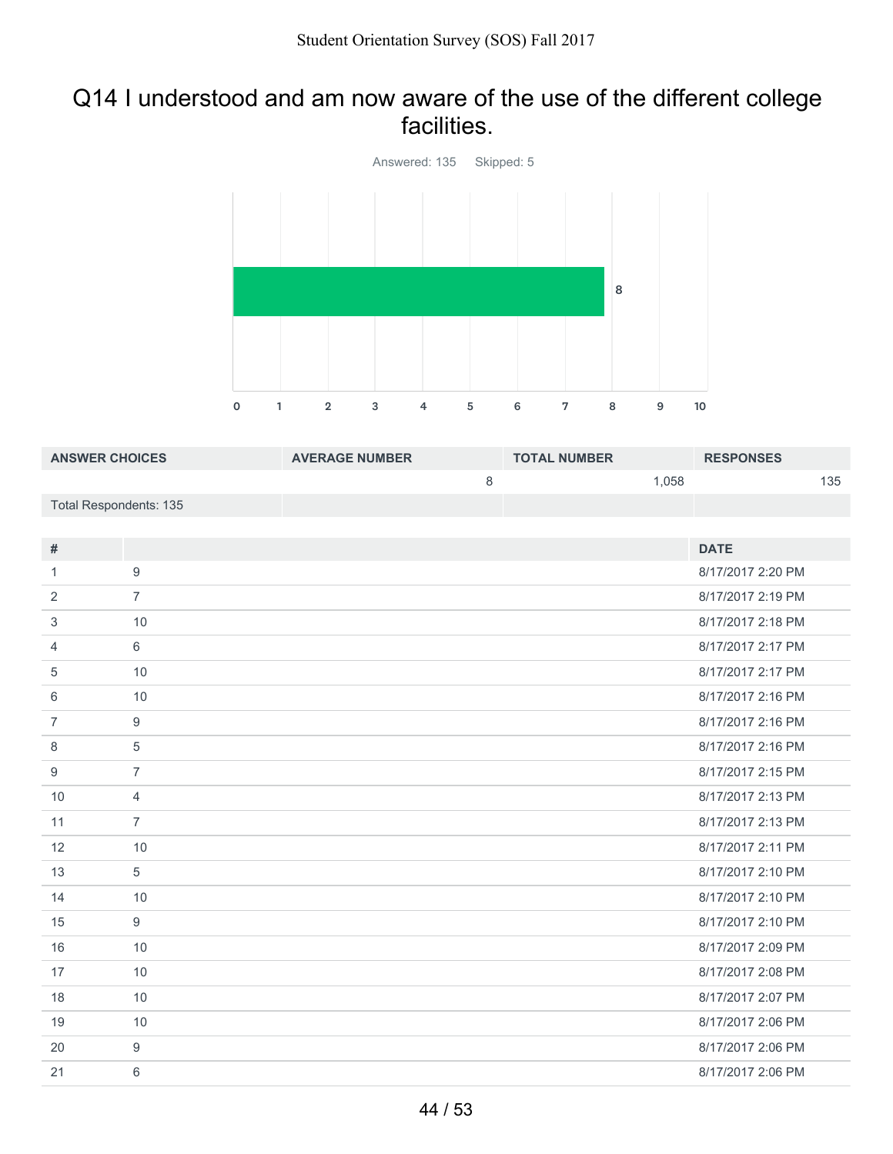### Q14 I understood and am now aware of the use of the different college facilities.



| <b>ANSWER CHOICES</b>         |                | <b>AVERAGE NUMBER</b> |         | <b>TOTAL NUMBER</b> |       | <b>RESPONSES</b>  |     |
|-------------------------------|----------------|-----------------------|---------|---------------------|-------|-------------------|-----|
|                               |                |                       | $\,8\,$ |                     | 1,058 |                   | 135 |
| <b>Total Respondents: 135</b> |                |                       |         |                     |       |                   |     |
|                               |                |                       |         |                     |       |                   |     |
| $\#$                          |                |                       |         |                     |       | <b>DATE</b>       |     |
| $\mathbf{1}$                  | 9              |                       |         |                     |       | 8/17/2017 2:20 PM |     |
| 2                             | $\overline{7}$ |                       |         |                     |       | 8/17/2017 2:19 PM |     |
| 3                             | 10             |                       |         |                     |       | 8/17/2017 2:18 PM |     |
| 4                             | 6              |                       |         |                     |       | 8/17/2017 2:17 PM |     |
| 5                             | 10             |                       |         |                     |       | 8/17/2017 2:17 PM |     |
| 6                             | 10             |                       |         |                     |       | 8/17/2017 2:16 PM |     |
| $\overline{7}$                | 9              |                       |         |                     |       | 8/17/2017 2:16 PM |     |
| 8                             | $\sqrt{5}$     |                       |         |                     |       | 8/17/2017 2:16 PM |     |
| 9                             | $\overline{7}$ |                       |         |                     |       | 8/17/2017 2:15 PM |     |
| $10$                          | $\overline{4}$ |                       |         |                     |       | 8/17/2017 2:13 PM |     |
| 11                            | $\overline{7}$ |                       |         |                     |       | 8/17/2017 2:13 PM |     |
| 12                            | 10             |                       |         |                     |       | 8/17/2017 2:11 PM |     |
| 13                            | 5              |                       |         |                     |       | 8/17/2017 2:10 PM |     |
| 14                            | 10             |                       |         |                     |       | 8/17/2017 2:10 PM |     |
| 15                            | 9              |                       |         |                     |       | 8/17/2017 2:10 PM |     |
| 16                            | 10             |                       |         |                     |       | 8/17/2017 2:09 PM |     |
| 17                            | 10             |                       |         |                     |       | 8/17/2017 2:08 PM |     |
| 18                            | 10             |                       |         |                     |       | 8/17/2017 2:07 PM |     |
| 19                            | 10             |                       |         |                     |       | 8/17/2017 2:06 PM |     |
| 20                            | 9              |                       |         |                     |       | 8/17/2017 2:06 PM |     |
| 21                            | $6\,$          |                       |         |                     |       | 8/17/2017 2:06 PM |     |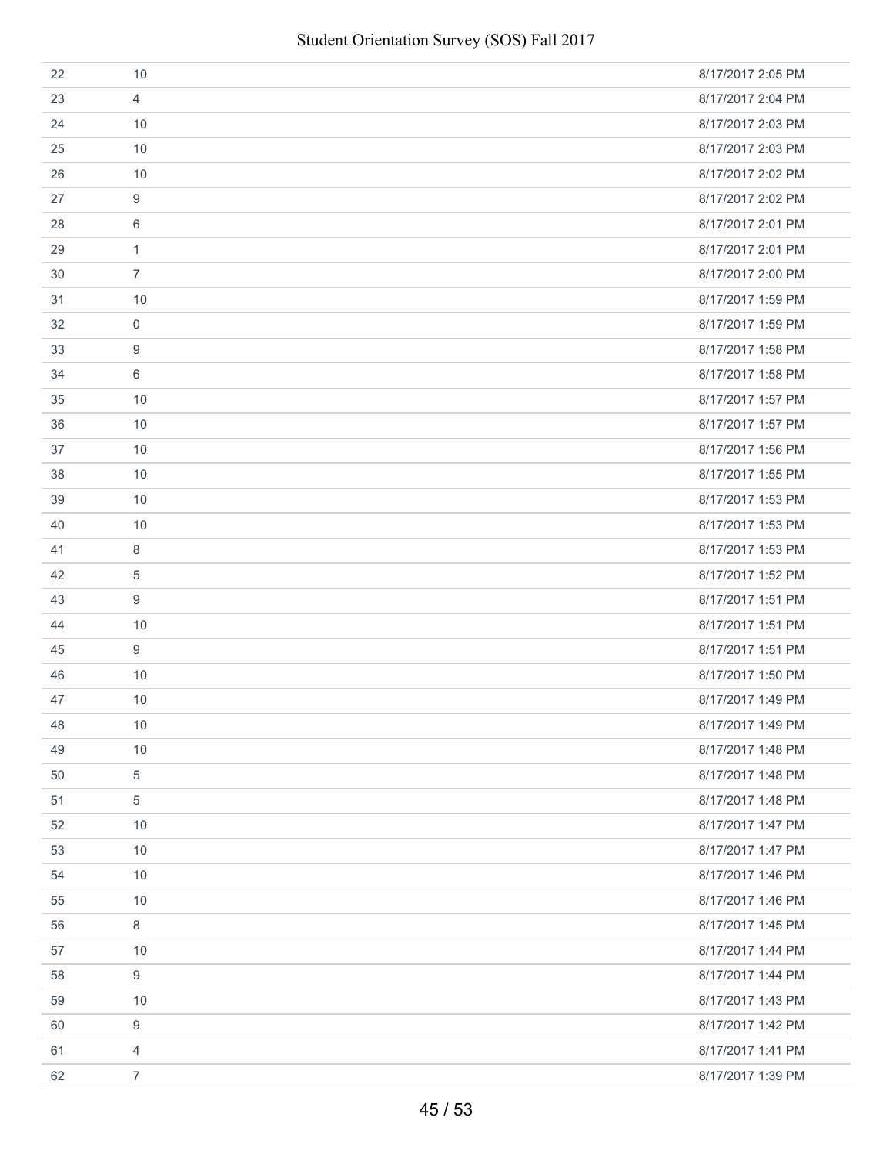| 22 | 10             | 8/17/2017 2:05 PM |
|----|----------------|-------------------|
| 23 | $\overline{4}$ | 8/17/2017 2:04 PM |
| 24 | 10             | 8/17/2017 2:03 PM |
| 25 | 10             | 8/17/2017 2:03 PM |
| 26 | 10             | 8/17/2017 2:02 PM |
| 27 | 9              | 8/17/2017 2:02 PM |
| 28 | 6              | 8/17/2017 2:01 PM |
| 29 | $\mathbf{1}$   | 8/17/2017 2:01 PM |
| 30 | $\overline{7}$ | 8/17/2017 2:00 PM |
| 31 | 10             | 8/17/2017 1:59 PM |
| 32 | $\mathbf 0$    | 8/17/2017 1:59 PM |
| 33 | 9              | 8/17/2017 1:58 PM |
| 34 | 6              | 8/17/2017 1:58 PM |
| 35 | 10             | 8/17/2017 1:57 PM |
| 36 | 10             | 8/17/2017 1:57 PM |
| 37 | 10             | 8/17/2017 1:56 PM |
| 38 | 10             | 8/17/2017 1:55 PM |
| 39 | 10             | 8/17/2017 1:53 PM |
| 40 | 10             | 8/17/2017 1:53 PM |
| 41 | 8              | 8/17/2017 1:53 PM |
| 42 | 5              | 8/17/2017 1:52 PM |
| 43 | 9              | 8/17/2017 1:51 PM |
| 44 | 10             | 8/17/2017 1:51 PM |
| 45 | 9              | 8/17/2017 1:51 PM |
| 46 | 10             | 8/17/2017 1:50 PM |
| 47 | 10             | 8/17/2017 1:49 PM |
| 48 | 10             | 8/17/2017 1:49 PM |
| 49 | 10             | 8/17/2017 1:48 PM |
| 50 | $\sqrt{5}$     | 8/17/2017 1:48 PM |
| 51 | 5              | 8/17/2017 1:48 PM |
| 52 | 10             | 8/17/2017 1:47 PM |
| 53 | 10             | 8/17/2017 1:47 PM |
| 54 | 10             | 8/17/2017 1:46 PM |
| 55 | 10             | 8/17/2017 1:46 PM |
| 56 | 8              | 8/17/2017 1:45 PM |
| 57 | 10             | 8/17/2017 1:44 PM |
| 58 | 9              | 8/17/2017 1:44 PM |
| 59 | 10             | 8/17/2017 1:43 PM |
| 60 | 9              | 8/17/2017 1:42 PM |
| 61 | $\overline{4}$ | 8/17/2017 1:41 PM |
| 62 | $\overline{7}$ | 8/17/2017 1:39 PM |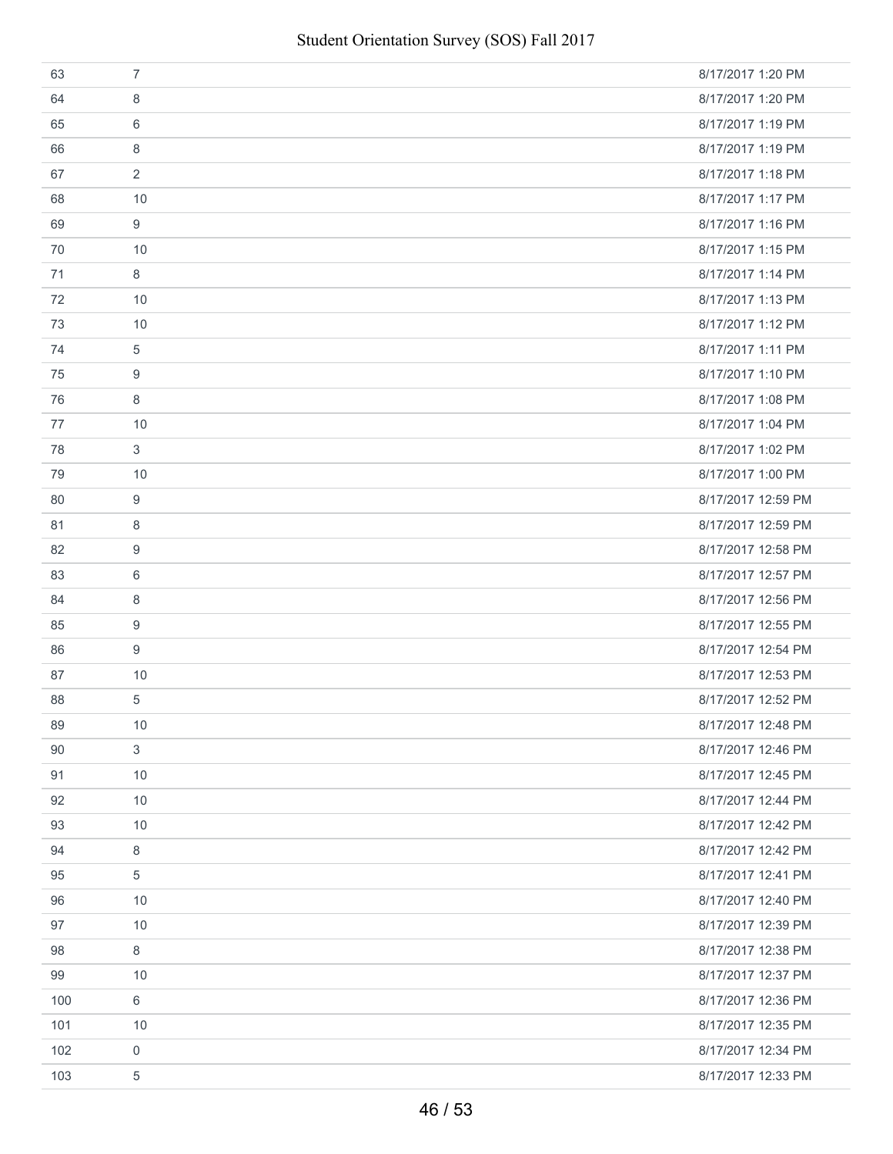| 63  | $\overline{7}$ | 8/17/2017 1:20 PM  |
|-----|----------------|--------------------|
| 64  | 8              | 8/17/2017 1:20 PM  |
| 65  | 6              | 8/17/2017 1:19 PM  |
| 66  | 8              | 8/17/2017 1:19 PM  |
| 67  | $\overline{2}$ | 8/17/2017 1:18 PM  |
| 68  | 10             | 8/17/2017 1:17 PM  |
| 69  | 9              | 8/17/2017 1:16 PM  |
| 70  | 10             | 8/17/2017 1:15 PM  |
| 71  | 8              | 8/17/2017 1:14 PM  |
| 72  | 10             | 8/17/2017 1:13 PM  |
| 73  | 10             | 8/17/2017 1:12 PM  |
| 74  | 5              | 8/17/2017 1:11 PM  |
| 75  | 9              | 8/17/2017 1:10 PM  |
| 76  | 8              | 8/17/2017 1:08 PM  |
| 77  | 10             | 8/17/2017 1:04 PM  |
| 78  | 3              | 8/17/2017 1:02 PM  |
| 79  | 10             | 8/17/2017 1:00 PM  |
| 80  | 9              | 8/17/2017 12:59 PM |
| 81  | 8              | 8/17/2017 12:59 PM |
| 82  | 9              | 8/17/2017 12:58 PM |
| 83  | 6              | 8/17/2017 12:57 PM |
| 84  | 8              | 8/17/2017 12:56 PM |
| 85  | 9              | 8/17/2017 12:55 PM |
| 86  | 9              | 8/17/2017 12:54 PM |
| 87  | 10             | 8/17/2017 12:53 PM |
| 88  | 5              | 8/17/2017 12:52 PM |
| 89  | 10             | 8/17/2017 12:48 PM |
| 90  | 3              | 8/17/2017 12:46 PM |
| 91  | 10             | 8/17/2017 12:45 PM |
| 92  | 10             | 8/17/2017 12:44 PM |
| 93  | 10             | 8/17/2017 12:42 PM |
| 94  | 8              | 8/17/2017 12:42 PM |
| 95  | 5              | 8/17/2017 12:41 PM |
| 96  | 10             | 8/17/2017 12:40 PM |
| 97  | 10             | 8/17/2017 12:39 PM |
| 98  | 8              | 8/17/2017 12:38 PM |
| 99  | 10             | 8/17/2017 12:37 PM |
| 100 | 6              | 8/17/2017 12:36 PM |
| 101 | 10             | 8/17/2017 12:35 PM |
| 102 | 0              | 8/17/2017 12:34 PM |
| 103 | 5              | 8/17/2017 12:33 PM |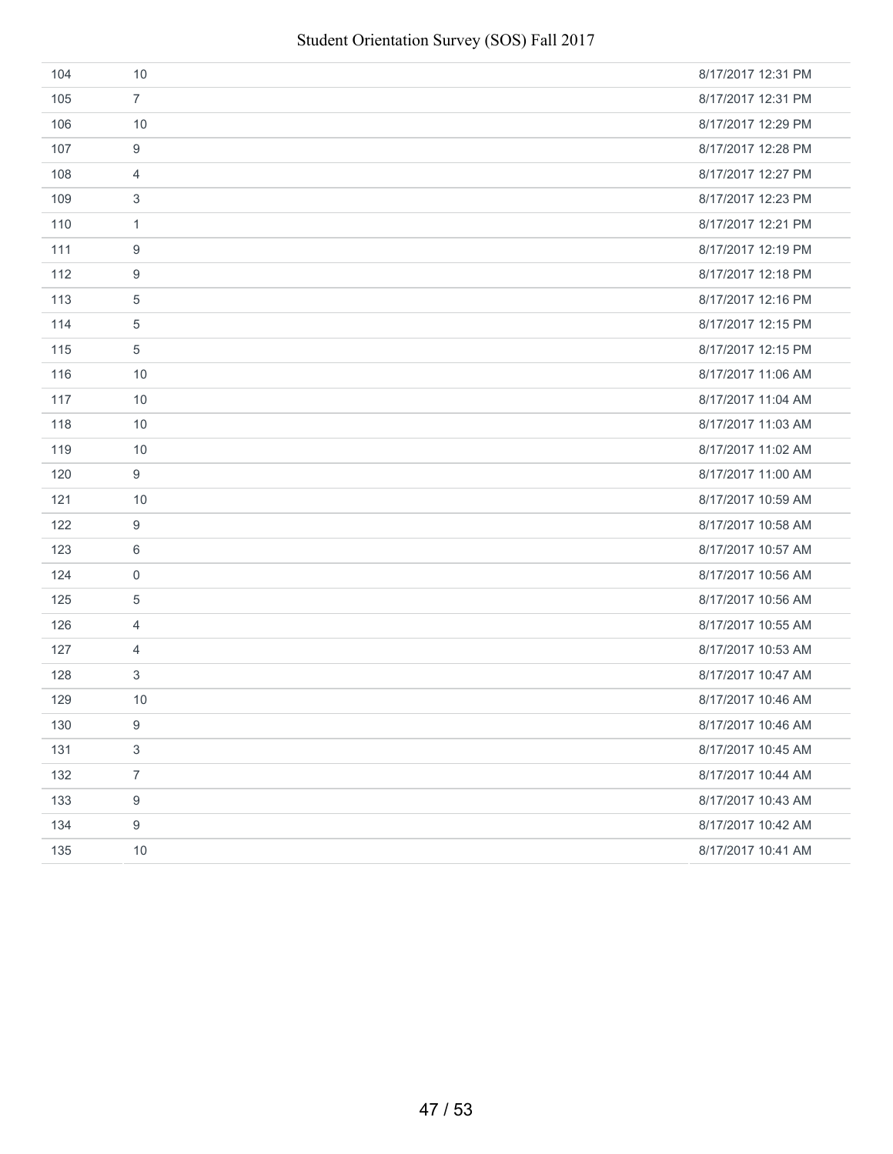| 104 | 10               | 8/17/2017 12:31 PM |
|-----|------------------|--------------------|
| 105 | $\overline{7}$   | 8/17/2017 12:31 PM |
| 106 | 10               | 8/17/2017 12:29 PM |
| 107 | 9                | 8/17/2017 12:28 PM |
| 108 | $\overline{4}$   | 8/17/2017 12:27 PM |
| 109 | 3                | 8/17/2017 12:23 PM |
| 110 | $\mathbf{1}$     | 8/17/2017 12:21 PM |
| 111 | 9                | 8/17/2017 12:19 PM |
| 112 | 9                | 8/17/2017 12:18 PM |
| 113 | $\overline{5}$   | 8/17/2017 12:16 PM |
| 114 | $\overline{5}$   | 8/17/2017 12:15 PM |
| 115 | $\overline{5}$   | 8/17/2017 12:15 PM |
| 116 | 10               | 8/17/2017 11:06 AM |
| 117 | 10               | 8/17/2017 11:04 AM |
| 118 | 10               | 8/17/2017 11:03 AM |
| 119 | 10               | 8/17/2017 11:02 AM |
| 120 | 9                | 8/17/2017 11:00 AM |
| 121 | 10               | 8/17/2017 10:59 AM |
| 122 | $\boldsymbol{9}$ | 8/17/2017 10:58 AM |
| 123 | 6                | 8/17/2017 10:57 AM |
| 124 | $\mathbf 0$      | 8/17/2017 10:56 AM |
| 125 | 5                | 8/17/2017 10:56 AM |
| 126 | $\overline{4}$   | 8/17/2017 10:55 AM |
| 127 | $\overline{4}$   | 8/17/2017 10:53 AM |
| 128 | 3                | 8/17/2017 10:47 AM |
| 129 | 10               | 8/17/2017 10:46 AM |
| 130 | 9                | 8/17/2017 10:46 AM |
| 131 | $\sqrt{3}$       | 8/17/2017 10:45 AM |
| 132 | $\overline{7}$   | 8/17/2017 10:44 AM |
| 133 | $\boldsymbol{9}$ | 8/17/2017 10:43 AM |
| 134 | $\boldsymbol{9}$ | 8/17/2017 10:42 AM |
| 135 | 10               | 8/17/2017 10:41 AM |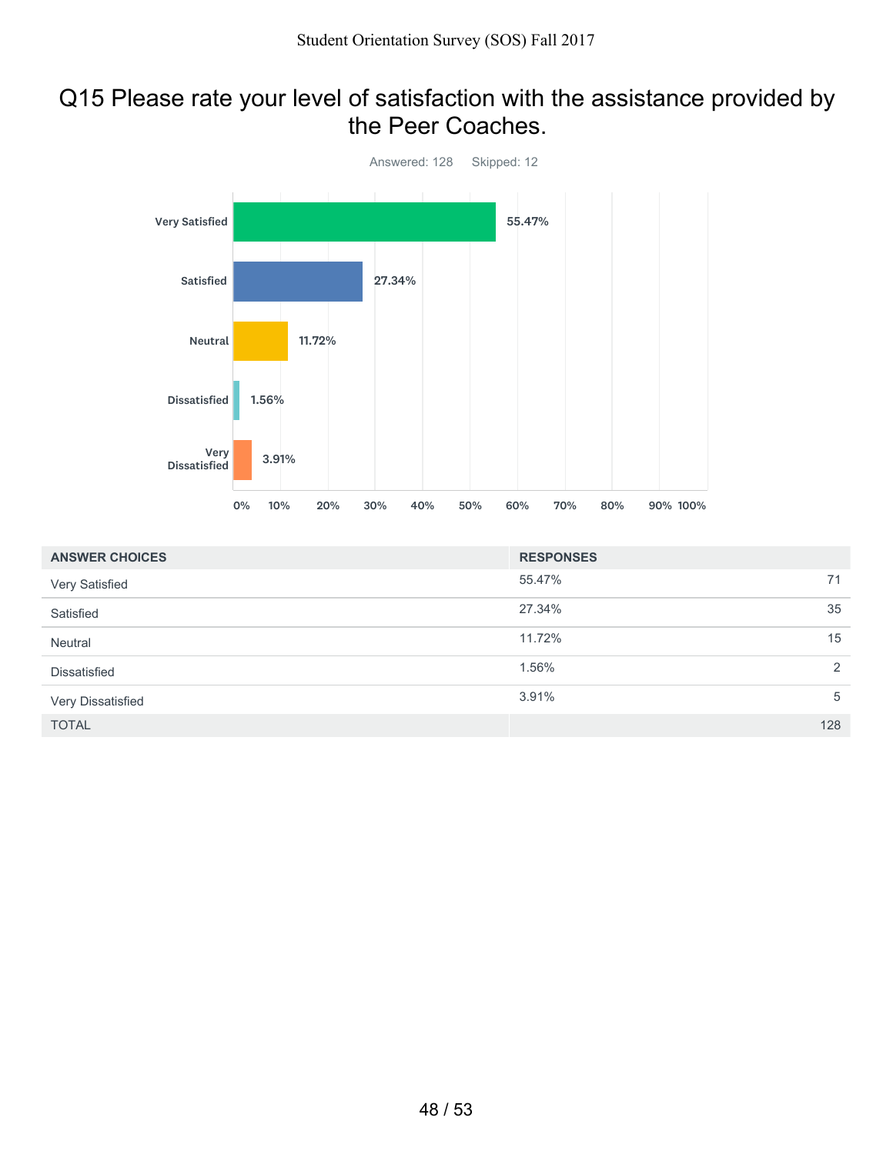### Q15 Please rate your level of satisfaction with the assistance provided by the Peer Coaches.



| <b>ANSWER CHOICES</b> | <b>RESPONSES</b> |     |
|-----------------------|------------------|-----|
| Very Satisfied        | 55.47%           | 71  |
| Satisfied             | 27.34%           | 35  |
| Neutral               | 11.72%           | 15  |
| Dissatisfied          | 1.56%            | 2   |
| Very Dissatisfied     | 3.91%            | 5   |
| <b>TOTAL</b>          |                  | 128 |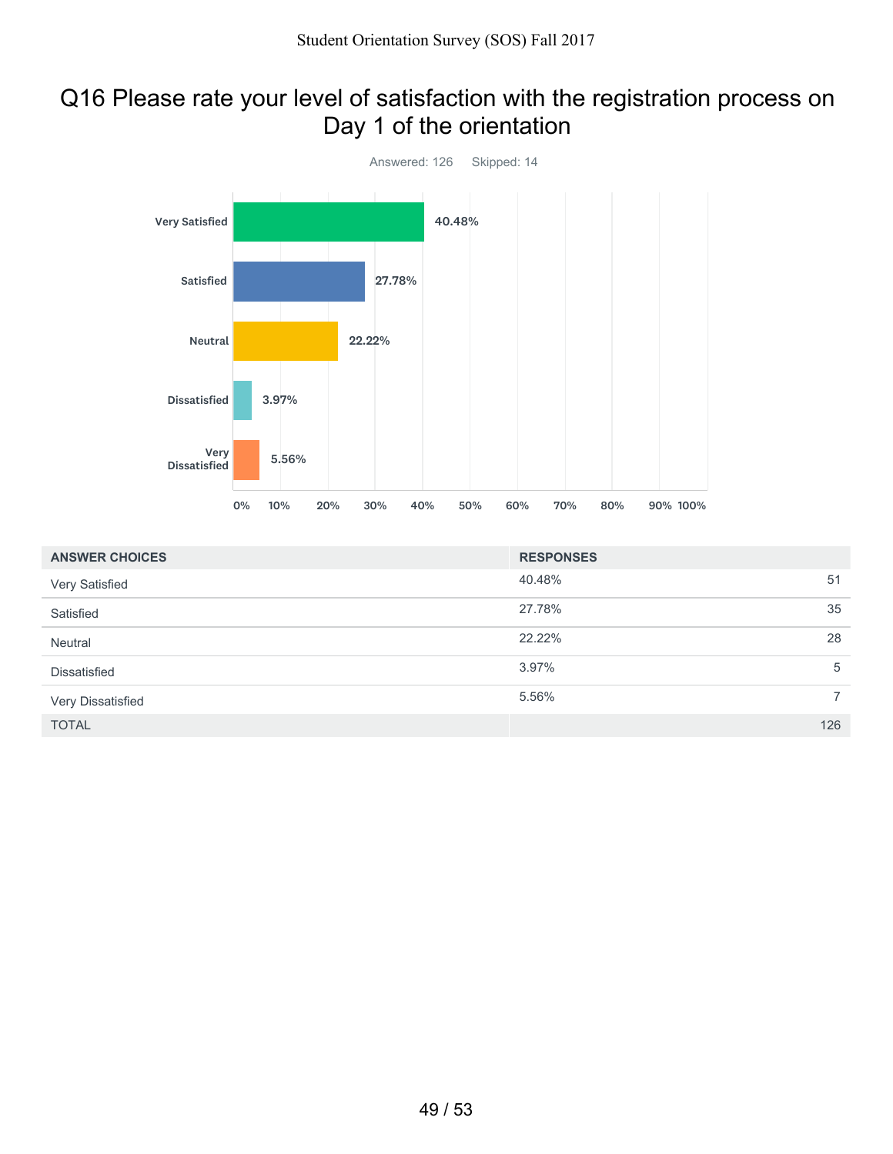## Q16 Please rate your level of satisfaction with the registration process on Day 1 of the orientation



| <b>ANSWER CHOICES</b> | <b>RESPONSES</b> |                |
|-----------------------|------------------|----------------|
| Very Satisfied        | 40.48%           | 51             |
| Satisfied             | 27.78%           | 35             |
| Neutral               | 22.22%           | 28             |
| Dissatisfied          | 3.97%            | 5              |
| Very Dissatisfied     | 5.56%            | $\overline{7}$ |
| <b>TOTAL</b>          |                  | 126            |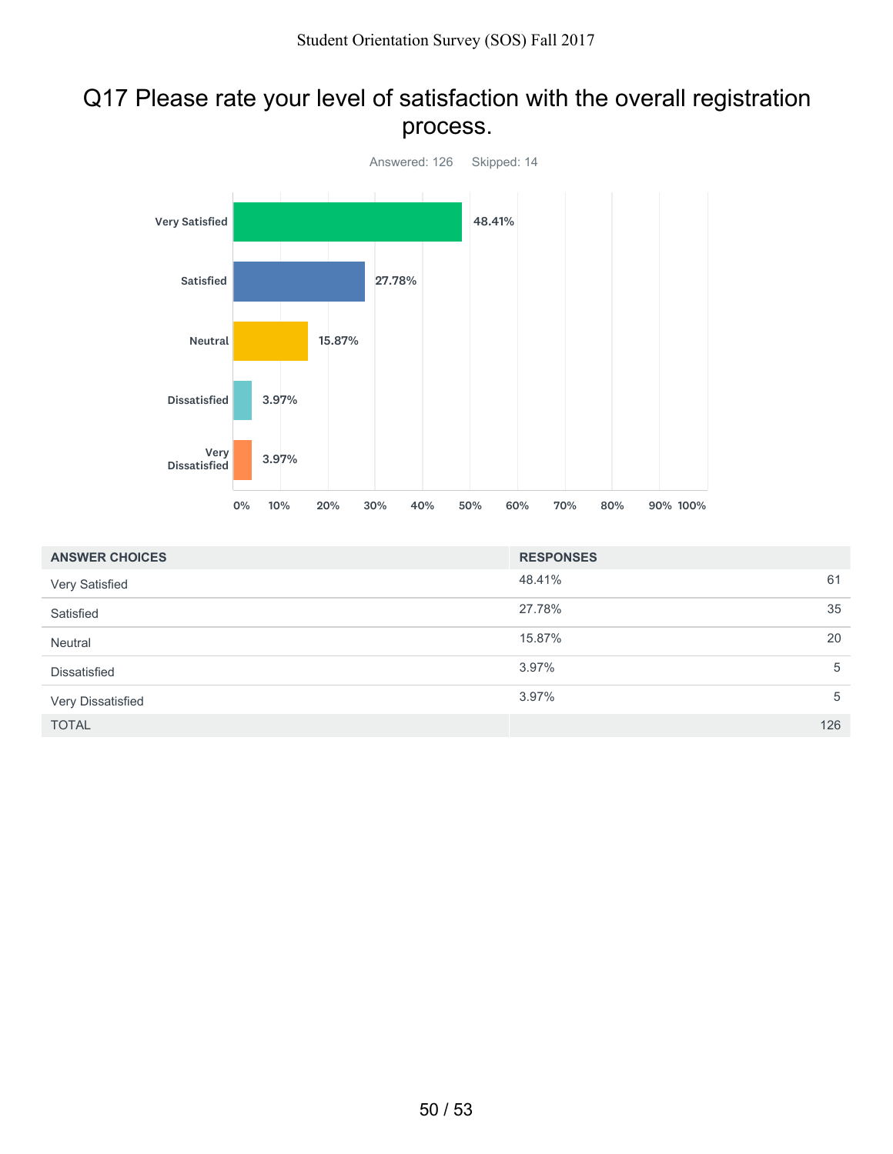# Q17 Please rate your level of satisfaction with the overall registration process.



| <b>ANSWER CHOICES</b> | <b>RESPONSES</b> |     |
|-----------------------|------------------|-----|
| Very Satisfied        | 48.41%           | 61  |
| Satisfied             | 27.78%           | 35  |
| Neutral               | 15.87%           | 20  |
| <b>Dissatisfied</b>   | 3.97%            | 5   |
| Very Dissatisfied     | 3.97%            | 5   |
| <b>TOTAL</b>          |                  | 126 |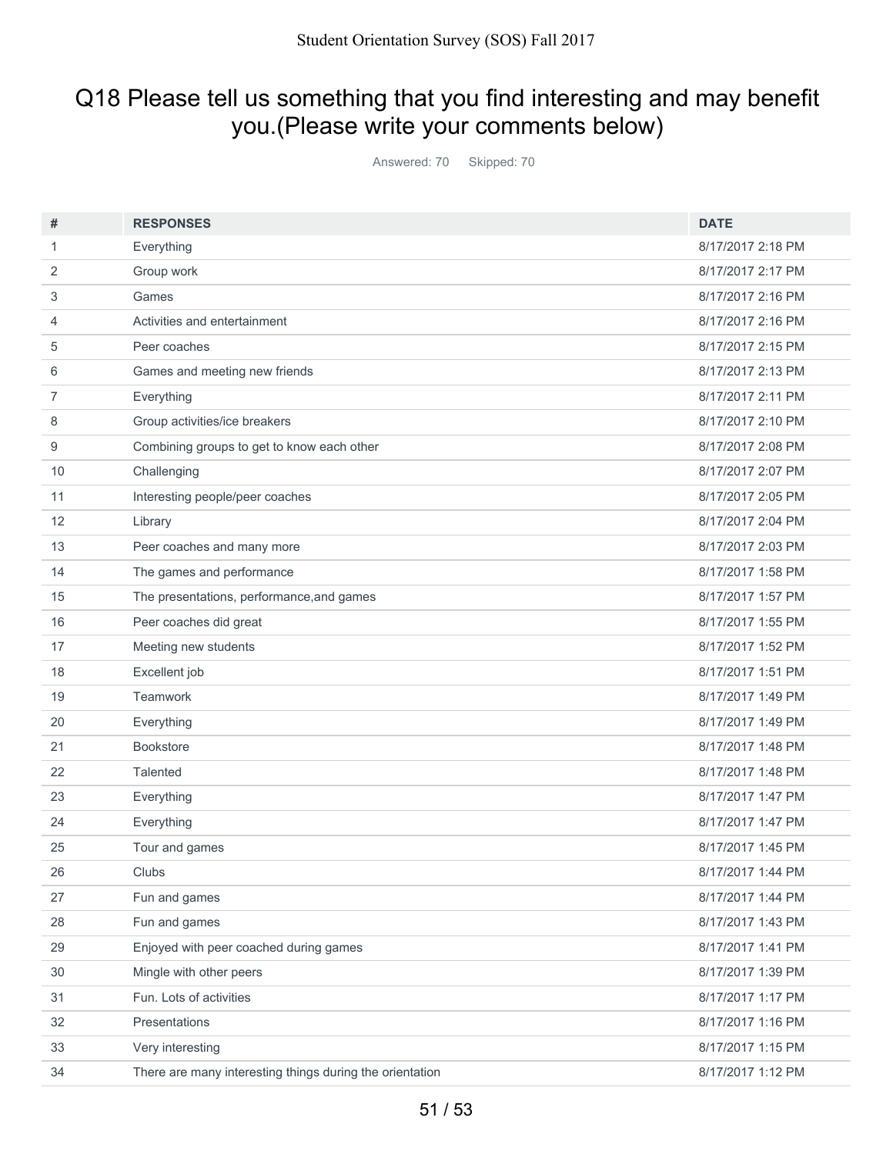# Q18 Please tell us something that you find interesting and may benefit you.(Please write your comments below)

Answered: 70 Skipped: 70

| #              | <b>RESPONSES</b>                                         | <b>DATE</b>       |
|----------------|----------------------------------------------------------|-------------------|
| 1              | Everything                                               | 8/17/2017 2:18 PM |
| 2              | Group work                                               | 8/17/2017 2:17 PM |
| 3              | Games                                                    | 8/17/2017 2:16 PM |
| 4              | Activities and entertainment                             | 8/17/2017 2:16 PM |
| 5              | Peer coaches                                             | 8/17/2017 2:15 PM |
| 6              | Games and meeting new friends                            | 8/17/2017 2:13 PM |
| $\overline{7}$ | Everything                                               | 8/17/2017 2:11 PM |
| 8              | Group activities/ice breakers                            | 8/17/2017 2:10 PM |
| 9              | Combining groups to get to know each other               | 8/17/2017 2:08 PM |
| 10             | Challenging                                              | 8/17/2017 2:07 PM |
| 11             | Interesting people/peer coaches                          | 8/17/2017 2:05 PM |
| 12             | Library                                                  | 8/17/2017 2:04 PM |
| 13             | Peer coaches and many more                               | 8/17/2017 2:03 PM |
| 14             | The games and performance                                | 8/17/2017 1:58 PM |
| 15             | The presentations, performance, and games                | 8/17/2017 1:57 PM |
| 16             | Peer coaches did great                                   | 8/17/2017 1:55 PM |
| 17             | Meeting new students                                     | 8/17/2017 1:52 PM |
| 18             | Excellent job                                            | 8/17/2017 1:51 PM |
| 19             | Teamwork                                                 | 8/17/2017 1:49 PM |
| 20             | Everything                                               | 8/17/2017 1:49 PM |
| 21             | <b>Bookstore</b>                                         | 8/17/2017 1:48 PM |
| 22             | Talented                                                 | 8/17/2017 1:48 PM |
| 23             | Everything                                               | 8/17/2017 1:47 PM |
| 24             | Everything                                               | 8/17/2017 1:47 PM |
| 25             | Tour and games                                           | 8/17/2017 1:45 PM |
| 26             | Clubs                                                    | 8/17/2017 1:44 PM |
| 27             | Fun and games                                            | 8/17/2017 1:44 PM |
| 28             | Fun and games                                            | 8/17/2017 1:43 PM |
| 29             | Enjoyed with peer coached during games                   | 8/17/2017 1:41 PM |
| 30             | Mingle with other peers                                  | 8/17/2017 1:39 PM |
| 31             | Fun. Lots of activities                                  | 8/17/2017 1:17 PM |
| 32             | Presentations                                            | 8/17/2017 1:16 PM |
| 33             | Very interesting                                         | 8/17/2017 1:15 PM |
| 34             | There are many interesting things during the orientation | 8/17/2017 1:12 PM |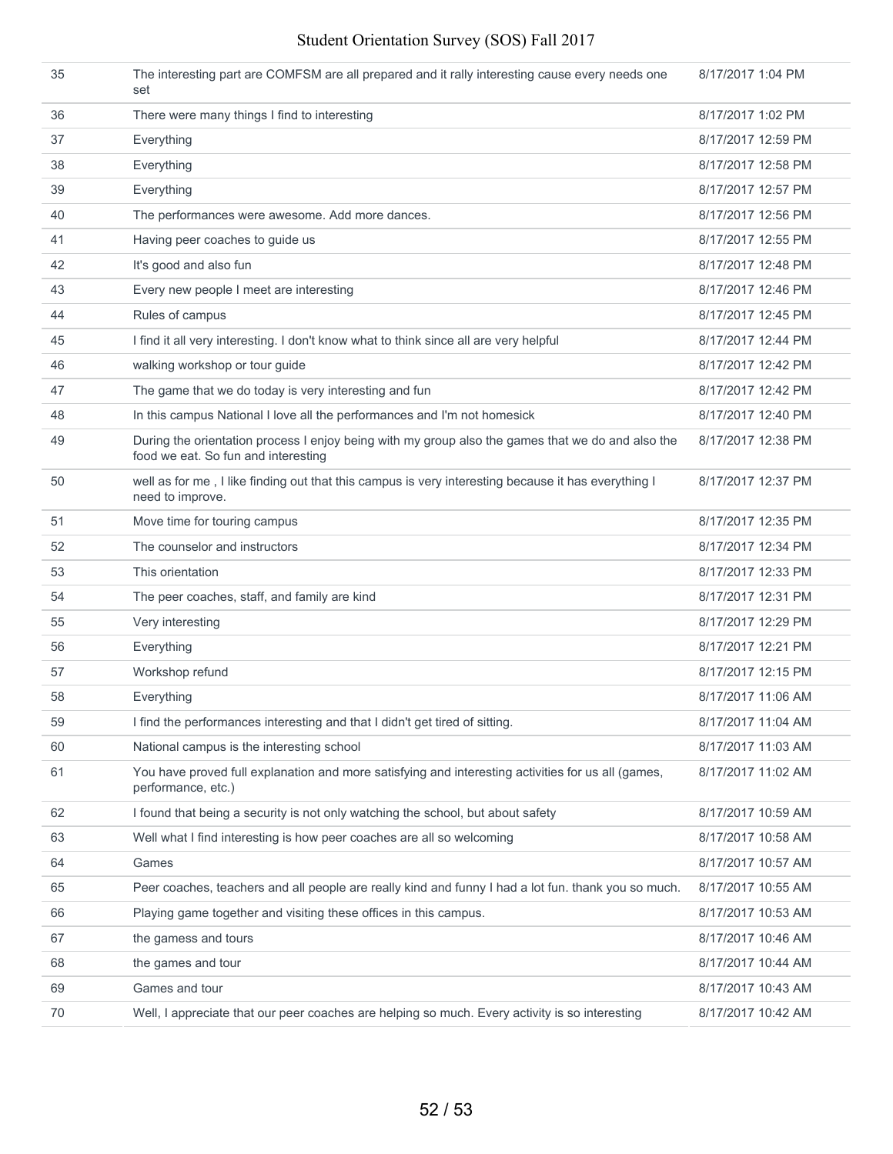#### Student Orientation Survey (SOS) Fall 2017

| 35 | The interesting part are COMFSM are all prepared and it rally interesting cause every needs one<br>set                                   | 8/17/2017 1:04 PM  |
|----|------------------------------------------------------------------------------------------------------------------------------------------|--------------------|
| 36 | There were many things I find to interesting                                                                                             | 8/17/2017 1:02 PM  |
| 37 | Everything                                                                                                                               | 8/17/2017 12:59 PM |
| 38 | Everything                                                                                                                               | 8/17/2017 12:58 PM |
| 39 | Everything                                                                                                                               | 8/17/2017 12:57 PM |
| 40 | The performances were awesome. Add more dances.                                                                                          | 8/17/2017 12:56 PM |
| 41 | Having peer coaches to guide us                                                                                                          | 8/17/2017 12:55 PM |
| 42 | It's good and also fun                                                                                                                   | 8/17/2017 12:48 PM |
| 43 | Every new people I meet are interesting                                                                                                  | 8/17/2017 12:46 PM |
| 44 | Rules of campus                                                                                                                          | 8/17/2017 12:45 PM |
| 45 | I find it all very interesting. I don't know what to think since all are very helpful                                                    | 8/17/2017 12:44 PM |
| 46 | walking workshop or tour guide                                                                                                           | 8/17/2017 12:42 PM |
| 47 | The game that we do today is very interesting and fun                                                                                    | 8/17/2017 12:42 PM |
| 48 | In this campus National I love all the performances and I'm not homesick                                                                 | 8/17/2017 12:40 PM |
| 49 | During the orientation process I enjoy being with my group also the games that we do and also the<br>food we eat. So fun and interesting | 8/17/2017 12:38 PM |
| 50 | well as for me, I like finding out that this campus is very interesting because it has everything I<br>need to improve.                  | 8/17/2017 12:37 PM |
| 51 | Move time for touring campus                                                                                                             | 8/17/2017 12:35 PM |
| 52 | The counselor and instructors                                                                                                            | 8/17/2017 12:34 PM |
| 53 | This orientation                                                                                                                         | 8/17/2017 12:33 PM |
| 54 | The peer coaches, staff, and family are kind                                                                                             | 8/17/2017 12:31 PM |
| 55 | Very interesting                                                                                                                         | 8/17/2017 12:29 PM |
| 56 | Everything                                                                                                                               | 8/17/2017 12:21 PM |
| 57 | Workshop refund                                                                                                                          | 8/17/2017 12:15 PM |
| 58 | Everything                                                                                                                               | 8/17/2017 11:06 AM |
| 59 | I find the performances interesting and that I didn't get tired of sitting.                                                              | 8/17/2017 11:04 AM |
| 60 | National campus is the interesting school                                                                                                | 8/17/2017 11:03 AM |
| 61 | You have proved full explanation and more satisfying and interesting activities for us all (games,<br>performance, etc.)                 | 8/17/2017 11:02 AM |
| 62 | I found that being a security is not only watching the school, but about safety                                                          | 8/17/2017 10:59 AM |
| 63 | Well what I find interesting is how peer coaches are all so welcoming                                                                    | 8/17/2017 10:58 AM |
| 64 | Games                                                                                                                                    | 8/17/2017 10:57 AM |
| 65 | Peer coaches, teachers and all people are really kind and funny I had a lot fun. thank you so much.                                      | 8/17/2017 10:55 AM |
| 66 | Playing game together and visiting these offices in this campus.                                                                         | 8/17/2017 10:53 AM |
| 67 | the gamess and tours                                                                                                                     | 8/17/2017 10:46 AM |
| 68 | the games and tour                                                                                                                       | 8/17/2017 10:44 AM |
| 69 | Games and tour                                                                                                                           | 8/17/2017 10:43 AM |
| 70 | Well, I appreciate that our peer coaches are helping so much. Every activity is so interesting                                           | 8/17/2017 10:42 AM |